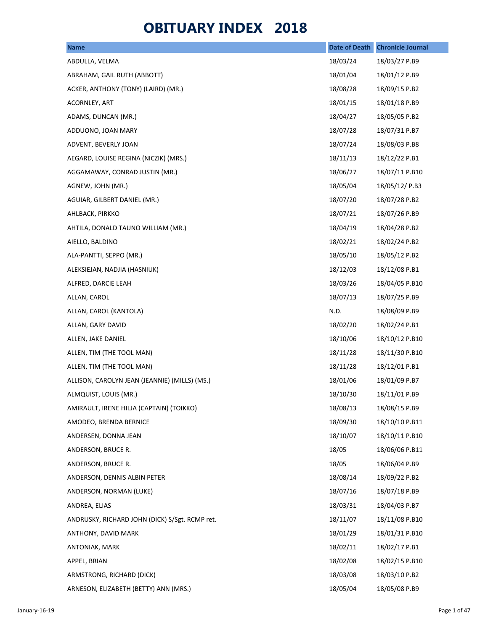## **OBITUARY INDEX 2018**

| <b>Name</b>                                    | <b>Date of Death</b> | <b>Chronicle Journal</b> |
|------------------------------------------------|----------------------|--------------------------|
| ABDULLA, VELMA                                 | 18/03/24             | 18/03/27 P.B9            |
| ABRAHAM, GAIL RUTH (ABBOTT)                    | 18/01/04             | 18/01/12 P.B9            |
| ACKER, ANTHONY (TONY) (LAIRD) (MR.)            | 18/08/28             | 18/09/15 P.B2            |
| ACORNLEY, ART                                  | 18/01/15             | 18/01/18 P.B9            |
| ADAMS, DUNCAN (MR.)                            | 18/04/27             | 18/05/05 P.B2            |
| ADDUONO, JOAN MARY                             | 18/07/28             | 18/07/31 P.B7            |
| ADVENT, BEVERLY JOAN                           | 18/07/24             | 18/08/03 P.B8            |
| AEGARD, LOUISE REGINA (NICZIK) (MRS.)          | 18/11/13             | 18/12/22 P.B1            |
| AGGAMAWAY, CONRAD JUSTIN (MR.)                 | 18/06/27             | 18/07/11 P.B10           |
| AGNEW, JOHN (MR.)                              | 18/05/04             | 18/05/12/ P.B3           |
| AGUIAR, GILBERT DANIEL (MR.)                   | 18/07/20             | 18/07/28 P.B2            |
| AHLBACK, PIRKKO                                | 18/07/21             | 18/07/26 P.B9            |
| AHTILA, DONALD TAUNO WILLIAM (MR.)             | 18/04/19             | 18/04/28 P.B2            |
| AIELLO, BALDINO                                | 18/02/21             | 18/02/24 P.B2            |
| ALA-PANTTI, SEPPO (MR.)                        | 18/05/10             | 18/05/12 P.B2            |
| ALEKSIEJAN, NADJIA (HASNIUK)                   | 18/12/03             | 18/12/08 P.B1            |
| ALFRED, DARCIE LEAH                            | 18/03/26             | 18/04/05 P.B10           |
| ALLAN, CAROL                                   | 18/07/13             | 18/07/25 P.B9            |
| ALLAN, CAROL (KANTOLA)                         | N.D.                 | 18/08/09 P.B9            |
| ALLAN, GARY DAVID                              | 18/02/20             | 18/02/24 P.B1            |
| ALLEN, JAKE DANIEL                             | 18/10/06             | 18/10/12 P.B10           |
| ALLEN, TIM (THE TOOL MAN)                      | 18/11/28             | 18/11/30 P.B10           |
| ALLEN, TIM (THE TOOL MAN)                      | 18/11/28             | 18/12/01 P.B1            |
| ALLISON, CAROLYN JEAN (JEANNIE) (MILLS) (MS.)  | 18/01/06             | 18/01/09 P.B7            |
| ALMQUIST, LOUIS (MR.)                          | 18/10/30             | 18/11/01 P.B9            |
| AMIRAULT, IRENE HILJA (CAPTAIN) (TOIKKO)       | 18/08/13             | 18/08/15 P.B9            |
| AMODEO, BRENDA BERNICE                         | 18/09/30             | 18/10/10 P.B11           |
| ANDERSEN, DONNA JEAN                           | 18/10/07             | 18/10/11 P.B10           |
| ANDERSON, BRUCE R.                             | 18/05                | 18/06/06 P.B11           |
| ANDERSON, BRUCE R.                             | 18/05                | 18/06/04 P.B9            |
| ANDERSON, DENNIS ALBIN PETER                   | 18/08/14             | 18/09/22 P.B2            |
| ANDERSON, NORMAN (LUKE)                        | 18/07/16             | 18/07/18 P.B9            |
| ANDREA, ELIAS                                  | 18/03/31             | 18/04/03 P.B7            |
| ANDRUSKY, RICHARD JOHN (DICK) S/Sgt. RCMP ret. | 18/11/07             | 18/11/08 P.B10           |
| ANTHONY, DAVID MARK                            | 18/01/29             | 18/01/31 P.B10           |
| ANTONIAK, MARK                                 | 18/02/11             | 18/02/17 P.B1            |
| APPEL, BRIAN                                   | 18/02/08             | 18/02/15 P.B10           |
| ARMSTRONG, RICHARD (DICK)                      | 18/03/08             | 18/03/10 P.B2            |
| ARNESON, ELIZABETH (BETTY) ANN (MRS.)          | 18/05/04             | 18/05/08 P.B9            |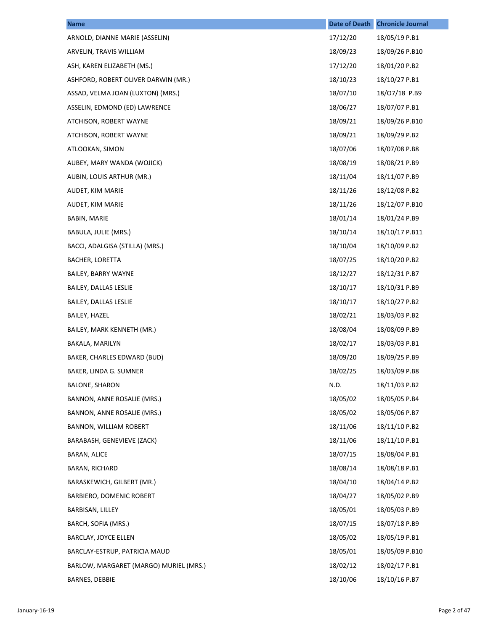| <b>Name</b>                            | <b>Date of Death</b> | <b>Chronicle Journal</b> |
|----------------------------------------|----------------------|--------------------------|
| ARNOLD, DIANNE MARIE (ASSELIN)         | 17/12/20             | 18/05/19 P.B1            |
| ARVELIN, TRAVIS WILLIAM                | 18/09/23             | 18/09/26 P.B10           |
| ASH, KAREN ELIZABETH (MS.)             | 17/12/20             | 18/01/20 P.B2            |
| ASHFORD, ROBERT OLIVER DARWIN (MR.)    | 18/10/23             | 18/10/27 P.B1            |
| ASSAD, VELMA JOAN (LUXTON) (MRS.)      | 18/07/10             | 18/07/18 P.B9            |
| ASSELIN, EDMOND (ED) LAWRENCE          | 18/06/27             | 18/07/07 P.B1            |
| ATCHISON, ROBERT WAYNE                 | 18/09/21             | 18/09/26 P.B10           |
| ATCHISON, ROBERT WAYNE                 | 18/09/21             | 18/09/29 P.B2            |
| ATLOOKAN, SIMON                        | 18/07/06             | 18/07/08 P.B8            |
| AUBEY, MARY WANDA (WOJICK)             | 18/08/19             | 18/08/21 P.B9            |
| AUBIN, LOUIS ARTHUR (MR.)              | 18/11/04             | 18/11/07 P.B9            |
| AUDET, KIM MARIE                       | 18/11/26             | 18/12/08 P.B2            |
| AUDET, KIM MARIE                       | 18/11/26             | 18/12/07 P.B10           |
| BABIN, MARIE                           | 18/01/14             | 18/01/24 P.B9            |
| BABULA, JULIE (MRS.)                   | 18/10/14             | 18/10/17 P.B11           |
| BACCI, ADALGISA (STILLA) (MRS.)        | 18/10/04             | 18/10/09 P.B2            |
| <b>BACHER, LORETTA</b>                 | 18/07/25             | 18/10/20 P.B2            |
| <b>BAILEY, BARRY WAYNE</b>             | 18/12/27             | 18/12/31 P.B7            |
| BAILEY, DALLAS LESLIE                  | 18/10/17             | 18/10/31 P.B9            |
| BAILEY, DALLAS LESLIE                  | 18/10/17             | 18/10/27 P.B2            |
| BAILEY, HAZEL                          | 18/02/21             | 18/03/03 P.B2            |
| BAILEY, MARK KENNETH (MR.)             | 18/08/04             | 18/08/09 P.B9            |
| BAKALA, MARILYN                        | 18/02/17             | 18/03/03 P.B1            |
| BAKER, CHARLES EDWARD (BUD)            | 18/09/20             | 18/09/25 P.B9            |
| BAKER, LINDA G. SUMNER                 | 18/02/25             | 18/03/09 P.B8            |
| <b>BALONE, SHARON</b>                  | N.D.                 | 18/11/03 P.B2            |
| BANNON, ANNE ROSALIE (MRS.)            | 18/05/02             | 18/05/05 P.B4            |
| BANNON, ANNE ROSALIE (MRS.)            | 18/05/02             | 18/05/06 P.B7            |
| BANNON, WILLIAM ROBERT                 | 18/11/06             | 18/11/10 P.B2            |
| BARABASH, GENEVIEVE (ZACK)             | 18/11/06             | 18/11/10 P.B1            |
| BARAN, ALICE                           | 18/07/15             | 18/08/04 P.B1            |
| BARAN, RICHARD                         | 18/08/14             | 18/08/18 P.B1            |
| BARASKEWICH, GILBERT (MR.)             | 18/04/10             | 18/04/14 P.B2            |
| BARBIERO, DOMENIC ROBERT               | 18/04/27             | 18/05/02 P.B9            |
| BARBISAN, LILLEY                       | 18/05/01             | 18/05/03 P.B9            |
| BARCH, SOFIA (MRS.)                    | 18/07/15             | 18/07/18 P.B9            |
| BARCLAY, JOYCE ELLEN                   | 18/05/02             | 18/05/19 P.B1            |
| BARCLAY-ESTRUP, PATRICIA MAUD          | 18/05/01             | 18/05/09 P.B10           |
| BARLOW, MARGARET (MARGO) MURIEL (MRS.) | 18/02/12             | 18/02/17 P.B1            |
| <b>BARNES, DEBBIE</b>                  | 18/10/06             | 18/10/16 P.B7            |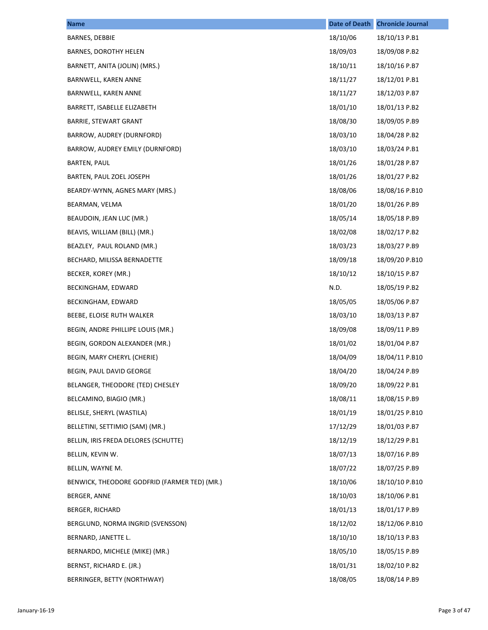| <b>Name</b>                                  | <b>Date of Death</b> | <b>Chronicle Journal</b> |
|----------------------------------------------|----------------------|--------------------------|
| BARNES, DEBBIE                               | 18/10/06             | 18/10/13 P.B1            |
| BARNES, DOROTHY HELEN                        | 18/09/03             | 18/09/08 P.B2            |
| BARNETT, ANITA (JOLIN) (MRS.)                | 18/10/11             | 18/10/16 P.B7            |
| BARNWELL, KAREN ANNE                         | 18/11/27             | 18/12/01 P.B1            |
| BARNWELL, KAREN ANNE                         | 18/11/27             | 18/12/03 P.B7            |
| BARRETT, ISABELLE ELIZABETH                  | 18/01/10             | 18/01/13 P.B2            |
| BARRIE, STEWART GRANT                        | 18/08/30             | 18/09/05 P.B9            |
| BARROW, AUDREY (DURNFORD)                    | 18/03/10             | 18/04/28 P.B2            |
| BARROW, AUDREY EMILY (DURNFORD)              | 18/03/10             | 18/03/24 P.B1            |
| BARTEN, PAUL                                 | 18/01/26             | 18/01/28 P.B7            |
| BARTEN, PAUL ZOEL JOSEPH                     | 18/01/26             | 18/01/27 P.B2            |
| BEARDY-WYNN, AGNES MARY (MRS.)               | 18/08/06             | 18/08/16 P.B10           |
| BEARMAN, VELMA                               | 18/01/20             | 18/01/26 P.B9            |
| BEAUDOIN, JEAN LUC (MR.)                     | 18/05/14             | 18/05/18 P.B9            |
| BEAVIS, WILLIAM (BILL) (MR.)                 | 18/02/08             | 18/02/17 P.B2            |
| BEAZLEY, PAUL ROLAND (MR.)                   | 18/03/23             | 18/03/27 P.B9            |
| BECHARD, MILISSA BERNADETTE                  | 18/09/18             | 18/09/20 P.B10           |
| BECKER, KOREY (MR.)                          | 18/10/12             | 18/10/15 P.B7            |
| BECKINGHAM, EDWARD                           | N.D.                 | 18/05/19 P.B2            |
| BECKINGHAM, EDWARD                           | 18/05/05             | 18/05/06 P.B7            |
| BEEBE, ELOISE RUTH WALKER                    | 18/03/10             | 18/03/13 P.B7            |
| BEGIN, ANDRE PHILLIPE LOUIS (MR.)            | 18/09/08             | 18/09/11 P.B9            |
| BEGIN, GORDON ALEXANDER (MR.)                | 18/01/02             | 18/01/04 P.B7            |
| BEGIN, MARY CHERYL (CHERIE)                  | 18/04/09             | 18/04/11 P.B10           |
| BEGIN, PAUL DAVID GEORGE                     | 18/04/20             | 18/04/24 P.B9            |
| BELANGER, THEODORE (TED) CHESLEY             | 18/09/20             | 18/09/22 P.B1            |
| BELCAMINO, BIAGIO (MR.)                      | 18/08/11             | 18/08/15 P.B9            |
| BELISLE, SHERYL (WASTILA)                    | 18/01/19             | 18/01/25 P.B10           |
| BELLETINI, SETTIMIO (SAM) (MR.)              | 17/12/29             | 18/01/03 P.B7            |
| BELLIN, IRIS FREDA DELORES (SCHUTTE)         | 18/12/19             | 18/12/29 P.B1            |
| BELLIN, KEVIN W.                             | 18/07/13             | 18/07/16 P.B9            |
| BELLIN, WAYNE M.                             | 18/07/22             | 18/07/25 P.B9            |
| BENWICK, THEODORE GODFRID (FARMER TED) (MR.) | 18/10/06             | 18/10/10 P.B10           |
| BERGER, ANNE                                 | 18/10/03             | 18/10/06 P.B1            |
| <b>BERGER, RICHARD</b>                       | 18/01/13             | 18/01/17 P.B9            |
| BERGLUND, NORMA INGRID (SVENSSON)            | 18/12/02             | 18/12/06 P.B10           |
| BERNARD, JANETTE L.                          | 18/10/10             | 18/10/13 P.B3            |
| BERNARDO, MICHELE (MIKE) (MR.)               | 18/05/10             | 18/05/15 P.B9            |
| BERNST, RICHARD E. (JR.)                     | 18/01/31             | 18/02/10 P.B2            |
| BERRINGER, BETTY (NORTHWAY)                  | 18/08/05             | 18/08/14 P.B9            |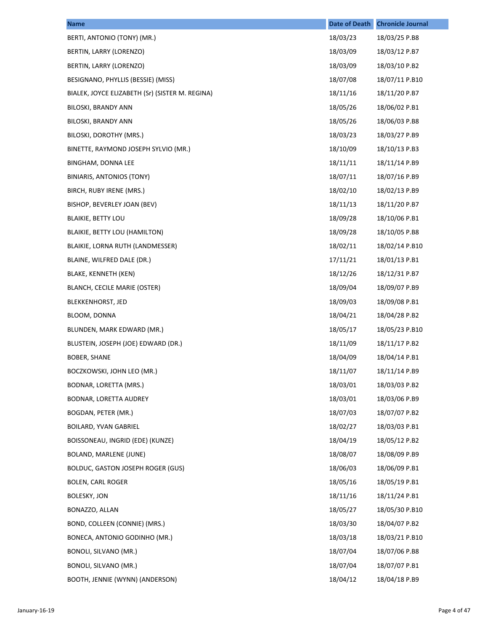| <b>Name</b>                                     | <b>Date of Death</b> | <b>Chronicle Journal</b> |
|-------------------------------------------------|----------------------|--------------------------|
| BERTI, ANTONIO (TONY) (MR.)                     | 18/03/23             | 18/03/25 P.B8            |
| BERTIN, LARRY (LORENZO)                         | 18/03/09             | 18/03/12 P.B7            |
| BERTIN, LARRY (LORENZO)                         | 18/03/09             | 18/03/10 P.B2            |
| BESIGNANO, PHYLLIS (BESSIE) (MISS)              | 18/07/08             | 18/07/11 P.B10           |
| BIALEK, JOYCE ELIZABETH (Sr) (SISTER M. REGINA) | 18/11/16             | 18/11/20 P.B7            |
| BILOSKI, BRANDY ANN                             | 18/05/26             | 18/06/02 P.B1            |
| BILOSKI, BRANDY ANN                             | 18/05/26             | 18/06/03 P.B8            |
| BILOSKI, DOROTHY (MRS.)                         | 18/03/23             | 18/03/27 P.B9            |
| BINETTE, RAYMOND JOSEPH SYLVIO (MR.)            | 18/10/09             | 18/10/13 P.B3            |
| BINGHAM, DONNA LEE                              | 18/11/11             | 18/11/14 P.B9            |
| BINIARIS, ANTONIOS (TONY)                       | 18/07/11             | 18/07/16 P.B9            |
| BIRCH, RUBY IRENE (MRS.)                        | 18/02/10             | 18/02/13 P.B9            |
| BISHOP, BEVERLEY JOAN (BEV)                     | 18/11/13             | 18/11/20 P.B7            |
| <b>BLAIKIE, BETTY LOU</b>                       | 18/09/28             | 18/10/06 P.B1            |
| BLAIKIE, BETTY LOU (HAMILTON)                   | 18/09/28             | 18/10/05 P.B8            |
| BLAIKIE, LORNA RUTH (LANDMESSER)                | 18/02/11             | 18/02/14 P.B10           |
| BLAINE, WILFRED DALE (DR.)                      | 17/11/21             | 18/01/13 P.B1            |
| BLAKE, KENNETH (KEN)                            | 18/12/26             | 18/12/31 P.B7            |
| BLANCH, CECILE MARIE (OSTER)                    | 18/09/04             | 18/09/07 P.B9            |
| <b>BLEKKENHORST, JED</b>                        | 18/09/03             | 18/09/08 P.B1            |
| BLOOM, DONNA                                    | 18/04/21             | 18/04/28 P.B2            |
| BLUNDEN, MARK EDWARD (MR.)                      | 18/05/17             | 18/05/23 P.B10           |
| BLUSTEIN, JOSEPH (JOE) EDWARD (DR.)             | 18/11/09             | 18/11/17 P.B2            |
| BOBER, SHANE                                    | 18/04/09             | 18/04/14 P.B1            |
| BOCZKOWSKI, JOHN LEO (MR.)                      | 18/11/07             | 18/11/14 P.B9            |
| BODNAR, LORETTA (MRS.)                          | 18/03/01             | 18/03/03 P.B2            |
| BODNAR, LORETTA AUDREY                          | 18/03/01             | 18/03/06 P.B9            |
| BOGDAN, PETER (MR.)                             | 18/07/03             | 18/07/07 P.B2            |
| <b>BOILARD, YVAN GABRIEL</b>                    | 18/02/27             | 18/03/03 P.B1            |
| BOISSONEAU, INGRID (EDE) (KUNZE)                | 18/04/19             | 18/05/12 P.B2            |
| BOLAND, MARLENE (JUNE)                          | 18/08/07             | 18/08/09 P.B9            |
| <b>BOLDUC, GASTON JOSEPH ROGER (GUS)</b>        | 18/06/03             | 18/06/09 P.B1            |
| <b>BOLEN, CARL ROGER</b>                        | 18/05/16             | 18/05/19 P.B1            |
| <b>BOLESKY, JON</b>                             | 18/11/16             | 18/11/24 P.B1            |
| BONAZZO, ALLAN                                  | 18/05/27             | 18/05/30 P.B10           |
| BOND, COLLEEN (CONNIE) (MRS.)                   | 18/03/30             | 18/04/07 P.B2            |
| BONECA, ANTONIO GODINHO (MR.)                   | 18/03/18             | 18/03/21 P.B10           |
| BONOLI, SILVANO (MR.)                           | 18/07/04             | 18/07/06 P.B8            |
| BONOLI, SILVANO (MR.)                           | 18/07/04             | 18/07/07 P.B1            |
| BOOTH, JENNIE (WYNN) (ANDERSON)                 | 18/04/12             | 18/04/18 P.B9            |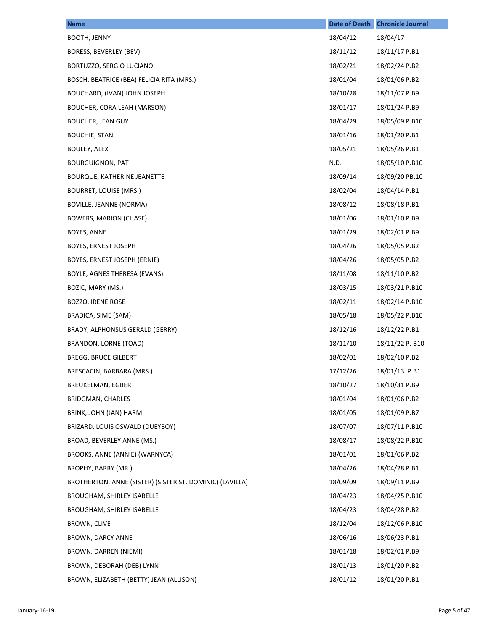| <b>Name</b>                                              | <b>Date of Death</b> | <b>Chronicle Journal</b> |
|----------------------------------------------------------|----------------------|--------------------------|
| <b>BOOTH, JENNY</b>                                      | 18/04/12             | 18/04/17                 |
| BORESS, BEVERLEY (BEV)                                   | 18/11/12             | 18/11/17 P.B1            |
| BORTUZZO, SERGIO LUCIANO                                 | 18/02/21             | 18/02/24 P.B2            |
| BOSCH, BEATRICE (BEA) FELICIA RITA (MRS.)                | 18/01/04             | 18/01/06 P.B2            |
| BOUCHARD, (IVAN) JOHN JOSEPH                             | 18/10/28             | 18/11/07 P.B9            |
| BOUCHER, CORA LEAH (MARSON)                              | 18/01/17             | 18/01/24 P.B9            |
| <b>BOUCHER, JEAN GUY</b>                                 | 18/04/29             | 18/05/09 P.B10           |
| <b>BOUCHIE, STAN</b>                                     | 18/01/16             | 18/01/20 P.B1            |
| BOULEY, ALEX                                             | 18/05/21             | 18/05/26 P.B1            |
| <b>BOURGUIGNON, PAT</b>                                  | N.D.                 | 18/05/10 P.B10           |
| BOURQUE, KATHERINE JEANETTE                              | 18/09/14             | 18/09/20 PB.10           |
| BOURRET, LOUISE (MRS.)                                   | 18/02/04             | 18/04/14 P.B1            |
| <b>BOVILLE, JEANNE (NORMA)</b>                           | 18/08/12             | 18/08/18 P.B1            |
| BOWERS, MARION (CHASE)                                   | 18/01/06             | 18/01/10 P.B9            |
| BOYES, ANNE                                              | 18/01/29             | 18/02/01 P.B9            |
| BOYES, ERNEST JOSEPH                                     | 18/04/26             | 18/05/05 P.B2            |
| BOYES, ERNEST JOSEPH (ERNIE)                             | 18/04/26             | 18/05/05 P.B2            |
| BOYLE, AGNES THERESA (EVANS)                             | 18/11/08             | 18/11/10 P.B2            |
| BOZIC, MARY (MS.)                                        | 18/03/15             | 18/03/21 P.B10           |
| BOZZO, IRENE ROSE                                        | 18/02/11             | 18/02/14 P.B10           |
| BRADICA, SIME (SAM)                                      | 18/05/18             | 18/05/22 P.B10           |
| BRADY, ALPHONSUS GERALD (GERRY)                          | 18/12/16             | 18/12/22 P.B1            |
| BRANDON, LORNE (TOAD)                                    | 18/11/10             | 18/11/22 P. B10          |
| <b>BREGG, BRUCE GILBERT</b>                              | 18/02/01             | 18/02/10 P.B2            |
| BRESCACIN, BARBARA (MRS.)                                | 17/12/26             | 18/01/13 P.B1            |
| <b>BREUKELMAN, EGBERT</b>                                | 18/10/27             | 18/10/31 P.B9            |
| BRIDGMAN, CHARLES                                        | 18/01/04             | 18/01/06 P.B2            |
| BRINK, JOHN (JAN) HARM                                   | 18/01/05             | 18/01/09 P.B7            |
| BRIZARD, LOUIS OSWALD (DUEYBOY)                          | 18/07/07             | 18/07/11 P.B10           |
| BROAD, BEVERLEY ANNE (MS.)                               | 18/08/17             | 18/08/22 P.B10           |
| BROOKS, ANNE (ANNIE) (WARNYCA)                           | 18/01/01             | 18/01/06 P.B2            |
| BROPHY, BARRY (MR.)                                      | 18/04/26             | 18/04/28 P.B1            |
| BROTHERTON, ANNE (SISTER) (SISTER ST. DOMINIC) (LAVILLA) | 18/09/09             | 18/09/11 P.B9            |
| <b>BROUGHAM, SHIRLEY ISABELLE</b>                        | 18/04/23             | 18/04/25 P.B10           |
| BROUGHAM, SHIRLEY ISABELLE                               | 18/04/23             | 18/04/28 P.B2            |
| <b>BROWN, CLIVE</b>                                      | 18/12/04             | 18/12/06 P.B10           |
| BROWN, DARCY ANNE                                        | 18/06/16             | 18/06/23 P.B1            |
| BROWN, DARREN (NIEMI)                                    | 18/01/18             | 18/02/01 P.B9            |
| BROWN, DEBORAH (DEB) LYNN                                | 18/01/13             | 18/01/20 P.B2            |
| BROWN, ELIZABETH (BETTY) JEAN (ALLISON)                  | 18/01/12             | 18/01/20 P.B1            |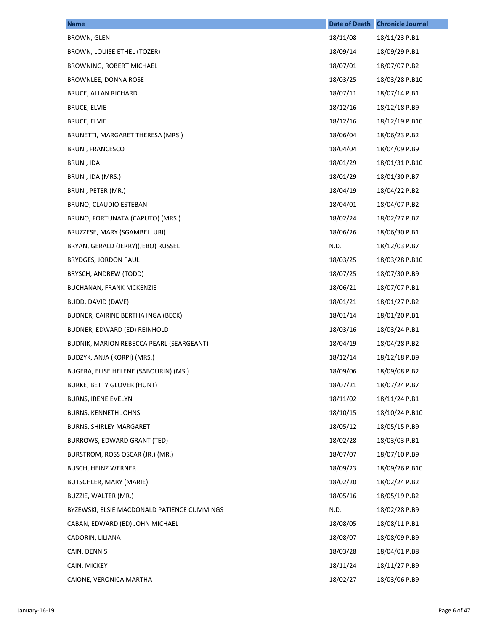| <b>Name</b>                                 | <b>Date of Death</b> | <b>Chronicle Journal</b> |
|---------------------------------------------|----------------------|--------------------------|
| BROWN, GLEN                                 | 18/11/08             | 18/11/23 P.B1            |
| BROWN, LOUISE ETHEL (TOZER)                 | 18/09/14             | 18/09/29 P.B1            |
| BROWNING, ROBERT MICHAEL                    | 18/07/01             | 18/07/07 P.B2            |
| BROWNLEE, DONNA ROSE                        | 18/03/25             | 18/03/28 P.B10           |
| BRUCE, ALLAN RICHARD                        | 18/07/11             | 18/07/14 P.B1            |
| <b>BRUCE, ELVIE</b>                         | 18/12/16             | 18/12/18 P.B9            |
| <b>BRUCE, ELVIE</b>                         | 18/12/16             | 18/12/19 P.B10           |
| BRUNETTI, MARGARET THERESA (MRS.)           | 18/06/04             | 18/06/23 P.B2            |
| <b>BRUNI, FRANCESCO</b>                     | 18/04/04             | 18/04/09 P.B9            |
| <b>BRUNI, IDA</b>                           | 18/01/29             | 18/01/31 P.B10           |
| BRUNI, IDA (MRS.)                           | 18/01/29             | 18/01/30 P.B7            |
| BRUNI, PETER (MR.)                          | 18/04/19             | 18/04/22 P.B2            |
| BRUNO, CLAUDIO ESTEBAN                      | 18/04/01             | 18/04/07 P.B2            |
| BRUNO, FORTUNATA (CAPUTO) (MRS.)            | 18/02/24             | 18/02/27 P.B7            |
| BRUZZESE, MARY (SGAMBELLURI)                | 18/06/26             | 18/06/30 P.B1            |
| BRYAN, GERALD (JERRY)(JEBO) RUSSEL          | N.D.                 | 18/12/03 P.B7            |
| BRYDGES, JORDON PAUL                        | 18/03/25             | 18/03/28 P.B10           |
| BRYSCH, ANDREW (TODD)                       | 18/07/25             | 18/07/30 P.B9            |
| BUCHANAN, FRANK MCKENZIE                    | 18/06/21             | 18/07/07 P.B1            |
| BUDD, DAVID (DAVE)                          | 18/01/21             | 18/01/27 P.B2            |
| BUDNER, CAIRINE BERTHA INGA (BECK)          | 18/01/14             | 18/01/20 P.B1            |
| BUDNER, EDWARD (ED) REINHOLD                | 18/03/16             | 18/03/24 P.B1            |
| BUDNIK, MARION REBECCA PEARL (SEARGEANT)    | 18/04/19             | 18/04/28 P.B2            |
| BUDZYK, ANJA (KORPI) (MRS.)                 | 18/12/14             | 18/12/18 P.B9            |
| BUGERA, ELISE HELENE (SABOURIN) (MS.)       | 18/09/06             | 18/09/08 P.B2            |
| <b>BURKE, BETTY GLOVER (HUNT)</b>           | 18/07/21             | 18/07/24 P.B7            |
| <b>BURNS, IRENE EVELYN</b>                  | 18/11/02             | 18/11/24 P.B1            |
| <b>BURNS, KENNETH JOHNS</b>                 | 18/10/15             | 18/10/24 P.B10           |
| <b>BURNS, SHIRLEY MARGARET</b>              | 18/05/12             | 18/05/15 P.B9            |
| BURROWS, EDWARD GRANT (TED)                 | 18/02/28             | 18/03/03 P.B1            |
| BURSTROM, ROSS OSCAR (JR.) (MR.)            | 18/07/07             | 18/07/10 P.B9            |
| <b>BUSCH, HEINZ WERNER</b>                  | 18/09/23             | 18/09/26 P.B10           |
| BUTSCHLER, MARY (MARIE)                     | 18/02/20             | 18/02/24 P.B2            |
| BUZZIE, WALTER (MR.)                        | 18/05/16             | 18/05/19 P.B2            |
| BYZEWSKI, ELSIE MACDONALD PATIENCE CUMMINGS | N.D.                 | 18/02/28 P.B9            |
| CABAN, EDWARD (ED) JOHN MICHAEL             | 18/08/05             | 18/08/11 P.B1            |
| CADORIN, LILIANA                            | 18/08/07             | 18/08/09 P.B9            |
| CAIN, DENNIS                                | 18/03/28             | 18/04/01 P.B8            |
| CAIN, MICKEY                                | 18/11/24             | 18/11/27 P.B9            |
| CAIONE, VERONICA MARTHA                     | 18/02/27             | 18/03/06 P.B9            |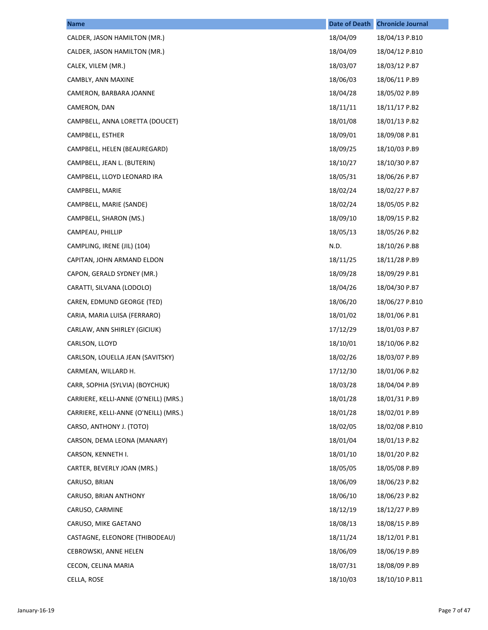| <b>Name</b>                           | <b>Date of Death</b> | <b>Chronicle Journal</b> |
|---------------------------------------|----------------------|--------------------------|
| CALDER, JASON HAMILTON (MR.)          | 18/04/09             | 18/04/13 P.B10           |
| CALDER, JASON HAMILTON (MR.)          | 18/04/09             | 18/04/12 P.B10           |
| CALEK, VILEM (MR.)                    | 18/03/07             | 18/03/12 P.B7            |
| CAMBLY, ANN MAXINE                    | 18/06/03             | 18/06/11 P.B9            |
| CAMERON, BARBARA JOANNE               | 18/04/28             | 18/05/02 P.B9            |
| CAMERON, DAN                          | 18/11/11             | 18/11/17 P.B2            |
| CAMPBELL, ANNA LORETTA (DOUCET)       | 18/01/08             | 18/01/13 P.B2            |
| CAMPBELL, ESTHER                      | 18/09/01             | 18/09/08 P.B1            |
| CAMPBELL, HELEN (BEAUREGARD)          | 18/09/25             | 18/10/03 P.B9            |
| CAMPBELL, JEAN L. (BUTERIN)           | 18/10/27             | 18/10/30 P.B7            |
| CAMPBELL, LLOYD LEONARD IRA           | 18/05/31             | 18/06/26 P.B7            |
| CAMPBELL, MARIE                       | 18/02/24             | 18/02/27 P.B7            |
| CAMPBELL, MARIE (SANDE)               | 18/02/24             | 18/05/05 P.B2            |
| CAMPBELL, SHARON (MS.)                | 18/09/10             | 18/09/15 P.B2            |
| CAMPEAU, PHILLIP                      | 18/05/13             | 18/05/26 P.B2            |
| CAMPLING, IRENE (JIL) (104)           | N.D.                 | 18/10/26 P.B8            |
| CAPITAN, JOHN ARMAND ELDON            | 18/11/25             | 18/11/28 P.B9            |
| CAPON, GERALD SYDNEY (MR.)            | 18/09/28             | 18/09/29 P.B1            |
| CARATTI, SILVANA (LODOLO)             | 18/04/26             | 18/04/30 P.B7            |
| CAREN, EDMUND GEORGE (TED)            | 18/06/20             | 18/06/27 P.B10           |
| CARIA, MARIA LUISA (FERRARO)          | 18/01/02             | 18/01/06 P.B1            |
| CARLAW, ANN SHIRLEY (GICIUK)          | 17/12/29             | 18/01/03 P.B7            |
| CARLSON, LLOYD                        | 18/10/01             | 18/10/06 P.B2            |
| CARLSON, LOUELLA JEAN (SAVITSKY)      | 18/02/26             | 18/03/07 P.B9            |
| CARMEAN, WILLARD H.                   | 17/12/30             | 18/01/06 P.B2            |
| CARR, SOPHIA (SYLVIA) (BOYCHUK)       | 18/03/28             | 18/04/04 P.B9            |
| CARRIERE, KELLI-ANNE (O'NEILL) (MRS.) | 18/01/28             | 18/01/31 P.B9            |
| CARRIERE, KELLI-ANNE (O'NEILL) (MRS.) | 18/01/28             | 18/02/01 P.B9            |
| CARSO, ANTHONY J. (TOTO)              | 18/02/05             | 18/02/08 P.B10           |
| CARSON, DEMA LEONA (MANARY)           | 18/01/04             | 18/01/13 P.B2            |
| CARSON, KENNETH I.                    | 18/01/10             | 18/01/20 P.B2            |
| CARTER, BEVERLY JOAN (MRS.)           | 18/05/05             | 18/05/08 P.B9            |
| CARUSO, BRIAN                         | 18/06/09             | 18/06/23 P.B2            |
| CARUSO, BRIAN ANTHONY                 | 18/06/10             | 18/06/23 P.B2            |
| CARUSO, CARMINE                       | 18/12/19             | 18/12/27 P.B9            |
| CARUSO, MIKE GAETANO                  | 18/08/13             | 18/08/15 P.B9            |
| CASTAGNE, ELEONORE (THIBODEAU)        | 18/11/24             | 18/12/01 P.B1            |
| CEBROWSKI, ANNE HELEN                 | 18/06/09             | 18/06/19 P.B9            |
| CECON, CELINA MARIA                   | 18/07/31             | 18/08/09 P.B9            |
| CELLA, ROSE                           | 18/10/03             | 18/10/10 P.B11           |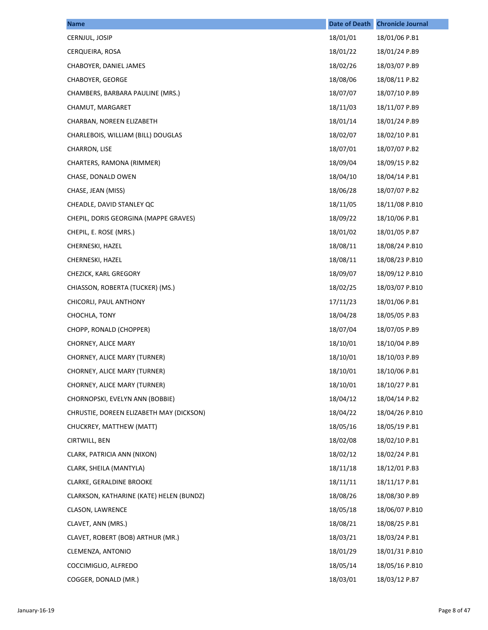| <b>Name</b>                              | <b>Date of Death</b> | <b>Chronicle Journal</b> |
|------------------------------------------|----------------------|--------------------------|
| CERNJUL, JOSIP                           | 18/01/01             | 18/01/06 P.B1            |
| CERQUEIRA, ROSA                          | 18/01/22             | 18/01/24 P.B9            |
| CHABOYER, DANIEL JAMES                   | 18/02/26             | 18/03/07 P.B9            |
| <b>CHABOYER, GEORGE</b>                  | 18/08/06             | 18/08/11 P.B2            |
| CHAMBERS, BARBARA PAULINE (MRS.)         | 18/07/07             | 18/07/10 P.B9            |
| CHAMUT, MARGARET                         | 18/11/03             | 18/11/07 P.B9            |
| CHARBAN, NOREEN ELIZABETH                | 18/01/14             | 18/01/24 P.B9            |
| CHARLEBOIS, WILLIAM (BILL) DOUGLAS       | 18/02/07             | 18/02/10 P.B1            |
| CHARRON, LISE                            | 18/07/01             | 18/07/07 P.B2            |
| CHARTERS, RAMONA (RIMMER)                | 18/09/04             | 18/09/15 P.B2            |
| CHASE, DONALD OWEN                       | 18/04/10             | 18/04/14 P.B1            |
| CHASE, JEAN (MISS)                       | 18/06/28             | 18/07/07 P.B2            |
| CHEADLE, DAVID STANLEY QC                | 18/11/05             | 18/11/08 P.B10           |
| CHEPIL, DORIS GEORGINA (MAPPE GRAVES)    | 18/09/22             | 18/10/06 P.B1            |
| CHEPIL, E. ROSE (MRS.)                   | 18/01/02             | 18/01/05 P.B7            |
| CHERNESKI, HAZEL                         | 18/08/11             | 18/08/24 P.B10           |
| CHERNESKI, HAZEL                         | 18/08/11             | 18/08/23 P.B10           |
| CHEZICK, KARL GREGORY                    | 18/09/07             | 18/09/12 P.B10           |
| CHIASSON, ROBERTA (TUCKER) (MS.)         | 18/02/25             | 18/03/07 P.B10           |
| CHICORLI, PAUL ANTHONY                   | 17/11/23             | 18/01/06 P.B1            |
| CHOCHLA, TONY                            | 18/04/28             | 18/05/05 P.B3            |
| CHOPP, RONALD (CHOPPER)                  | 18/07/04             | 18/07/05 P.B9            |
| CHORNEY, ALICE MARY                      | 18/10/01             | 18/10/04 P.B9            |
| CHORNEY, ALICE MARY (TURNER)             | 18/10/01             | 18/10/03 P.B9            |
| CHORNEY, ALICE MARY (TURNER)             | 18/10/01             | 18/10/06 P.B1            |
| CHORNEY, ALICE MARY (TURNER)             | 18/10/01             | 18/10/27 P.B1            |
| CHORNOPSKI, EVELYN ANN (BOBBIE)          | 18/04/12             | 18/04/14 P.B2            |
| CHRUSTIE, DOREEN ELIZABETH MAY (DICKSON) | 18/04/22             | 18/04/26 P.B10           |
| CHUCKREY, MATTHEW (MATT)                 | 18/05/16             | 18/05/19 P.B1            |
| CIRTWILL, BEN                            | 18/02/08             | 18/02/10 P.B1            |
| CLARK, PATRICIA ANN (NIXON)              | 18/02/12             | 18/02/24 P.B1            |
| CLARK, SHEILA (MANTYLA)                  | 18/11/18             | 18/12/01 P.B3            |
| CLARKE, GERALDINE BROOKE                 | 18/11/11             | 18/11/17 P.B1            |
| CLARKSON, KATHARINE (KATE) HELEN (BUNDZ) | 18/08/26             | 18/08/30 P.B9            |
| CLASON, LAWRENCE                         | 18/05/18             | 18/06/07 P.B10           |
| CLAVET, ANN (MRS.)                       | 18/08/21             | 18/08/25 P.B1            |
| CLAVET, ROBERT (BOB) ARTHUR (MR.)        | 18/03/21             | 18/03/24 P.B1            |
| CLEMENZA, ANTONIO                        | 18/01/29             | 18/01/31 P.B10           |
| COCCIMIGLIO, ALFREDO                     | 18/05/14             | 18/05/16 P.B10           |
| COGGER, DONALD (MR.)                     | 18/03/01             | 18/03/12 P.B7            |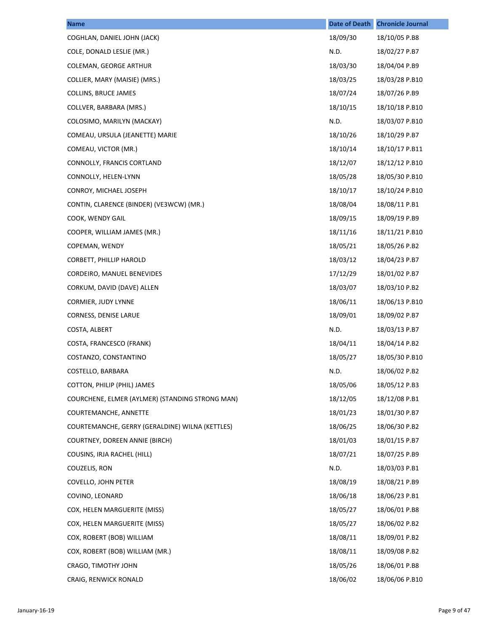| <b>Name</b>                                     | <b>Date of Death</b> | <b>Chronicle Journal</b> |
|-------------------------------------------------|----------------------|--------------------------|
| COGHLAN, DANIEL JOHN (JACK)                     | 18/09/30             | 18/10/05 P.B8            |
| COLE, DONALD LESLIE (MR.)                       | N.D.                 | 18/02/27 P.B7            |
| COLEMAN, GEORGE ARTHUR                          | 18/03/30             | 18/04/04 P.B9            |
| COLLIER, MARY (MAISIE) (MRS.)                   | 18/03/25             | 18/03/28 P.B10           |
| COLLINS, BRUCE JAMES                            | 18/07/24             | 18/07/26 P.B9            |
| COLLVER, BARBARA (MRS.)                         | 18/10/15             | 18/10/18 P.B10           |
| COLOSIMO, MARILYN (MACKAY)                      | N.D.                 | 18/03/07 P.B10           |
| COMEAU, URSULA (JEANETTE) MARIE                 | 18/10/26             | 18/10/29 P.B7            |
| COMEAU, VICTOR (MR.)                            | 18/10/14             | 18/10/17 P.B11           |
| CONNOLLY, FRANCIS CORTLAND                      | 18/12/07             | 18/12/12 P.B10           |
| CONNOLLY, HELEN-LYNN                            | 18/05/28             | 18/05/30 P.B10           |
| CONROY, MICHAEL JOSEPH                          | 18/10/17             | 18/10/24 P.B10           |
| CONTIN, CLARENCE (BINDER) (VE3WCW) (MR.)        | 18/08/04             | 18/08/11 P.B1            |
| COOK, WENDY GAIL                                | 18/09/15             | 18/09/19 P.B9            |
| COOPER, WILLIAM JAMES (MR.)                     | 18/11/16             | 18/11/21 P.B10           |
| COPEMAN, WENDY                                  | 18/05/21             | 18/05/26 P.B2            |
| CORBETT, PHILLIP HAROLD                         | 18/03/12             | 18/04/23 P.B7            |
| CORDEIRO, MANUEL BENEVIDES                      | 17/12/29             | 18/01/02 P.B7            |
| CORKUM, DAVID (DAVE) ALLEN                      | 18/03/07             | 18/03/10 P.B2            |
| <b>CORMIER, JUDY LYNNE</b>                      | 18/06/11             | 18/06/13 P.B10           |
| CORNESS, DENISE LARUE                           | 18/09/01             | 18/09/02 P.B7            |
| COSTA, ALBERT                                   | N.D.                 | 18/03/13 P.B7            |
| COSTA, FRANCESCO (FRANK)                        | 18/04/11             | 18/04/14 P.B2            |
| COSTANZO, CONSTANTINO                           | 18/05/27             | 18/05/30 P.B10           |
| COSTELLO, BARBARA                               | N.D.                 | 18/06/02 P.B2            |
| COTTON, PHILIP (PHIL) JAMES                     | 18/05/06             | 18/05/12 P.B3            |
| COURCHENE, ELMER (AYLMER) (STANDING STRONG MAN) | 18/12/05             | 18/12/08 P.B1            |
| COURTEMANCHE, ANNETTE                           | 18/01/23             | 18/01/30 P.B7            |
| COURTEMANCHE, GERRY (GERALDINE) WILNA (KETTLES) | 18/06/25             | 18/06/30 P.B2            |
| COURTNEY, DOREEN ANNIE (BIRCH)                  | 18/01/03             | 18/01/15 P.B7            |
| COUSINS, IRJA RACHEL (HILL)                     | 18/07/21             | 18/07/25 P.B9            |
| COUZELIS, RON                                   | N.D.                 | 18/03/03 P.B1            |
| <b>COVELLO, JOHN PETER</b>                      | 18/08/19             | 18/08/21 P.B9            |
| COVINO, LEONARD                                 | 18/06/18             | 18/06/23 P.B1            |
| COX, HELEN MARGUERITE (MISS)                    | 18/05/27             | 18/06/01 P.B8            |
| COX, HELEN MARGUERITE (MISS)                    | 18/05/27             | 18/06/02 P.B2            |
| COX, ROBERT (BOB) WILLIAM                       | 18/08/11             | 18/09/01 P.B2            |
| COX, ROBERT (BOB) WILLIAM (MR.)                 | 18/08/11             | 18/09/08 P.B2            |
| CRAGO, TIMOTHY JOHN                             | 18/05/26             | 18/06/01 P.B8            |
| CRAIG, RENWICK RONALD                           | 18/06/02             | 18/06/06 P.B10           |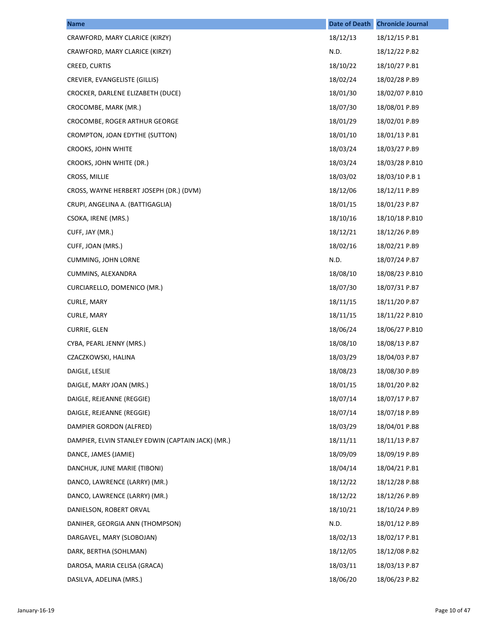| <b>Name</b>                                       | Date of Death | <b>Chronicle Journal</b> |
|---------------------------------------------------|---------------|--------------------------|
| CRAWFORD, MARY CLARICE (KIRZY)                    | 18/12/13      | 18/12/15 P.B1            |
| CRAWFORD, MARY CLARICE (KIRZY)                    | N.D.          | 18/12/22 P.B2            |
| CREED, CURTIS                                     | 18/10/22      | 18/10/27 P.B1            |
| CREVIER, EVANGELISTE (GILLIS)                     | 18/02/24      | 18/02/28 P.B9            |
| CROCKER, DARLENE ELIZABETH (DUCE)                 | 18/01/30      | 18/02/07 P.B10           |
| CROCOMBE, MARK (MR.)                              | 18/07/30      | 18/08/01 P.B9            |
| CROCOMBE, ROGER ARTHUR GEORGE                     | 18/01/29      | 18/02/01 P.B9            |
| CROMPTON, JOAN EDYTHE (SUTTON)                    | 18/01/10      | 18/01/13 P.B1            |
| CROOKS, JOHN WHITE                                | 18/03/24      | 18/03/27 P.B9            |
| CROOKS, JOHN WHITE (DR.)                          | 18/03/24      | 18/03/28 P.B10           |
| CROSS, MILLIE                                     | 18/03/02      | 18/03/10 P.B 1           |
| CROSS, WAYNE HERBERT JOSEPH (DR.) (DVM)           | 18/12/06      | 18/12/11 P.B9            |
| CRUPI, ANGELINA A. (BATTIGAGLIA)                  | 18/01/15      | 18/01/23 P.B7            |
| CSOKA, IRENE (MRS.)                               | 18/10/16      | 18/10/18 P.B10           |
| CUFF, JAY (MR.)                                   | 18/12/21      | 18/12/26 P.B9            |
| CUFF, JOAN (MRS.)                                 | 18/02/16      | 18/02/21 P.B9            |
| <b>CUMMING, JOHN LORNE</b>                        | N.D.          | 18/07/24 P.B7            |
| CUMMINS, ALEXANDRA                                | 18/08/10      | 18/08/23 P.B10           |
| CURCIARELLO, DOMENICO (MR.)                       | 18/07/30      | 18/07/31 P.B7            |
| CURLE, MARY                                       | 18/11/15      | 18/11/20 P.B7            |
| CURLE, MARY                                       | 18/11/15      | 18/11/22 P.B10           |
| CURRIE, GLEN                                      | 18/06/24      | 18/06/27 P.B10           |
| CYBA, PEARL JENNY (MRS.)                          | 18/08/10      | 18/08/13 P.B7            |
| CZACZKOWSKI, HALINA                               | 18/03/29      | 18/04/03 P.B7            |
| DAIGLE, LESLIE                                    | 18/08/23      | 18/08/30 P.B9            |
| DAIGLE, MARY JOAN (MRS.)                          | 18/01/15      | 18/01/20 P.B2            |
| DAIGLE, REJEANNE (REGGIE)                         | 18/07/14      | 18/07/17 P.B7            |
| DAIGLE, REJEANNE (REGGIE)                         | 18/07/14      | 18/07/18 P.B9            |
| DAMPIER GORDON (ALFRED)                           | 18/03/29      | 18/04/01 P.B8            |
| DAMPIER, ELVIN STANLEY EDWIN (CAPTAIN JACK) (MR.) | 18/11/11      | 18/11/13 P.B7            |
| DANCE, JAMES (JAMIE)                              | 18/09/09      | 18/09/19 P.B9            |
| DANCHUK, JUNE MARIE (TIBONI)                      | 18/04/14      | 18/04/21 P.B1            |
| DANCO, LAWRENCE (LARRY) (MR.)                     | 18/12/22      | 18/12/28 P.B8            |
| DANCO, LAWRENCE (LARRY) (MR.)                     | 18/12/22      | 18/12/26 P.B9            |
| DANIELSON, ROBERT ORVAL                           | 18/10/21      | 18/10/24 P.B9            |
| DANIHER, GEORGIA ANN (THOMPSON)                   | N.D.          | 18/01/12 P.B9            |
| DARGAVEL, MARY (SLOBOJAN)                         | 18/02/13      | 18/02/17 P.B1            |
| DARK, BERTHA (SOHLMAN)                            | 18/12/05      | 18/12/08 P.B2            |
| DAROSA, MARIA CELISA (GRACA)                      | 18/03/11      | 18/03/13 P.B7            |
| DASILVA, ADELINA (MRS.)                           | 18/06/20      | 18/06/23 P.B2            |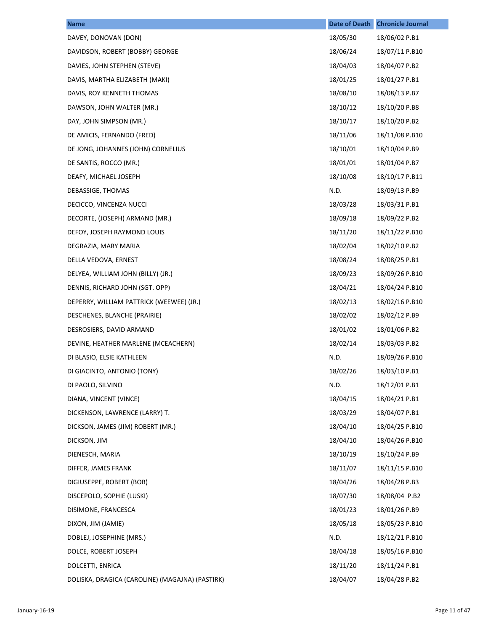| <b>Name</b>                                     | <b>Date of Death</b> | <b>Chronicle Journal</b> |
|-------------------------------------------------|----------------------|--------------------------|
| DAVEY, DONOVAN (DON)                            | 18/05/30             | 18/06/02 P.B1            |
| DAVIDSON, ROBERT (BOBBY) GEORGE                 | 18/06/24             | 18/07/11 P.B10           |
| DAVIES, JOHN STEPHEN (STEVE)                    | 18/04/03             | 18/04/07 P.B2            |
| DAVIS, MARTHA ELIZABETH (MAKI)                  | 18/01/25             | 18/01/27 P.B1            |
| DAVIS, ROY KENNETH THOMAS                       | 18/08/10             | 18/08/13 P.B7            |
| DAWSON, JOHN WALTER (MR.)                       | 18/10/12             | 18/10/20 P.B8            |
| DAY, JOHN SIMPSON (MR.)                         | 18/10/17             | 18/10/20 P.B2            |
| DE AMICIS, FERNANDO (FRED)                      | 18/11/06             | 18/11/08 P.B10           |
| DE JONG, JOHANNES (JOHN) CORNELIUS              | 18/10/01             | 18/10/04 P.B9            |
| DE SANTIS, ROCCO (MR.)                          | 18/01/01             | 18/01/04 P.B7            |
| DEAFY, MICHAEL JOSEPH                           | 18/10/08             | 18/10/17 P.B11           |
| DEBASSIGE, THOMAS                               | N.D.                 | 18/09/13 P.B9            |
| DECICCO, VINCENZA NUCCI                         | 18/03/28             | 18/03/31 P.B1            |
| DECORTE, (JOSEPH) ARMAND (MR.)                  | 18/09/18             | 18/09/22 P.B2            |
| DEFOY, JOSEPH RAYMOND LOUIS                     | 18/11/20             | 18/11/22 P.B10           |
| DEGRAZIA, MARY MARIA                            | 18/02/04             | 18/02/10 P.B2            |
| DELLA VEDOVA, ERNEST                            | 18/08/24             | 18/08/25 P.B1            |
| DELYEA, WILLIAM JOHN (BILLY) (JR.)              | 18/09/23             | 18/09/26 P.B10           |
| DENNIS, RICHARD JOHN (SGT. OPP)                 | 18/04/21             | 18/04/24 P.B10           |
| DEPERRY, WILLIAM PATTRICK (WEEWEE) (JR.)        | 18/02/13             | 18/02/16 P.B10           |
| DESCHENES, BLANCHE (PRAIRIE)                    | 18/02/02             | 18/02/12 P.B9            |
| DESROSIERS, DAVID ARMAND                        | 18/01/02             | 18/01/06 P.B2            |
| DEVINE, HEATHER MARLENE (MCEACHERN)             | 18/02/14             | 18/03/03 P.B2            |
| DI BLASIO, ELSIE KATHLEEN                       | N.D.                 | 18/09/26 P.B10           |
| DI GIACINTO, ANTONIO (TONY)                     | 18/02/26             | 18/03/10 P.B1            |
| DI PAOLO, SILVINO                               | N.D.                 | 18/12/01 P.B1            |
| DIANA, VINCENT (VINCE)                          | 18/04/15             | 18/04/21 P.B1            |
| DICKENSON, LAWRENCE (LARRY) T.                  | 18/03/29             | 18/04/07 P.B1            |
| DICKSON, JAMES (JIM) ROBERT (MR.)               | 18/04/10             | 18/04/25 P.B10           |
| DICKSON, JIM                                    | 18/04/10             | 18/04/26 P.B10           |
| DIENESCH, MARIA                                 | 18/10/19             | 18/10/24 P.B9            |
| DIFFER, JAMES FRANK                             | 18/11/07             | 18/11/15 P.B10           |
| DIGIUSEPPE, ROBERT (BOB)                        | 18/04/26             | 18/04/28 P.B3            |
| DISCEPOLO, SOPHIE (LUSKI)                       | 18/07/30             | 18/08/04 P.B2            |
| DISIMONE, FRANCESCA                             | 18/01/23             | 18/01/26 P.B9            |
| DIXON, JIM (JAMIE)                              | 18/05/18             | 18/05/23 P.B10           |
| DOBLEJ, JOSEPHINE (MRS.)                        | N.D.                 | 18/12/21 P.B10           |
| DOLCE, ROBERT JOSEPH                            | 18/04/18             | 18/05/16 P.B10           |
| DOLCETTI, ENRICA                                | 18/11/20             | 18/11/24 P.B1            |
| DOLISKA, DRAGICA (CAROLINE) (MAGAJNA) (PASTIRK) | 18/04/07             | 18/04/28 P.B2            |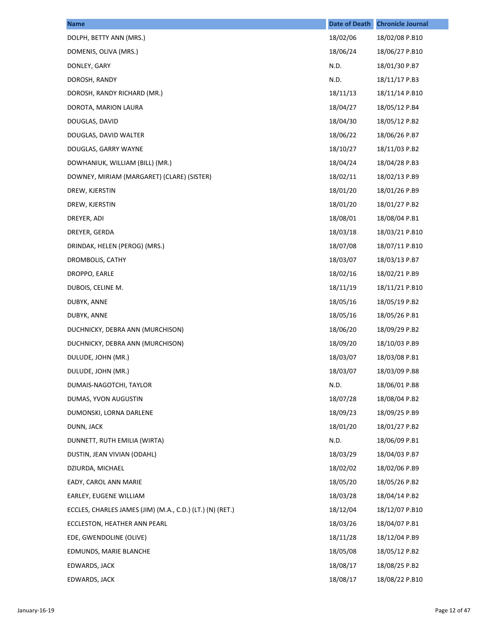| <b>Name</b>                                               | <b>Date of Death</b> | <b>Chronicle Journal</b> |
|-----------------------------------------------------------|----------------------|--------------------------|
| DOLPH, BETTY ANN (MRS.)                                   | 18/02/06             | 18/02/08 P.B10           |
| DOMENIS, OLIVA (MRS.)                                     | 18/06/24             | 18/06/27 P.B10           |
| DONLEY, GARY                                              | N.D.                 | 18/01/30 P.B7            |
| DOROSH, RANDY                                             | N.D.                 | 18/11/17 P.B3            |
| DOROSH, RANDY RICHARD (MR.)                               | 18/11/13             | 18/11/14 P.B10           |
| DOROTA, MARION LAURA                                      | 18/04/27             | 18/05/12 P.B4            |
| DOUGLAS, DAVID                                            | 18/04/30             | 18/05/12 P.B2            |
| DOUGLAS, DAVID WALTER                                     | 18/06/22             | 18/06/26 P.B7            |
| DOUGLAS, GARRY WAYNE                                      | 18/10/27             | 18/11/03 P.B2            |
| DOWHANIUK, WILLIAM (BILL) (MR.)                           | 18/04/24             | 18/04/28 P.B3            |
| DOWNEY, MIRIAM (MARGARET) (CLARE) (SISTER)                | 18/02/11             | 18/02/13 P.B9            |
| DREW, KJERSTIN                                            | 18/01/20             | 18/01/26 P.B9            |
| DREW, KJERSTIN                                            | 18/01/20             | 18/01/27 P.B2            |
| DREYER, ADI                                               | 18/08/01             | 18/08/04 P.B1            |
| DREYER, GERDA                                             | 18/03/18             | 18/03/21 P.B10           |
| DRINDAK, HELEN (PEROG) (MRS.)                             | 18/07/08             | 18/07/11 P.B10           |
| DROMBOLIS, CATHY                                          | 18/03/07             | 18/03/13 P.B7            |
| DROPPO, EARLE                                             | 18/02/16             | 18/02/21 P.B9            |
| DUBOIS, CELINE M.                                         | 18/11/19             | 18/11/21 P.B10           |
| DUBYK, ANNE                                               | 18/05/16             | 18/05/19 P.B2            |
| DUBYK, ANNE                                               | 18/05/16             | 18/05/26 P.B1            |
| DUCHNICKY, DEBRA ANN (MURCHISON)                          | 18/06/20             | 18/09/29 P.B2            |
| DUCHNICKY, DEBRA ANN (MURCHISON)                          | 18/09/20             | 18/10/03 P.B9            |
| DULUDE, JOHN (MR.)                                        | 18/03/07             | 18/03/08 P.B1            |
| DULUDE, JOHN (MR.)                                        | 18/03/07             | 18/03/09 P.B8            |
| DUMAIS-NAGOTCHI, TAYLOR                                   | N.D.                 | 18/06/01 P.B8            |
| DUMAS, YVON AUGUSTIN                                      | 18/07/28             | 18/08/04 P.B2            |
| DUMONSKI, LORNA DARLENE                                   | 18/09/23             | 18/09/25 P.B9            |
| DUNN, JACK                                                | 18/01/20             | 18/01/27 P.B2            |
| DUNNETT, RUTH EMILIA (WIRTA)                              | N.D.                 | 18/06/09 P.B1            |
| DUSTIN, JEAN VIVIAN (ODAHL)                               | 18/03/29             | 18/04/03 P.B7            |
| DZIURDA, MICHAEL                                          | 18/02/02             | 18/02/06 P.B9            |
| EADY, CAROL ANN MARIE                                     | 18/05/20             | 18/05/26 P.B2            |
| EARLEY, EUGENE WILLIAM                                    | 18/03/28             | 18/04/14 P.B2            |
| ECCLES, CHARLES JAMES (JIM) (M.A., C.D.) (LT.) (N) (RET.) | 18/12/04             | 18/12/07 P.B10           |
| ECCLESTON, HEATHER ANN PEARL                              | 18/03/26             | 18/04/07 P.B1            |
| EDE, GWENDOLINE (OLIVE)                                   | 18/11/28             | 18/12/04 P.B9            |
| EDMUNDS, MARIE BLANCHE                                    | 18/05/08             | 18/05/12 P.B2            |
| EDWARDS, JACK                                             | 18/08/17             | 18/08/25 P.B2            |
| EDWARDS, JACK                                             | 18/08/17             | 18/08/22 P.B10           |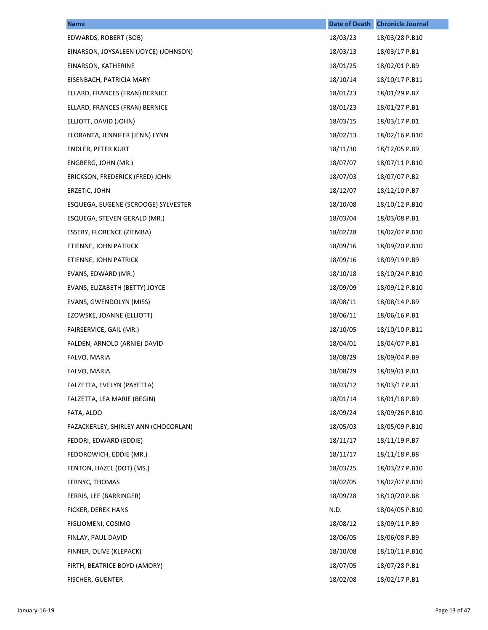| <b>Name</b>                           | <b>Date of Death</b> | <b>Chronicle Journal</b> |
|---------------------------------------|----------------------|--------------------------|
| EDWARDS, ROBERT (BOB)                 | 18/03/23             | 18/03/28 P.B10           |
| EINARSON, JOYSALEEN (JOYCE) (JOHNSON) | 18/03/13             | 18/03/17 P.B1            |
| EINARSON, KATHERINE                   | 18/01/25             | 18/02/01 P.B9            |
| EISENBACH, PATRICIA MARY              | 18/10/14             | 18/10/17 P.B11           |
| ELLARD, FRANCES (FRAN) BERNICE        | 18/01/23             | 18/01/29 P.B7            |
| ELLARD, FRANCES (FRAN) BERNICE        | 18/01/23             | 18/01/27 P.B1            |
| ELLIOTT, DAVID (JOHN)                 | 18/03/15             | 18/03/17 P.B1            |
| ELORANTA, JENNIFER (JENN) LYNN        | 18/02/13             | 18/02/16 P.B10           |
| <b>ENDLER, PETER KURT</b>             | 18/11/30             | 18/12/05 P.B9            |
| ENGBERG, JOHN (MR.)                   | 18/07/07             | 18/07/11 P.B10           |
| ERICKSON, FREDERICK (FRED) JOHN       | 18/07/03             | 18/07/07 P.B2            |
| ERZETIC, JOHN                         | 18/12/07             | 18/12/10 P.B7            |
| ESQUEGA, EUGENE (SCROOGE) SYLVESTER   | 18/10/08             | 18/10/12 P.B10           |
| ESQUEGA, STEVEN GERALD (MR.)          | 18/03/04             | 18/03/08 P.B1            |
| ESSERY, FLORENCE (ZIEMBA)             | 18/02/28             | 18/02/07 P.B10           |
| ETIENNE, JOHN PATRICK                 | 18/09/16             | 18/09/20 P.B10           |
| ETIENNE, JOHN PATRICK                 | 18/09/16             | 18/09/19 P.B9            |
| EVANS, EDWARD (MR.)                   | 18/10/18             | 18/10/24 P.B10           |
| EVANS, ELIZABETH (BETTY) JOYCE        | 18/09/09             | 18/09/12 P.B10           |
| EVANS, GWENDOLYN (MISS)               | 18/08/11             | 18/08/14 P.B9            |
| EZOWSKE, JOANNE (ELLIOTT)             | 18/06/11             | 18/06/16 P.B1            |
| FAIRSERVICE, GAIL (MR.)               | 18/10/05             | 18/10/10 P.B11           |
| FALDEN, ARNOLD (ARNIE) DAVID          | 18/04/01             | 18/04/07 P.B1            |
| FALVO, MARIA                          | 18/08/29             | 18/09/04 P.B9            |
| FALVO, MARIA                          | 18/08/29             | 18/09/01 P.B1            |
| FALZETTA, EVELYN (PAYETTA)            | 18/03/12             | 18/03/17 P.B1            |
| FALZETTA, LEA MARIE (BEGIN)           | 18/01/14             | 18/01/18 P.B9            |
| FATA, ALDO                            | 18/09/24             | 18/09/26 P.B10           |
| FAZACKERLEY, SHIRLEY ANN (CHOCORLAN)  | 18/05/03             | 18/05/09 P.B10           |
| FEDORI, EDWARD (EDDIE)                | 18/11/17             | 18/11/19 P.B7            |
| FEDOROWICH, EDDIE (MR.)               | 18/11/17             | 18/11/18 P.B8            |
| FENTON, HAZEL (DOT) (MS.)             | 18/03/25             | 18/03/27 P.B10           |
| FERNYC, THOMAS                        | 18/02/05             | 18/02/07 P.B10           |
| FERRIS, LEE (BARRINGER)               | 18/09/28             | 18/10/20 P.B8            |
| FICKER, DEREK HANS                    | N.D.                 | 18/04/05 P.B10           |
| FIGLIOMENI, COSIMO                    | 18/08/12             | 18/09/11 P.B9            |
| FINLAY, PAUL DAVID                    | 18/06/05             | 18/06/08 P.B9            |
| FINNER, OLIVE (KLEPACK)               | 18/10/08             | 18/10/11 P.B10           |
| FIRTH, BEATRICE BOYD (AMORY)          | 18/07/05             | 18/07/28 P.B1            |
| FISCHER, GUENTER                      | 18/02/08             | 18/02/17 P.B1            |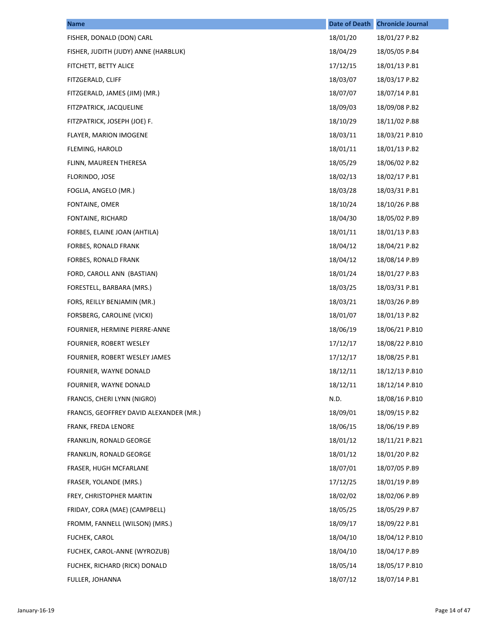| <b>Name</b>                             | <b>Date of Death</b> | <b>Chronicle Journal</b> |
|-----------------------------------------|----------------------|--------------------------|
| FISHER, DONALD (DON) CARL               | 18/01/20             | 18/01/27 P.B2            |
| FISHER, JUDITH (JUDY) ANNE (HARBLUK)    | 18/04/29             | 18/05/05 P.B4            |
| FITCHETT, BETTY ALICE                   | 17/12/15             | 18/01/13 P.B1            |
| FITZGERALD, CLIFF                       | 18/03/07             | 18/03/17 P.B2            |
| FITZGERALD, JAMES (JIM) (MR.)           | 18/07/07             | 18/07/14 P.B1            |
| FITZPATRICK, JACQUELINE                 | 18/09/03             | 18/09/08 P.B2            |
| FITZPATRICK, JOSEPH (JOE) F.            | 18/10/29             | 18/11/02 P.B8            |
| FLAYER, MARION IMOGENE                  | 18/03/11             | 18/03/21 P.B10           |
| FLEMING, HAROLD                         | 18/01/11             | 18/01/13 P.B2            |
| FLINN, MAUREEN THERESA                  | 18/05/29             | 18/06/02 P.B2            |
| FLORINDO, JOSE                          | 18/02/13             | 18/02/17 P.B1            |
| FOGLIA, ANGELO (MR.)                    | 18/03/28             | 18/03/31 P.B1            |
| FONTAINE, OMER                          | 18/10/24             | 18/10/26 P.B8            |
| FONTAINE, RICHARD                       | 18/04/30             | 18/05/02 P.B9            |
| FORBES, ELAINE JOAN (AHTILA)            | 18/01/11             | 18/01/13 P.B3            |
| FORBES, RONALD FRANK                    | 18/04/12             | 18/04/21 P.B2            |
| FORBES, RONALD FRANK                    | 18/04/12             | 18/08/14 P.B9            |
| FORD, CAROLL ANN (BASTIAN)              | 18/01/24             | 18/01/27 P.B3            |
| FORESTELL, BARBARA (MRS.)               | 18/03/25             | 18/03/31 P.B1            |
| FORS, REILLY BENJAMIN (MR.)             | 18/03/21             | 18/03/26 P.B9            |
| FORSBERG, CAROLINE (VICKI)              | 18/01/07             | 18/01/13 P.B2            |
| FOURNIER, HERMINE PIERRE-ANNE           | 18/06/19             | 18/06/21 P.B10           |
| FOURNIER, ROBERT WESLEY                 | 17/12/17             | 18/08/22 P.B10           |
| FOURNIER, ROBERT WESLEY JAMES           | 17/12/17             | 18/08/25 P.B1            |
| FOURNIER, WAYNE DONALD                  | 18/12/11             | 18/12/13 P.B10           |
| FOURNIER, WAYNE DONALD                  | 18/12/11             | 18/12/14 P.B10           |
| FRANCIS, CHERI LYNN (NIGRO)             | N.D.                 | 18/08/16 P.B10           |
| FRANCIS, GEOFFREY DAVID ALEXANDER (MR.) | 18/09/01             | 18/09/15 P.B2            |
| FRANK, FREDA LENORE                     | 18/06/15             | 18/06/19 P.B9            |
| FRANKLIN, RONALD GEORGE                 | 18/01/12             | 18/11/21 P.B21           |
| FRANKLIN, RONALD GEORGE                 | 18/01/12             | 18/01/20 P.B2            |
| FRASER, HUGH MCFARLANE                  | 18/07/01             | 18/07/05 P.B9            |
| FRASER, YOLANDE (MRS.)                  | 17/12/25             | 18/01/19 P.B9            |
| FREY, CHRISTOPHER MARTIN                | 18/02/02             | 18/02/06 P.B9            |
| FRIDAY, CORA (MAE) (CAMPBELL)           | 18/05/25             | 18/05/29 P.B7            |
| FROMM, FANNELL (WILSON) (MRS.)          | 18/09/17             | 18/09/22 P.B1            |
| FUCHEK, CAROL                           | 18/04/10             | 18/04/12 P.B10           |
| FUCHEK, CAROL-ANNE (WYROZUB)            | 18/04/10             | 18/04/17 P.B9            |
| FUCHEK, RICHARD (RICK) DONALD           | 18/05/14             | 18/05/17 P.B10           |
| FULLER, JOHANNA                         | 18/07/12             | 18/07/14 P.B1            |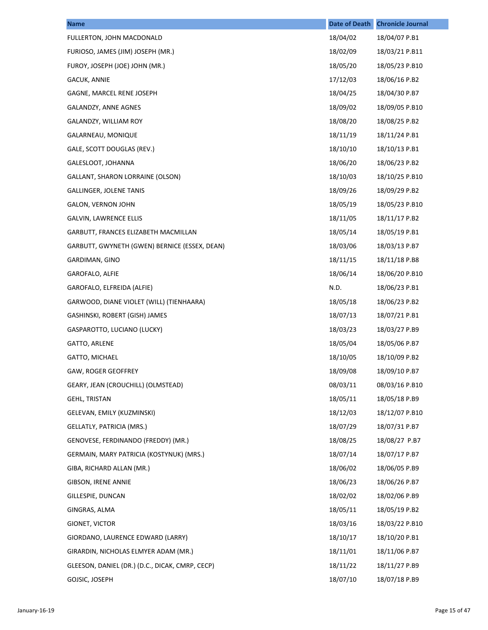| <b>Name</b>                                     | <b>Date of Death</b> | <b>Chronicle Journal</b> |
|-------------------------------------------------|----------------------|--------------------------|
| FULLERTON, JOHN MACDONALD                       | 18/04/02             | 18/04/07 P.B1            |
| FURIOSO, JAMES (JIM) JOSEPH (MR.)               | 18/02/09             | 18/03/21 P.B11           |
| FUROY, JOSEPH (JOE) JOHN (MR.)                  | 18/05/20             | 18/05/23 P.B10           |
| GACUK, ANNIE                                    | 17/12/03             | 18/06/16 P.B2            |
| GAGNE, MARCEL RENE JOSEPH                       | 18/04/25             | 18/04/30 P.B7            |
| GALANDZY, ANNE AGNES                            | 18/09/02             | 18/09/05 P.B10           |
| GALANDZY, WILLIAM ROY                           | 18/08/20             | 18/08/25 P.B2            |
| GALARNEAU, MONIQUE                              | 18/11/19             | 18/11/24 P.B1            |
| GALE, SCOTT DOUGLAS (REV.)                      | 18/10/10             | 18/10/13 P.B1            |
| GALESLOOT, JOHANNA                              | 18/06/20             | 18/06/23 P.B2            |
| GALLANT, SHARON LORRAINE (OLSON)                | 18/10/03             | 18/10/25 P.B10           |
| <b>GALLINGER, JOLENE TANIS</b>                  | 18/09/26             | 18/09/29 P.B2            |
| <b>GALON, VERNON JOHN</b>                       | 18/05/19             | 18/05/23 P.B10           |
| GALVIN, LAWRENCE ELLIS                          | 18/11/05             | 18/11/17 P.B2            |
| GARBUTT, FRANCES ELIZABETH MACMILLAN            | 18/05/14             | 18/05/19 P.B1            |
| GARBUTT, GWYNETH (GWEN) BERNICE (ESSEX, DEAN)   | 18/03/06             | 18/03/13 P.B7            |
| GARDIMAN, GINO                                  | 18/11/15             | 18/11/18 P.B8            |
| GAROFALO, ALFIE                                 | 18/06/14             | 18/06/20 P.B10           |
| GAROFALO, ELFREIDA (ALFIE)                      | N.D.                 | 18/06/23 P.B1            |
| GARWOOD, DIANE VIOLET (WILL) (TIENHAARA)        | 18/05/18             | 18/06/23 P.B2            |
| GASHINSKI, ROBERT (GISH) JAMES                  | 18/07/13             | 18/07/21 P.B1            |
| GASPAROTTO, LUCIANO (LUCKY)                     | 18/03/23             | 18/03/27 P.B9            |
| GATTO, ARLENE                                   | 18/05/04             | 18/05/06 P.B7            |
| GATTO, MICHAEL                                  | 18/10/05             | 18/10/09 P.B2            |
| GAW, ROGER GEOFFREY                             | 18/09/08             | 18/09/10 P.B7            |
| GEARY, JEAN (CROUCHILL) (OLMSTEAD)              | 08/03/11             | 08/03/16 P.B10           |
| <b>GEHL, TRISTAN</b>                            | 18/05/11             | 18/05/18 P.B9            |
| GELEVAN, EMILY (KUZMINSKI)                      | 18/12/03             | 18/12/07 P.B10           |
| GELLATLY, PATRICIA (MRS.)                       | 18/07/29             | 18/07/31 P.B7            |
| GENOVESE, FERDINANDO (FREDDY) (MR.)             | 18/08/25             | 18/08/27 P.B7            |
| GERMAIN, MARY PATRICIA (KOSTYNUK) (MRS.)        | 18/07/14             | 18/07/17 P.B7            |
| GIBA, RICHARD ALLAN (MR.)                       | 18/06/02             | 18/06/05 P.B9            |
| GIBSON, IRENE ANNIE                             | 18/06/23             | 18/06/26 P.B7            |
| GILLESPIE, DUNCAN                               | 18/02/02             | 18/02/06 P.B9            |
| GINGRAS, ALMA                                   | 18/05/11             | 18/05/19 P.B2            |
| GIONET, VICTOR                                  | 18/03/16             | 18/03/22 P.B10           |
| GIORDANO, LAURENCE EDWARD (LARRY)               | 18/10/17             | 18/10/20 P.B1            |
| GIRARDIN, NICHOLAS ELMYER ADAM (MR.)            | 18/11/01             | 18/11/06 P.B7            |
| GLEESON, DANIEL (DR.) (D.C., DICAK, CMRP, CECP) | 18/11/22             | 18/11/27 P.B9            |
| GOJSIC, JOSEPH                                  | 18/07/10             | 18/07/18 P.B9            |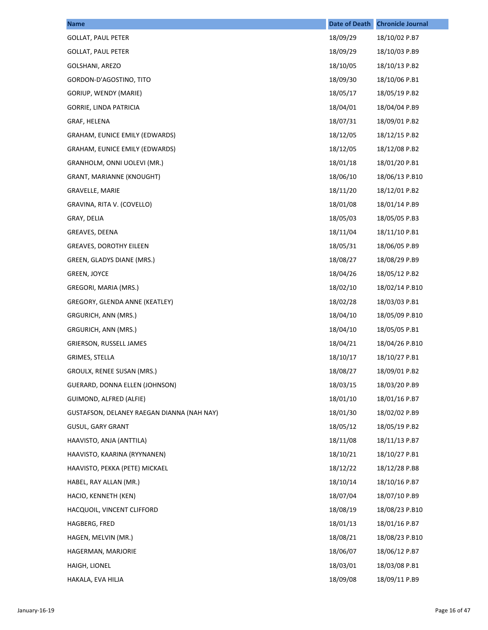| <b>Name</b>                                | <b>Date of Death</b> | <b>Chronicle Journal</b> |
|--------------------------------------------|----------------------|--------------------------|
| <b>GOLLAT, PAUL PETER</b>                  | 18/09/29             | 18/10/02 P.B7            |
| <b>GOLLAT, PAUL PETER</b>                  | 18/09/29             | 18/10/03 P.B9            |
| GOLSHANI, AREZO                            | 18/10/05             | 18/10/13 P.B2            |
| GORDON-D'AGOSTINO, TITO                    | 18/09/30             | 18/10/06 P.B1            |
| GORIUP, WENDY (MARIE)                      | 18/05/17             | 18/05/19 P.B2            |
| GORRIE, LINDA PATRICIA                     | 18/04/01             | 18/04/04 P.B9            |
| GRAF, HELENA                               | 18/07/31             | 18/09/01 P.B2            |
| GRAHAM, EUNICE EMILY (EDWARDS)             | 18/12/05             | 18/12/15 P.B2            |
| GRAHAM, EUNICE EMILY (EDWARDS)             | 18/12/05             | 18/12/08 P.B2            |
| GRANHOLM, ONNI UOLEVI (MR.)                | 18/01/18             | 18/01/20 P.B1            |
| GRANT, MARIANNE (KNOUGHT)                  | 18/06/10             | 18/06/13 P.B10           |
| <b>GRAVELLE, MARIE</b>                     | 18/11/20             | 18/12/01 P.B2            |
| GRAVINA, RITA V. (COVELLO)                 | 18/01/08             | 18/01/14 P.B9            |
| GRAY, DELIA                                | 18/05/03             | 18/05/05 P.B3            |
| GREAVES, DEENA                             | 18/11/04             | 18/11/10 P.B1            |
| <b>GREAVES, DOROTHY EILEEN</b>             | 18/05/31             | 18/06/05 P.B9            |
| GREEN, GLADYS DIANE (MRS.)                 | 18/08/27             | 18/08/29 P.B9            |
| <b>GREEN, JOYCE</b>                        | 18/04/26             | 18/05/12 P.B2            |
| GREGORI, MARIA (MRS.)                      | 18/02/10             | 18/02/14 P.B10           |
| GREGORY, GLENDA ANNE (KEATLEY)             | 18/02/28             | 18/03/03 P.B1            |
| GRGURICH, ANN (MRS.)                       | 18/04/10             | 18/05/09 P.B10           |
| GRGURICH, ANN (MRS.)                       | 18/04/10             | 18/05/05 P.B1            |
| GRIERSON, RUSSELL JAMES                    | 18/04/21             | 18/04/26 P.B10           |
| GRIMES, STELLA                             | 18/10/17             | 18/10/27 P.B1            |
| GROULX, RENEE SUSAN (MRS.)                 | 18/08/27             | 18/09/01 P.B2            |
| GUERARD, DONNA ELLEN (JOHNSON)             | 18/03/15             | 18/03/20 P.B9            |
| GUIMOND, ALFRED (ALFIE)                    | 18/01/10             | 18/01/16 P.B7            |
| GUSTAFSON, DELANEY RAEGAN DIANNA (NAH NAY) | 18/01/30             | 18/02/02 P.B9            |
| <b>GUSUL, GARY GRANT</b>                   | 18/05/12             | 18/05/19 P.B2            |
| HAAVISTO, ANJA (ANTTILA)                   | 18/11/08             | 18/11/13 P.B7            |
| HAAVISTO, KAARINA (RYYNANEN)               | 18/10/21             | 18/10/27 P.B1            |
| HAAVISTO, PEKKA (PETE) MICKAEL             | 18/12/22             | 18/12/28 P.B8            |
| HABEL, RAY ALLAN (MR.)                     | 18/10/14             | 18/10/16 P.B7            |
| HACIO, KENNETH (KEN)                       | 18/07/04             | 18/07/10 P.B9            |
| HACQUOIL, VINCENT CLIFFORD                 | 18/08/19             | 18/08/23 P.B10           |
| HAGBERG, FRED                              | 18/01/13             | 18/01/16 P.B7            |
| HAGEN, MELVIN (MR.)                        | 18/08/21             | 18/08/23 P.B10           |
| HAGERMAN, MARJORIE                         | 18/06/07             | 18/06/12 P.B7            |
| HAIGH, LIONEL                              | 18/03/01             | 18/03/08 P.B1            |
| HAKALA, EVA HILJA                          | 18/09/08             | 18/09/11 P.B9            |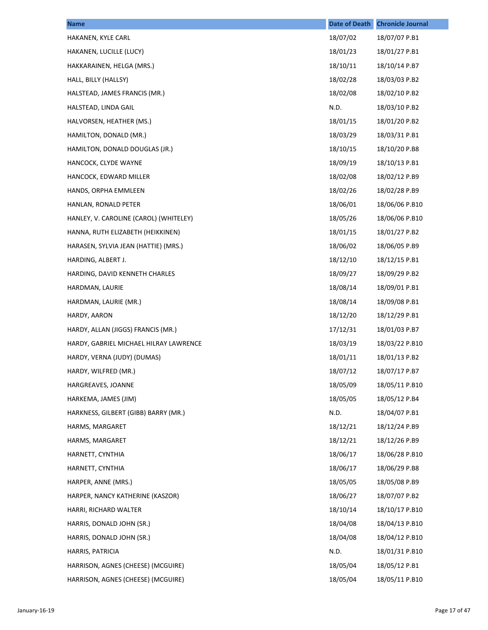| <b>Name</b>                            | <b>Date of Death</b> | <b>Chronicle Journal</b> |
|----------------------------------------|----------------------|--------------------------|
| HAKANEN, KYLE CARL                     | 18/07/02             | 18/07/07 P.B1            |
| HAKANEN, LUCILLE (LUCY)                | 18/01/23             | 18/01/27 P.B1            |
| HAKKARAINEN, HELGA (MRS.)              | 18/10/11             | 18/10/14 P.B7            |
| HALL, BILLY (HALLSY)                   | 18/02/28             | 18/03/03 P.B2            |
| HALSTEAD, JAMES FRANCIS (MR.)          | 18/02/08             | 18/02/10 P.B2            |
| HALSTEAD, LINDA GAIL                   | N.D.                 | 18/03/10 P.B2            |
| HALVORSEN, HEATHER (MS.)               | 18/01/15             | 18/01/20 P.B2            |
| HAMILTON, DONALD (MR.)                 | 18/03/29             | 18/03/31 P.B1            |
| HAMILTON, DONALD DOUGLAS (JR.)         | 18/10/15             | 18/10/20 P.B8            |
| HANCOCK, CLYDE WAYNE                   | 18/09/19             | 18/10/13 P.B1            |
| HANCOCK, EDWARD MILLER                 | 18/02/08             | 18/02/12 P.B9            |
| HANDS, ORPHA EMMLEEN                   | 18/02/26             | 18/02/28 P.B9            |
| HANLAN, RONALD PETER                   | 18/06/01             | 18/06/06 P.B10           |
| HANLEY, V. CAROLINE (CAROL) (WHITELEY) | 18/05/26             | 18/06/06 P.B10           |
| HANNA, RUTH ELIZABETH (HEIKKINEN)      | 18/01/15             | 18/01/27 P.B2            |
| HARASEN, SYLVIA JEAN (HATTIE) (MRS.)   | 18/06/02             | 18/06/05 P.B9            |
| HARDING, ALBERT J.                     | 18/12/10             | 18/12/15 P.B1            |
| HARDING, DAVID KENNETH CHARLES         | 18/09/27             | 18/09/29 P.B2            |
| HARDMAN, LAURIE                        | 18/08/14             | 18/09/01 P.B1            |
| HARDMAN, LAURIE (MR.)                  | 18/08/14             | 18/09/08 P.B1            |
| HARDY, AARON                           | 18/12/20             | 18/12/29 P.B1            |
| HARDY, ALLAN (JIGGS) FRANCIS (MR.)     | 17/12/31             | 18/01/03 P.B7            |
| HARDY, GABRIEL MICHAEL HILRAY LAWRENCE | 18/03/19             | 18/03/22 P.B10           |
| HARDY, VERNA (JUDY) (DUMAS)            | 18/01/11             | 18/01/13 P.B2            |
| HARDY, WILFRED (MR.)                   | 18/07/12             | 18/07/17 P.B7            |
| HARGREAVES, JOANNE                     | 18/05/09             | 18/05/11 P.B10           |
| HARKEMA, JAMES (JIM)                   | 18/05/05             | 18/05/12 P.B4            |
| HARKNESS, GILBERT (GIBB) BARRY (MR.)   | N.D.                 | 18/04/07 P.B1            |
| HARMS, MARGARET                        | 18/12/21             | 18/12/24 P.B9            |
| HARMS, MARGARET                        | 18/12/21             | 18/12/26 P.B9            |
| HARNETT, CYNTHIA                       | 18/06/17             | 18/06/28 P.B10           |
| HARNETT, CYNTHIA                       | 18/06/17             | 18/06/29 P.B8            |
| HARPER, ANNE (MRS.)                    | 18/05/05             | 18/05/08 P.B9            |
| HARPER, NANCY KATHERINE (KASZOR)       | 18/06/27             | 18/07/07 P.B2            |
| HARRI, RICHARD WALTER                  | 18/10/14             | 18/10/17 P.B10           |
| HARRIS, DONALD JOHN (SR.)              | 18/04/08             | 18/04/13 P.B10           |
| HARRIS, DONALD JOHN (SR.)              | 18/04/08             | 18/04/12 P.B10           |
| HARRIS, PATRICIA                       | N.D.                 | 18/01/31 P.B10           |
| HARRISON, AGNES (CHEESE) (MCGUIRE)     | 18/05/04             | 18/05/12 P.B1            |
| HARRISON, AGNES (CHEESE) (MCGUIRE)     | 18/05/04             | 18/05/11 P.B10           |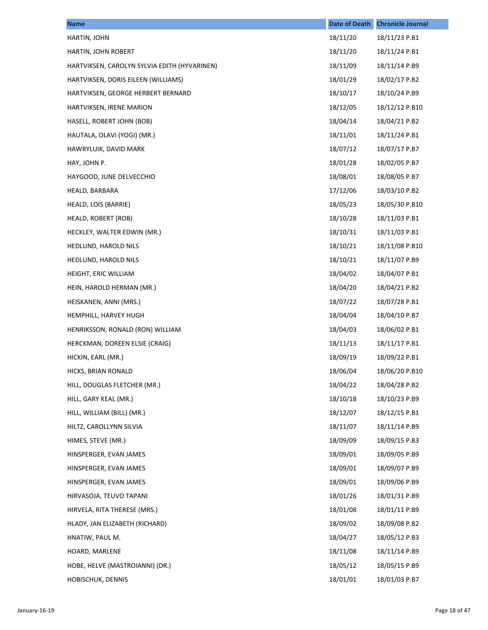| <b>Name</b>                                  | <b>Date of Death</b> | <b>Chronicle Journal</b> |
|----------------------------------------------|----------------------|--------------------------|
| HARTIN, JOHN                                 | 18/11/20             | 18/11/23 P.B1            |
| HARTIN, JOHN ROBERT                          | 18/11/20             | 18/11/24 P.B1            |
| HARTVIKSEN, CAROLYN SYLVIA EDITH (HYVARINEN) | 18/11/09             | 18/11/14 P.B9            |
| HARTVIKSEN, DORIS EILEEN (WILLIAMS)          | 18/01/29             | 18/02/17 P.B2            |
| HARTVIKSEN, GEORGE HERBERT BERNARD           | 18/10/17             | 18/10/24 P.B9            |
| HARTVIKSEN, IRENE MARION                     | 18/12/05             | 18/12/12 P.B10           |
| HASELL, ROBERT JOHN (BOB)                    | 18/04/14             | 18/04/21 P.B2            |
| HAUTALA, OLAVI (YOGI) (MR.)                  | 18/11/01             | 18/11/24 P.B1            |
| HAWRYLUIK, DAVID MARK                        | 18/07/12             | 18/07/17 P.B7            |
| HAY, JOHN P.                                 | 18/01/28             | 18/02/05 P.B7            |
| HAYGOOD, JUNE DELVECCHIO                     | 18/08/01             | 18/08/05 P.B7            |
| HEALD, BARBARA                               | 17/12/06             | 18/03/10 P.B2            |
| HEALD, LOIS (BARRIE)                         | 18/05/23             | 18/05/30 P.B10           |
| HEALD, ROBERT (ROB)                          | 18/10/28             | 18/11/03 P.B1            |
| HECKLEY, WALTER EDWIN (MR.)                  | 18/10/31             | 18/11/03 P.B1            |
| HEDLUND, HAROLD NILS                         | 18/10/21             | 18/11/08 P.B10           |
| HEDLUND, HAROLD NILS                         | 18/10/21             | 18/11/07 P.B9            |
| HEIGHT, ERIC WILLIAM                         | 18/04/02             | 18/04/07 P.B1            |
| HEIN, HAROLD HERMAN (MR.)                    | 18/04/20             | 18/04/21 P.B2            |
| HEISKANEN, ANNI (MRS.)                       | 18/07/22             | 18/07/28 P.B1            |
| HEMPHILL, HARVEY HUGH                        | 18/04/04             | 18/04/10 P.B7            |
| HENRIKSSON, RONALD (RON) WILLIAM             | 18/04/03             | 18/06/02 P.B1            |
| HERCKMAN, DOREEN ELSIE (CRAIG)               | 18/11/13             | 18/11/17 P.B1            |
| HICKIN, EARL (MR.)                           | 18/09/19             | 18/09/22 P.B1            |
| HICKS, BRIAN RONALD                          | 18/06/04             | 18/06/20 P.B10           |
| HILL, DOUGLAS FLETCHER (MR.)                 | 18/04/22             | 18/04/28 P.B2            |
| HILL, GARY KEAL (MR.)                        | 18/10/18             | 18/10/23 P.B9            |
| HILL, WILLIAM (BILL) (MR.)                   | 18/12/07             | 18/12/15 P.B1            |
| HILTZ, CAROLLYNN SILVIA                      | 18/11/07             | 18/11/14 P.B9            |
| HIMES, STEVE (MR.)                           | 18/09/09             | 18/09/15 P.B3            |
| HINSPERGER, EVAN JAMES                       | 18/09/01             | 18/09/05 P.B9            |
| HINSPERGER, EVAN JAMES                       | 18/09/01             | 18/09/07 P.B9            |
| HINSPERGER, EVAN JAMES                       | 18/09/01             | 18/09/06 P.B9            |
| HIRVASOJA, TEUVO TAPANI                      | 18/01/26             | 18/01/31 P.B9            |
| HIRVELA, RITA THERESE (MRS.)                 | 18/01/08             | 18/01/11 P.B9            |
| HLADY, JAN ELIZABETH (RICHARD)               | 18/09/02             | 18/09/08 P.B2            |
| HNATIW, PAUL M.                              | 18/04/27             | 18/05/12 P.B3            |
| HOARD, MARLENE                               | 18/11/08             | 18/11/14 P.B9            |
| HOBE, HELVE (MASTROIANNI) (DR.)              | 18/05/12             | 18/05/15 P.B9            |
| HOBISCHUK, DENNIS                            | 18/01/01             | 18/01/03 P.B7            |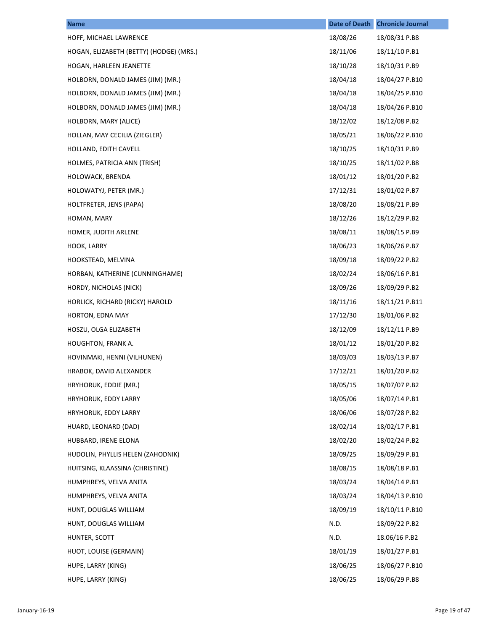| <b>Name</b>                             | <b>Date of Death</b> | <b>Chronicle Journal</b> |
|-----------------------------------------|----------------------|--------------------------|
| HOFF, MICHAEL LAWRENCE                  | 18/08/26             | 18/08/31 P.B8            |
| HOGAN, ELIZABETH (BETTY) (HODGE) (MRS.) | 18/11/06             | 18/11/10 P.B1            |
| HOGAN, HARLEEN JEANETTE                 | 18/10/28             | 18/10/31 P.B9            |
| HOLBORN, DONALD JAMES (JIM) (MR.)       | 18/04/18             | 18/04/27 P.B10           |
| HOLBORN, DONALD JAMES (JIM) (MR.)       | 18/04/18             | 18/04/25 P.B10           |
| HOLBORN, DONALD JAMES (JIM) (MR.)       | 18/04/18             | 18/04/26 P.B10           |
| HOLBORN, MARY (ALICE)                   | 18/12/02             | 18/12/08 P.B2            |
| HOLLAN, MAY CECILIA (ZIEGLER)           | 18/05/21             | 18/06/22 P.B10           |
| HOLLAND, EDITH CAVELL                   | 18/10/25             | 18/10/31 P.B9            |
| HOLMES, PATRICIA ANN (TRISH)            | 18/10/25             | 18/11/02 P.B8            |
| HOLOWACK, BRENDA                        | 18/01/12             | 18/01/20 P.B2            |
| HOLOWATYJ, PETER (MR.)                  | 17/12/31             | 18/01/02 P.B7            |
| HOLTFRETER, JENS (PAPA)                 | 18/08/20             | 18/08/21 P.B9            |
| HOMAN, MARY                             | 18/12/26             | 18/12/29 P.B2            |
| HOMER, JUDITH ARLENE                    | 18/08/11             | 18/08/15 P.B9            |
| HOOK, LARRY                             | 18/06/23             | 18/06/26 P.B7            |
| HOOKSTEAD, MELVINA                      | 18/09/18             | 18/09/22 P.B2            |
| HORBAN, KATHERINE (CUNNINGHAME)         | 18/02/24             | 18/06/16 P.B1            |
| HORDY, NICHOLAS (NICK)                  | 18/09/26             | 18/09/29 P.B2            |
| HORLICK, RICHARD (RICKY) HAROLD         | 18/11/16             | 18/11/21 P.B11           |
| HORTON, EDNA MAY                        | 17/12/30             | 18/01/06 P.B2            |
| HOSZU, OLGA ELIZABETH                   | 18/12/09             | 18/12/11 P.B9            |
| <b>HOUGHTON, FRANK A.</b>               | 18/01/12             | 18/01/20 P.B2            |
| HOVINMAKI, HENNI (VILHUNEN)             | 18/03/03             | 18/03/13 P.B7            |
| HRABOK, DAVID ALEXANDER                 | 17/12/21             | 18/01/20 P.B2            |
| HRYHORUK, EDDIE (MR.)                   | 18/05/15             | 18/07/07 P.B2            |
| HRYHORUK, EDDY LARRY                    | 18/05/06             | 18/07/14 P.B1            |
| HRYHORUK, EDDY LARRY                    | 18/06/06             | 18/07/28 P.B2            |
| HUARD, LEONARD (DAD)                    | 18/02/14             | 18/02/17 P.B1            |
| HUBBARD, IRENE ELONA                    | 18/02/20             | 18/02/24 P.B2            |
| HUDOLIN, PHYLLIS HELEN (ZAHODNIK)       | 18/09/25             | 18/09/29 P.B1            |
| HUITSING, KLAASSINA (CHRISTINE)         | 18/08/15             | 18/08/18 P.B1            |
| HUMPHREYS, VELVA ANITA                  | 18/03/24             | 18/04/14 P.B1            |
| HUMPHREYS, VELVA ANITA                  | 18/03/24             | 18/04/13 P.B10           |
| HUNT, DOUGLAS WILLIAM                   | 18/09/19             | 18/10/11 P.B10           |
| HUNT, DOUGLAS WILLIAM                   | N.D.                 | 18/09/22 P.B2            |
| HUNTER, SCOTT                           | N.D.                 | 18.06/16 P.B2            |
| HUOT, LOUISE (GERMAIN)                  | 18/01/19             | 18/01/27 P.B1            |
| HUPE, LARRY (KING)                      | 18/06/25             | 18/06/27 P.B10           |
| HUPE, LARRY (KING)                      | 18/06/25             | 18/06/29 P.B8            |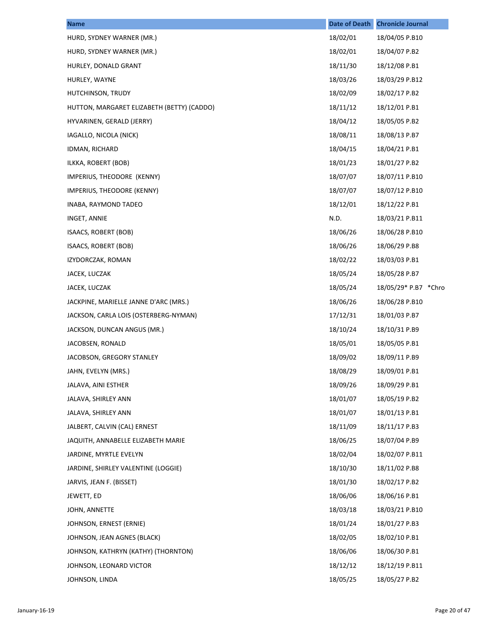| <b>Name</b>                                | Date of Death | <b>Chronicle Journal</b> |
|--------------------------------------------|---------------|--------------------------|
| HURD, SYDNEY WARNER (MR.)                  | 18/02/01      | 18/04/05 P.B10           |
| HURD, SYDNEY WARNER (MR.)                  | 18/02/01      | 18/04/07 P.B2            |
| HURLEY, DONALD GRANT                       | 18/11/30      | 18/12/08 P.B1            |
| HURLEY, WAYNE                              | 18/03/26      | 18/03/29 P.B12           |
| HUTCHINSON, TRUDY                          | 18/02/09      | 18/02/17 P.B2            |
| HUTTON, MARGARET ELIZABETH (BETTY) (CADDO) | 18/11/12      | 18/12/01 P.B1            |
| HYVARINEN, GERALD (JERRY)                  | 18/04/12      | 18/05/05 P.B2            |
| IAGALLO, NICOLA (NICK)                     | 18/08/11      | 18/08/13 P.B7            |
| IDMAN, RICHARD                             | 18/04/15      | 18/04/21 P.B1            |
| ILKKA, ROBERT (BOB)                        | 18/01/23      | 18/01/27 P.B2            |
| IMPERIUS, THEODORE (KENNY)                 | 18/07/07      | 18/07/11 P.B10           |
| IMPERIUS, THEODORE (KENNY)                 | 18/07/07      | 18/07/12 P.B10           |
| INABA, RAYMOND TADEO                       | 18/12/01      | 18/12/22 P.B1            |
| INGET, ANNIE                               | N.D.          | 18/03/21 P.B11           |
| ISAACS, ROBERT (BOB)                       | 18/06/26      | 18/06/28 P.B10           |
| ISAACS, ROBERT (BOB)                       | 18/06/26      | 18/06/29 P.B8            |
| IZYDORCZAK, ROMAN                          | 18/02/22      | 18/03/03 P.B1            |
| JACEK, LUCZAK                              | 18/05/24      | 18/05/28 P.B7            |
| JACEK, LUCZAK                              | 18/05/24      | 18/05/29* P.B7 *Chro     |
| JACKPINE, MARIELLE JANNE D'ARC (MRS.)      | 18/06/26      | 18/06/28 P.B10           |
| JACKSON, CARLA LOIS (OSTERBERG-NYMAN)      | 17/12/31      | 18/01/03 P.B7            |
| JACKSON, DUNCAN ANGUS (MR.)                | 18/10/24      | 18/10/31 P.B9            |
| JACOBSEN, RONALD                           | 18/05/01      | 18/05/05 P.B1            |
| JACOBSON, GREGORY STANLEY                  | 18/09/02      | 18/09/11 P.B9            |
| JAHN, EVELYN (MRS.)                        | 18/08/29      | 18/09/01 P.B1            |
| JALAVA, AINI ESTHER                        | 18/09/26      | 18/09/29 P.B1            |
| JALAVA, SHIRLEY ANN                        | 18/01/07      | 18/05/19 P.B2            |
| JALAVA, SHIRLEY ANN                        | 18/01/07      | 18/01/13 P.B1            |
| JALBERT, CALVIN (CAL) ERNEST               | 18/11/09      | 18/11/17 P.B3            |
| JAQUITH, ANNABELLE ELIZABETH MARIE         | 18/06/25      | 18/07/04 P.B9            |
| JARDINE, MYRTLE EVELYN                     | 18/02/04      | 18/02/07 P.B11           |
| JARDINE, SHIRLEY VALENTINE (LOGGIE)        | 18/10/30      | 18/11/02 P.B8            |
| JARVIS, JEAN F. (BISSET)                   | 18/01/30      | 18/02/17 P.B2            |
| JEWETT, ED                                 | 18/06/06      | 18/06/16 P.B1            |
| JOHN, ANNETTE                              | 18/03/18      | 18/03/21 P.B10           |
| JOHNSON, ERNEST (ERNIE)                    | 18/01/24      | 18/01/27 P.B3            |
| JOHNSON, JEAN AGNES (BLACK)                | 18/02/05      | 18/02/10 P.B1            |
| JOHNSON, KATHRYN (KATHY) (THORNTON)        | 18/06/06      | 18/06/30 P.B1            |
| JOHNSON, LEONARD VICTOR                    | 18/12/12      | 18/12/19 P.B11           |
| JOHNSON, LINDA                             | 18/05/25      | 18/05/27 P.B2            |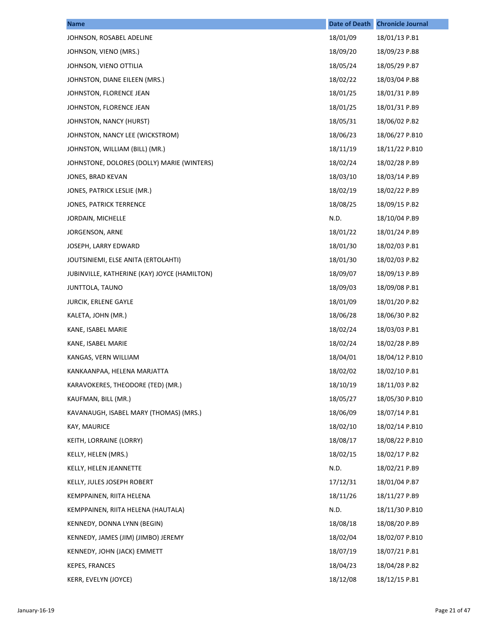| <b>Name</b>                                  | <b>Date of Death</b> | <b>Chronicle Journal</b> |
|----------------------------------------------|----------------------|--------------------------|
| JOHNSON, ROSABEL ADELINE                     | 18/01/09             | 18/01/13 P.B1            |
| JOHNSON, VIENO (MRS.)                        | 18/09/20             | 18/09/23 P.B8            |
| JOHNSON, VIENO OTTILIA                       | 18/05/24             | 18/05/29 P.B7            |
| JOHNSTON, DIANE EILEEN (MRS.)                | 18/02/22             | 18/03/04 P.B8            |
| JOHNSTON, FLORENCE JEAN                      | 18/01/25             | 18/01/31 P.B9            |
| JOHNSTON, FLORENCE JEAN                      | 18/01/25             | 18/01/31 P.B9            |
| JOHNSTON, NANCY (HURST)                      | 18/05/31             | 18/06/02 P.B2            |
| JOHNSTON, NANCY LEE (WICKSTROM)              | 18/06/23             | 18/06/27 P.B10           |
| JOHNSTON, WILLIAM (BILL) (MR.)               | 18/11/19             | 18/11/22 P.B10           |
| JOHNSTONE, DOLORES (DOLLY) MARIE (WINTERS)   | 18/02/24             | 18/02/28 P.B9            |
| JONES, BRAD KEVAN                            | 18/03/10             | 18/03/14 P.B9            |
| JONES, PATRICK LESLIE (MR.)                  | 18/02/19             | 18/02/22 P.B9            |
| JONES, PATRICK TERRENCE                      | 18/08/25             | 18/09/15 P.B2            |
| JORDAIN, MICHELLE                            | N.D.                 | 18/10/04 P.B9            |
| JORGENSON, ARNE                              | 18/01/22             | 18/01/24 P.B9            |
| JOSEPH, LARRY EDWARD                         | 18/01/30             | 18/02/03 P.B1            |
| JOUTSINIEMI, ELSE ANITA (ERTOLAHTI)          | 18/01/30             | 18/02/03 P.B2            |
| JUBINVILLE, KATHERINE (KAY) JOYCE (HAMILTON) | 18/09/07             | 18/09/13 P.B9            |
| JUNTTOLA, TAUNO                              | 18/09/03             | 18/09/08 P.B1            |
| <b>JURCIK, ERLENE GAYLE</b>                  | 18/01/09             | 18/01/20 P.B2            |
| KALETA, JOHN (MR.)                           | 18/06/28             | 18/06/30 P.B2            |
| KANE, ISABEL MARIE                           | 18/02/24             | 18/03/03 P.B1            |
| KANE, ISABEL MARIE                           | 18/02/24             | 18/02/28 P.B9            |
| KANGAS, VERN WILLIAM                         | 18/04/01             | 18/04/12 P.B10           |
| KANKAANPAA, HELENA MARJATTA                  | 18/02/02             | 18/02/10 P.B1            |
| KARAVOKERES, THEODORE (TED) (MR.)            | 18/10/19             | 18/11/03 P.B2            |
| KAUFMAN, BILL (MR.)                          | 18/05/27             | 18/05/30 P.B10           |
| KAVANAUGH, ISABEL MARY (THOMAS) (MRS.)       | 18/06/09             | 18/07/14 P.B1            |
| KAY, MAURICE                                 | 18/02/10             | 18/02/14 P.B10           |
| KEITH, LORRAINE (LORRY)                      | 18/08/17             | 18/08/22 P.B10           |
| KELLY, HELEN (MRS.)                          | 18/02/15             | 18/02/17 P.B2            |
| KELLY, HELEN JEANNETTE                       | N.D.                 | 18/02/21 P.B9            |
| KELLY, JULES JOSEPH ROBERT                   | 17/12/31             | 18/01/04 P.B7            |
| KEMPPAINEN, RIITA HELENA                     | 18/11/26             | 18/11/27 P.B9            |
| KEMPPAINEN, RIITA HELENA (HAUTALA)           | N.D.                 | 18/11/30 P.B10           |
| KENNEDY, DONNA LYNN (BEGIN)                  | 18/08/18             | 18/08/20 P.B9            |
| KENNEDY, JAMES (JIM) (JIMBO) JEREMY          | 18/02/04             | 18/02/07 P.B10           |
| KENNEDY, JOHN (JACK) EMMETT                  | 18/07/19             | 18/07/21 P.B1            |
| <b>KEPES, FRANCES</b>                        | 18/04/23             | 18/04/28 P.B2            |
| KERR, EVELYN (JOYCE)                         | 18/12/08             | 18/12/15 P.B1            |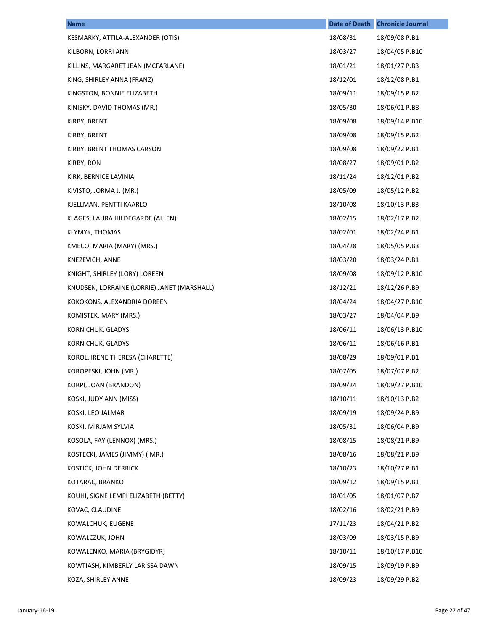| <b>Name</b>                                 | <b>Date of Death</b> | <b>Chronicle Journal</b> |
|---------------------------------------------|----------------------|--------------------------|
| KESMARKY, ATTILA-ALEXANDER (OTIS)           | 18/08/31             | 18/09/08 P.B1            |
| KILBORN, LORRI ANN                          | 18/03/27             | 18/04/05 P.B10           |
| KILLINS, MARGARET JEAN (MCFARLANE)          | 18/01/21             | 18/01/27 P.B3            |
| KING, SHIRLEY ANNA (FRANZ)                  | 18/12/01             | 18/12/08 P.B1            |
| KINGSTON, BONNIE ELIZABETH                  | 18/09/11             | 18/09/15 P.B2            |
| KINISKY, DAVID THOMAS (MR.)                 | 18/05/30             | 18/06/01 P.B8            |
| KIRBY, BRENT                                | 18/09/08             | 18/09/14 P.B10           |
| KIRBY, BRENT                                | 18/09/08             | 18/09/15 P.B2            |
| KIRBY, BRENT THOMAS CARSON                  | 18/09/08             | 18/09/22 P.B1            |
| KIRBY, RON                                  | 18/08/27             | 18/09/01 P.B2            |
| KIRK, BERNICE LAVINIA                       | 18/11/24             | 18/12/01 P.B2            |
| KIVISTO, JORMA J. (MR.)                     | 18/05/09             | 18/05/12 P.B2            |
| KJELLMAN, PENTTI KAARLO                     | 18/10/08             | 18/10/13 P.B3            |
| KLAGES, LAURA HILDEGARDE (ALLEN)            | 18/02/15             | 18/02/17 P.B2            |
| <b>KLYMYK, THOMAS</b>                       | 18/02/01             | 18/02/24 P.B1            |
| KMECO, MARIA (MARY) (MRS.)                  | 18/04/28             | 18/05/05 P.B3            |
| KNEZEVICH, ANNE                             | 18/03/20             | 18/03/24 P.B1            |
| KNIGHT, SHIRLEY (LORY) LOREEN               | 18/09/08             | 18/09/12 P.B10           |
| KNUDSEN, LORRAINE (LORRIE) JANET (MARSHALL) | 18/12/21             | 18/12/26 P.B9            |
| KOKOKONS, ALEXANDRIA DOREEN                 | 18/04/24             | 18/04/27 P.B10           |
| KOMISTEK, MARY (MRS.)                       | 18/03/27             | 18/04/04 P.B9            |
| KORNICHUK, GLADYS                           | 18/06/11             | 18/06/13 P.B10           |
| KORNICHUK, GLADYS                           | 18/06/11             | 18/06/16 P.B1            |
| KOROL, IRENE THERESA (CHARETTE)             | 18/08/29             | 18/09/01 P.B1            |
| KOROPESKI, JOHN (MR.)                       | 18/07/05             | 18/07/07 P.B2            |
| KORPI, JOAN (BRANDON)                       | 18/09/24             | 18/09/27 P.B10           |
| KOSKI, JUDY ANN (MISS)                      | 18/10/11             | 18/10/13 P.B2            |
| KOSKI, LEO JALMAR                           | 18/09/19             | 18/09/24 P.B9            |
| KOSKI, MIRJAM SYLVIA                        | 18/05/31             | 18/06/04 P.B9            |
| KOSOLA, FAY (LENNOX) (MRS.)                 | 18/08/15             | 18/08/21 P.B9            |
| KOSTECKI, JAMES (JIMMY) (MR.)               | 18/08/16             | 18/08/21 P.B9            |
| KOSTICK, JOHN DERRICK                       | 18/10/23             | 18/10/27 P.B1            |
| KOTARAC, BRANKO                             | 18/09/12             | 18/09/15 P.B1            |
| KOUHI, SIGNE LEMPI ELIZABETH (BETTY)        | 18/01/05             | 18/01/07 P.B7            |
| KOVAC, CLAUDINE                             | 18/02/16             | 18/02/21 P.B9            |
| KOWALCHUK, EUGENE                           | 17/11/23             | 18/04/21 P.B2            |
| KOWALCZUK, JOHN                             | 18/03/09             | 18/03/15 P.B9            |
| KOWALENKO, MARIA (BRYGIDYR)                 | 18/10/11             | 18/10/17 P.B10           |
| KOWTIASH, KIMBERLY LARISSA DAWN             | 18/09/15             | 18/09/19 P.B9            |
| KOZA, SHIRLEY ANNE                          | 18/09/23             | 18/09/29 P.B2            |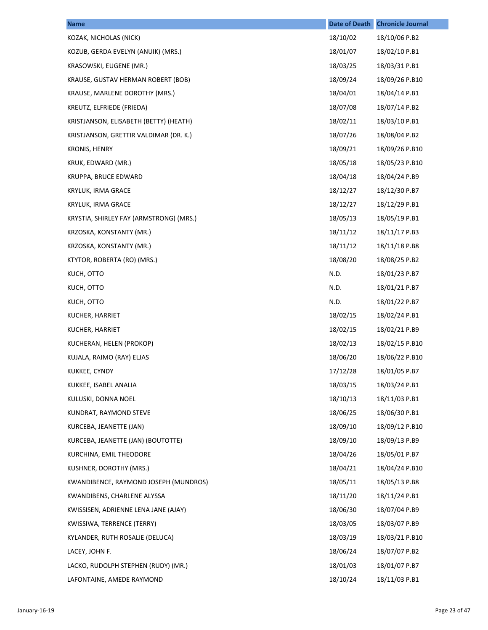| <b>Name</b>                             | <b>Date of Death</b> | <b>Chronicle Journal</b> |
|-----------------------------------------|----------------------|--------------------------|
| KOZAK, NICHOLAS (NICK)                  | 18/10/02             | 18/10/06 P.B2            |
| KOZUB, GERDA EVELYN (ANUIK) (MRS.)      | 18/01/07             | 18/02/10 P.B1            |
| KRASOWSKI, EUGENE (MR.)                 | 18/03/25             | 18/03/31 P.B1            |
| KRAUSE, GUSTAV HERMAN ROBERT (BOB)      | 18/09/24             | 18/09/26 P.B10           |
| KRAUSE, MARLENE DOROTHY (MRS.)          | 18/04/01             | 18/04/14 P.B1            |
| KREUTZ, ELFRIEDE (FRIEDA)               | 18/07/08             | 18/07/14 P.B2            |
| KRISTJANSON, ELISABETH (BETTY) (HEATH)  | 18/02/11             | 18/03/10 P.B1            |
| KRISTJANSON, GRETTIR VALDIMAR (DR. K.)  | 18/07/26             | 18/08/04 P.B2            |
| KRONIS, HENRY                           | 18/09/21             | 18/09/26 P.B10           |
| KRUK, EDWARD (MR.)                      | 18/05/18             | 18/05/23 P.B10           |
| KRUPPA, BRUCE EDWARD                    | 18/04/18             | 18/04/24 P.B9            |
| <b>KRYLUK, IRMA GRACE</b>               | 18/12/27             | 18/12/30 P.B7            |
| KRYLUK, IRMA GRACE                      | 18/12/27             | 18/12/29 P.B1            |
| KRYSTIA, SHIRLEY FAY (ARMSTRONG) (MRS.) | 18/05/13             | 18/05/19 P.B1            |
| KRZOSKA, KONSTANTY (MR.)                | 18/11/12             | 18/11/17 P.B3            |
| KRZOSKA, KONSTANTY (MR.)                | 18/11/12             | 18/11/18 P.B8            |
| KTYTOR, ROBERTA (RO) (MRS.)             | 18/08/20             | 18/08/25 P.B2            |
| KUCH, OTTO                              | N.D.                 | 18/01/23 P.B7            |
| KUCH, OTTO                              | N.D.                 | 18/01/21 P.B7            |
| KUCH, OTTO                              | N.D.                 | 18/01/22 P.B7            |
| KUCHER, HARRIET                         | 18/02/15             | 18/02/24 P.B1            |
| KUCHER, HARRIET                         | 18/02/15             | 18/02/21 P.B9            |
| KUCHERAN, HELEN (PROKOP)                | 18/02/13             | 18/02/15 P.B10           |
| KUJALA, RAIMO (RAY) ELJAS               | 18/06/20             | 18/06/22 P.B10           |
| KUKKEE, CYNDY                           | 17/12/28             | 18/01/05 P.B7            |
| KUKKEE, ISABEL ANALIA                   | 18/03/15             | 18/03/24 P.B1            |
| KULUSKI, DONNA NOEL                     | 18/10/13             | 18/11/03 P.B1            |
| KUNDRAT, RAYMOND STEVE                  | 18/06/25             | 18/06/30 P.B1            |
| KURCEBA, JEANETTE (JAN)                 | 18/09/10             | 18/09/12 P.B10           |
| KURCEBA, JEANETTE (JAN) (BOUTOTTE)      | 18/09/10             | 18/09/13 P.B9            |
| KURCHINA, EMIL THEODORE                 | 18/04/26             | 18/05/01 P.B7            |
| KUSHNER, DOROTHY (MRS.)                 | 18/04/21             | 18/04/24 P.B10           |
| KWANDIBENCE, RAYMOND JOSEPH (MUNDROS)   | 18/05/11             | 18/05/13 P.B8            |
| KWANDIBENS, CHARLENE ALYSSA             | 18/11/20             | 18/11/24 P.B1            |
| KWISSISEN, ADRIENNE LENA JANE (AJAY)    | 18/06/30             | 18/07/04 P.B9            |
| KWISSIWA, TERRENCE (TERRY)              | 18/03/05             | 18/03/07 P.B9            |
| KYLANDER, RUTH ROSALIE (DELUCA)         | 18/03/19             | 18/03/21 P.B10           |
| LACEY, JOHN F.                          | 18/06/24             | 18/07/07 P.B2            |
| LACKO, RUDOLPH STEPHEN (RUDY) (MR.)     | 18/01/03             | 18/01/07 P.B7            |
| LAFONTAINE, AMEDE RAYMOND               | 18/10/24             | 18/11/03 P.B1            |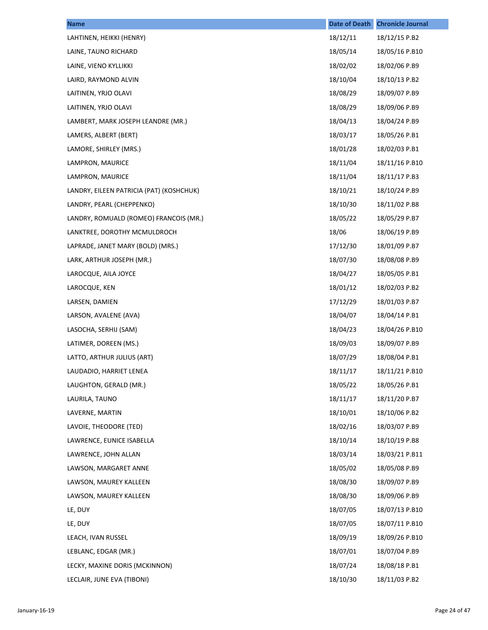| <b>Name</b>                              | <b>Date of Death</b> | <b>Chronicle Journal</b> |
|------------------------------------------|----------------------|--------------------------|
| LAHTINEN, HEIKKI (HENRY)                 | 18/12/11             | 18/12/15 P.B2            |
| LAINE, TAUNO RICHARD                     | 18/05/14             | 18/05/16 P.B10           |
| LAINE, VIENO KYLLIKKI                    | 18/02/02             | 18/02/06 P.B9            |
| LAIRD, RAYMOND ALVIN                     | 18/10/04             | 18/10/13 P.B2            |
| LAITINEN, YRJO OLAVI                     | 18/08/29             | 18/09/07 P.B9            |
| LAITINEN, YRJO OLAVI                     | 18/08/29             | 18/09/06 P.B9            |
| LAMBERT, MARK JOSEPH LEANDRE (MR.)       | 18/04/13             | 18/04/24 P.B9            |
| LAMERS, ALBERT (BERT)                    | 18/03/17             | 18/05/26 P.B1            |
| LAMORE, SHIRLEY (MRS.)                   | 18/01/28             | 18/02/03 P.B1            |
| LAMPRON, MAURICE                         | 18/11/04             | 18/11/16 P.B10           |
| LAMPRON, MAURICE                         | 18/11/04             | 18/11/17 P.B3            |
| LANDRY, EILEEN PATRICIA (PAT) (KOSHCHUK) | 18/10/21             | 18/10/24 P.B9            |
| LANDRY, PEARL (CHEPPENKO)                | 18/10/30             | 18/11/02 P.B8            |
| LANDRY, ROMUALD (ROMEO) FRANCOIS (MR.)   | 18/05/22             | 18/05/29 P.B7            |
| LANKTREE, DOROTHY MCMULDROCH             | 18/06                | 18/06/19 P.B9            |
| LAPRADE, JANET MARY (BOLD) (MRS.)        | 17/12/30             | 18/01/09 P.B7            |
| LARK, ARTHUR JOSEPH (MR.)                | 18/07/30             | 18/08/08 P.B9            |
| LAROCQUE, AILA JOYCE                     | 18/04/27             | 18/05/05 P.B1            |
| LAROCQUE, KEN                            | 18/01/12             | 18/02/03 P.B2            |
| LARSEN, DAMIEN                           | 17/12/29             | 18/01/03 P.B7            |
| LARSON, AVALENE (AVA)                    | 18/04/07             | 18/04/14 P.B1            |
| LASOCHA, SERHIJ (SAM)                    | 18/04/23             | 18/04/26 P.B10           |
| LATIMER, DOREEN (MS.)                    | 18/09/03             | 18/09/07 P.B9            |
| LATTO, ARTHUR JULIUS (ART)               | 18/07/29             | 18/08/04 P.B1            |
| LAUDADIO, HARRIET LENEA                  | 18/11/17             | 18/11/21 P.B10           |
| LAUGHTON, GERALD (MR.)                   | 18/05/22             | 18/05/26 P.B1            |
| LAURILA, TAUNO                           | 18/11/17             | 18/11/20 P.B7            |
| LAVERNE, MARTIN                          | 18/10/01             | 18/10/06 P.B2            |
| LAVOIE, THEODORE (TED)                   | 18/02/16             | 18/03/07 P.B9            |
| LAWRENCE, EUNICE ISABELLA                | 18/10/14             | 18/10/19 P.B8            |
| LAWRENCE, JOHN ALLAN                     | 18/03/14             | 18/03/21 P.B11           |
| LAWSON, MARGARET ANNE                    | 18/05/02             | 18/05/08 P.B9            |
| LAWSON, MAUREY KALLEEN                   | 18/08/30             | 18/09/07 P.B9            |
| LAWSON, MAUREY KALLEEN                   | 18/08/30             | 18/09/06 P.B9            |
| LE, DUY                                  | 18/07/05             | 18/07/13 P.B10           |
| LE, DUY                                  | 18/07/05             | 18/07/11 P.B10           |
| LEACH, IVAN RUSSEL                       | 18/09/19             | 18/09/26 P.B10           |
| LEBLANC, EDGAR (MR.)                     | 18/07/01             | 18/07/04 P.B9            |
| LECKY, MAXINE DORIS (MCKINNON)           | 18/07/24             | 18/08/18 P.B1            |
| LECLAIR, JUNE EVA (TIBONI)               | 18/10/30             | 18/11/03 P.B2            |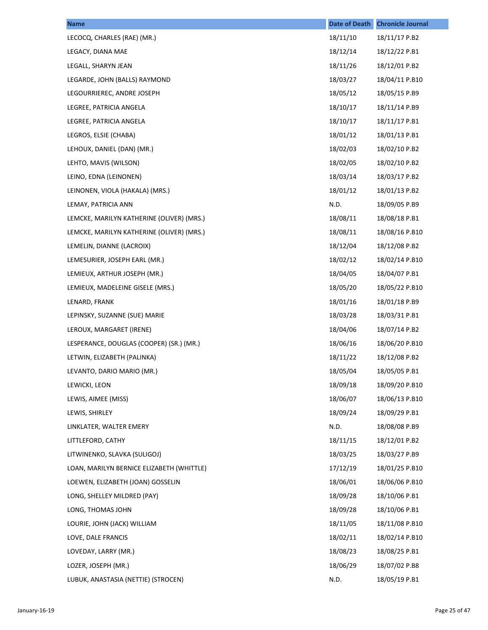| <b>Name</b>                               | <b>Date of Death</b> | <b>Chronicle Journal</b> |
|-------------------------------------------|----------------------|--------------------------|
| LECOCQ, CHARLES (RAE) (MR.)               | 18/11/10             | 18/11/17 P.B2            |
| LEGACY, DIANA MAE                         | 18/12/14             | 18/12/22 P.B1            |
| LEGALL, SHARYN JEAN                       | 18/11/26             | 18/12/01 P.B2            |
| LEGARDE, JOHN (BALLS) RAYMOND             | 18/03/27             | 18/04/11 P.B10           |
| LEGOURRIEREC, ANDRE JOSEPH                | 18/05/12             | 18/05/15 P.B9            |
| LEGREE, PATRICIA ANGELA                   | 18/10/17             | 18/11/14 P.B9            |
| LEGREE, PATRICIA ANGELA                   | 18/10/17             | 18/11/17 P.B1            |
| LEGROS, ELSIE (CHABA)                     | 18/01/12             | 18/01/13 P.B1            |
| LEHOUX, DANIEL (DAN) (MR.)                | 18/02/03             | 18/02/10 P.B2            |
| LEHTO, MAVIS (WILSON)                     | 18/02/05             | 18/02/10 P.B2            |
| LEINO, EDNA (LEINONEN)                    | 18/03/14             | 18/03/17 P.B2            |
| LEINONEN, VIOLA (HAKALA) (MRS.)           | 18/01/12             | 18/01/13 P.B2            |
| LEMAY, PATRICIA ANN                       | N.D.                 | 18/09/05 P.B9            |
| LEMCKE, MARILYN KATHERINE (OLIVER) (MRS.) | 18/08/11             | 18/08/18 P.B1            |
| LEMCKE, MARILYN KATHERINE (OLIVER) (MRS.) | 18/08/11             | 18/08/16 P.B10           |
| LEMELIN, DIANNE (LACROIX)                 | 18/12/04             | 18/12/08 P.B2            |
| LEMESURIER, JOSEPH EARL (MR.)             | 18/02/12             | 18/02/14 P.B10           |
| LEMIEUX, ARTHUR JOSEPH (MR.)              | 18/04/05             | 18/04/07 P.B1            |
| LEMIEUX, MADELEINE GISELE (MRS.)          | 18/05/20             | 18/05/22 P.B10           |
| LENARD, FRANK                             | 18/01/16             | 18/01/18 P.B9            |
| LEPINSKY, SUZANNE (SUE) MARIE             | 18/03/28             | 18/03/31 P.B1            |
| LEROUX, MARGARET (IRENE)                  | 18/04/06             | 18/07/14 P.B2            |
| LESPERANCE, DOUGLAS (COOPER) (SR.) (MR.)  | 18/06/16             | 18/06/20 P.B10           |
| LETWIN, ELIZABETH (PALINKA)               | 18/11/22             | 18/12/08 P.B2            |
| LEVANTO, DARIO MARIO (MR.)                | 18/05/04             | 18/05/05 P.B1            |
| LEWICKI, LEON                             | 18/09/18             | 18/09/20 P.B10           |
| LEWIS, AIMEE (MISS)                       | 18/06/07             | 18/06/13 P.B10           |
| LEWIS, SHIRLEY                            | 18/09/24             | 18/09/29 P.B1            |
| LINKLATER, WALTER EMERY                   | N.D.                 | 18/08/08 P.B9            |
| LITTLEFORD, CATHY                         | 18/11/15             | 18/12/01 P.B2            |
| LITWINENKO, SLAVKA (SULIGOJ)              | 18/03/25             | 18/03/27 P.B9            |
| LOAN, MARILYN BERNICE ELIZABETH (WHITTLE) | 17/12/19             | 18/01/25 P.B10           |
| LOEWEN, ELIZABETH (JOAN) GOSSELIN         | 18/06/01             | 18/06/06 P.B10           |
| LONG, SHELLEY MILDRED (PAY)               | 18/09/28             | 18/10/06 P.B1            |
| LONG, THOMAS JOHN                         | 18/09/28             | 18/10/06 P.B1            |
| LOURIE, JOHN (JACK) WILLIAM               | 18/11/05             | 18/11/08 P.B10           |
| LOVE, DALE FRANCIS                        | 18/02/11             | 18/02/14 P.B10           |
| LOVEDAY, LARRY (MR.)                      | 18/08/23             | 18/08/25 P.B1            |
| LOZER, JOSEPH (MR.)                       | 18/06/29             | 18/07/02 P.B8            |
| LUBUK, ANASTASIA (NETTIE) (STROCEN)       | N.D.                 | 18/05/19 P.B1            |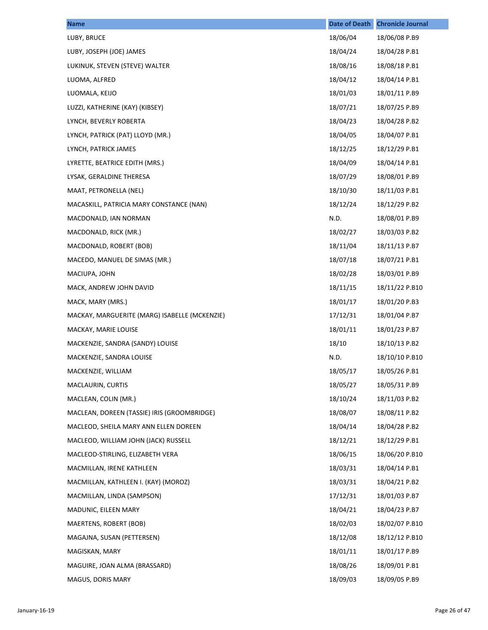| <b>Name</b>                                   | <b>Date of Death</b> | <b>Chronicle Journal</b> |
|-----------------------------------------------|----------------------|--------------------------|
| LUBY, BRUCE                                   | 18/06/04             | 18/06/08 P.B9            |
| LUBY, JOSEPH (JOE) JAMES                      | 18/04/24             | 18/04/28 P.B1            |
| LUKINUK, STEVEN (STEVE) WALTER                | 18/08/16             | 18/08/18 P.B1            |
| LUOMA, ALFRED                                 | 18/04/12             | 18/04/14 P.B1            |
| LUOMALA, KEIJO                                | 18/01/03             | 18/01/11 P.B9            |
| LUZZI, KATHERINE (KAY) (KIBSEY)               | 18/07/21             | 18/07/25 P.B9            |
| LYNCH, BEVERLY ROBERTA                        | 18/04/23             | 18/04/28 P.B2            |
| LYNCH, PATRICK (PAT) LLOYD (MR.)              | 18/04/05             | 18/04/07 P.B1            |
| LYNCH, PATRICK JAMES                          | 18/12/25             | 18/12/29 P.B1            |
| LYRETTE, BEATRICE EDITH (MRS.)                | 18/04/09             | 18/04/14 P.B1            |
| LYSAK, GERALDINE THERESA                      | 18/07/29             | 18/08/01 P.B9            |
| MAAT, PETRONELLA (NEL)                        | 18/10/30             | 18/11/03 P.B1            |
| MACASKILL, PATRICIA MARY CONSTANCE (NAN)      | 18/12/24             | 18/12/29 P.B2            |
| MACDONALD, IAN NORMAN                         | N.D.                 | 18/08/01 P.B9            |
| MACDONALD, RICK (MR.)                         | 18/02/27             | 18/03/03 P.B2            |
| MACDONALD, ROBERT (BOB)                       | 18/11/04             | 18/11/13 P.B7            |
| MACEDO, MANUEL DE SIMAS (MR.)                 | 18/07/18             | 18/07/21 P.B1            |
| MACIUPA, JOHN                                 | 18/02/28             | 18/03/01 P.B9            |
| MACK, ANDREW JOHN DAVID                       | 18/11/15             | 18/11/22 P.B10           |
| MACK, MARY (MRS.)                             | 18/01/17             | 18/01/20 P.B3            |
| MACKAY, MARGUERITE (MARG) ISABELLE (MCKENZIE) | 17/12/31             | 18/01/04 P.B7            |
| MACKAY, MARIE LOUISE                          | 18/01/11             | 18/01/23 P.B7            |
| MACKENZIE, SANDRA (SANDY) LOUISE              | 18/10                | 18/10/13 P.B2            |
| MACKENZIE, SANDRA LOUISE                      | N.D.                 | 18/10/10 P.B10           |
| MACKENZIE, WILLIAM                            | 18/05/17             | 18/05/26 P.B1            |
| MACLAURIN, CURTIS                             | 18/05/27             | 18/05/31 P.B9            |
| MACLEAN, COLIN (MR.)                          | 18/10/24             | 18/11/03 P.B2            |
| MACLEAN, DOREEN (TASSIE) IRIS (GROOMBRIDGE)   | 18/08/07             | 18/08/11 P.B2            |
| MACLEOD, SHEILA MARY ANN ELLEN DOREEN         | 18/04/14             | 18/04/28 P.B2            |
| MACLEOD, WILLIAM JOHN (JACK) RUSSELL          | 18/12/21             | 18/12/29 P.B1            |
| MACLEOD-STIRLING, ELIZABETH VERA              | 18/06/15             | 18/06/20 P.B10           |
| MACMILLAN, IRENE KATHLEEN                     | 18/03/31             | 18/04/14 P.B1            |
| MACMILLAN, KATHLEEN I. (KAY) (MOROZ)          | 18/03/31             | 18/04/21 P.B2            |
| MACMILLAN, LINDA (SAMPSON)                    | 17/12/31             | 18/01/03 P.B7            |
| MADUNIC, EILEEN MARY                          | 18/04/21             | 18/04/23 P.B7            |
| MAERTENS, ROBERT (BOB)                        | 18/02/03             | 18/02/07 P.B10           |
| MAGAJNA, SUSAN (PETTERSEN)                    | 18/12/08             | 18/12/12 P.B10           |
| MAGISKAN, MARY                                | 18/01/11             | 18/01/17 P.B9            |
| MAGUIRE, JOAN ALMA (BRASSARD)                 | 18/08/26             | 18/09/01 P.B1            |
| MAGUS, DORIS MARY                             | 18/09/03             | 18/09/05 P.B9            |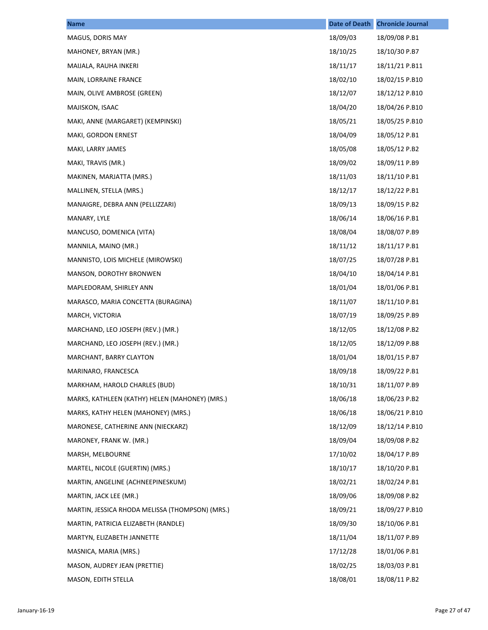| <b>Name</b>                                     | <b>Date of Death</b> | <b>Chronicle Journal</b> |
|-------------------------------------------------|----------------------|--------------------------|
| MAGUS, DORIS MAY                                | 18/09/03             | 18/09/08 P.B1            |
| MAHONEY, BRYAN (MR.)                            | 18/10/25             | 18/10/30 P.B7            |
| MAIJALA, RAUHA INKERI                           | 18/11/17             | 18/11/21 P.B11           |
| MAIN, LORRAINE FRANCE                           | 18/02/10             | 18/02/15 P.B10           |
| MAIN, OLIVE AMBROSE (GREEN)                     | 18/12/07             | 18/12/12 P.B10           |
| MAJISKON, ISAAC                                 | 18/04/20             | 18/04/26 P.B10           |
| MAKI, ANNE (MARGARET) (KEMPINSKI)               | 18/05/21             | 18/05/25 P.B10           |
| MAKI, GORDON ERNEST                             | 18/04/09             | 18/05/12 P.B1            |
| MAKI, LARRY JAMES                               | 18/05/08             | 18/05/12 P.B2            |
| MAKI, TRAVIS (MR.)                              | 18/09/02             | 18/09/11 P.B9            |
| MAKINEN, MARJATTA (MRS.)                        | 18/11/03             | 18/11/10 P.B1            |
| MALLINEN, STELLA (MRS.)                         | 18/12/17             | 18/12/22 P.B1            |
| MANAIGRE, DEBRA ANN (PELLIZZARI)                | 18/09/13             | 18/09/15 P.B2            |
| MANARY, LYLE                                    | 18/06/14             | 18/06/16 P.B1            |
| MANCUSO, DOMENICA (VITA)                        | 18/08/04             | 18/08/07 P.B9            |
| MANNILA, MAINO (MR.)                            | 18/11/12             | 18/11/17 P.B1            |
| MANNISTO, LOIS MICHELE (MIROWSKI)               | 18/07/25             | 18/07/28 P.B1            |
| MANSON, DOROTHY BRONWEN                         | 18/04/10             | 18/04/14 P.B1            |
| MAPLEDORAM, SHIRLEY ANN                         | 18/01/04             | 18/01/06 P.B1            |
| MARASCO, MARIA CONCETTA (BURAGINA)              | 18/11/07             | 18/11/10 P.B1            |
| MARCH, VICTORIA                                 | 18/07/19             | 18/09/25 P.B9            |
| MARCHAND, LEO JOSEPH (REV.) (MR.)               | 18/12/05             | 18/12/08 P.B2            |
| MARCHAND, LEO JOSEPH (REV.) (MR.)               | 18/12/05             | 18/12/09 P.B8            |
| MARCHANT, BARRY CLAYTON                         | 18/01/04             | 18/01/15 P.B7            |
| MARINARO, FRANCESCA                             | 18/09/18             | 18/09/22 P.B1            |
| MARKHAM, HAROLD CHARLES (BUD)                   | 18/10/31             | 18/11/07 P.B9            |
| MARKS, KATHLEEN (KATHY) HELEN (MAHONEY) (MRS.)  | 18/06/18             | 18/06/23 P.B2            |
| MARKS, KATHY HELEN (MAHONEY) (MRS.)             | 18/06/18             | 18/06/21 P.B10           |
| MARONESE, CATHERINE ANN (NIECKARZ)              | 18/12/09             | 18/12/14 P.B10           |
| MARONEY, FRANK W. (MR.)                         | 18/09/04             | 18/09/08 P.B2            |
| MARSH, MELBOURNE                                | 17/10/02             | 18/04/17 P.B9            |
| MARTEL, NICOLE (GUERTIN) (MRS.)                 | 18/10/17             | 18/10/20 P.B1            |
| MARTIN, ANGELINE (ACHNEEPINESKUM)               | 18/02/21             | 18/02/24 P.B1            |
| MARTIN, JACK LEE (MR.)                          | 18/09/06             | 18/09/08 P.B2            |
| MARTIN, JESSICA RHODA MELISSA (THOMPSON) (MRS.) | 18/09/21             | 18/09/27 P.B10           |
| MARTIN, PATRICIA ELIZABETH (RANDLE)             | 18/09/30             | 18/10/06 P.B1            |
| MARTYN, ELIZABETH JANNETTE                      | 18/11/04             | 18/11/07 P.B9            |
| MASNICA, MARIA (MRS.)                           | 17/12/28             | 18/01/06 P.B1            |
| MASON, AUDREY JEAN (PRETTIE)                    | 18/02/25             | 18/03/03 P.B1            |
| MASON, EDITH STELLA                             | 18/08/01             | 18/08/11 P.B2            |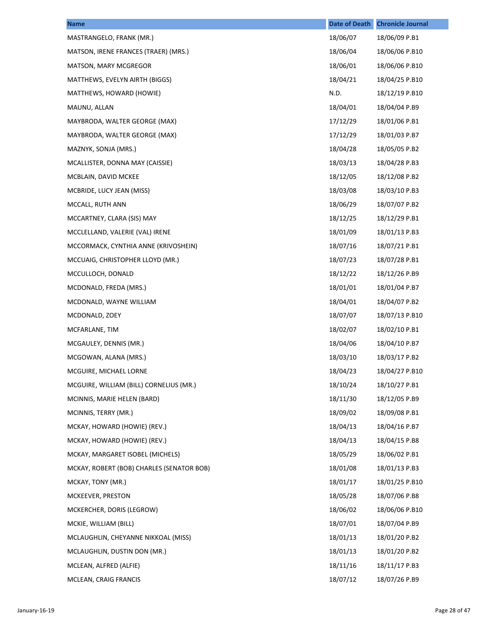| <b>Name</b>                               | <b>Date of Death</b> | <b>Chronicle Journal</b> |
|-------------------------------------------|----------------------|--------------------------|
| MASTRANGELO, FRANK (MR.)                  | 18/06/07             | 18/06/09 P.B1            |
| MATSON, IRENE FRANCES (TRAER) (MRS.)      | 18/06/04             | 18/06/06 P.B10           |
| MATSON, MARY MCGREGOR                     | 18/06/01             | 18/06/06 P.B10           |
| MATTHEWS, EVELYN AIRTH (BIGGS)            | 18/04/21             | 18/04/25 P.B10           |
| MATTHEWS, HOWARD (HOWIE)                  | N.D.                 | 18/12/19 P.B10           |
| MAUNU, ALLAN                              | 18/04/01             | 18/04/04 P.B9            |
| MAYBRODA, WALTER GEORGE (MAX)             | 17/12/29             | 18/01/06 P.B1            |
| MAYBRODA, WALTER GEORGE (MAX)             | 17/12/29             | 18/01/03 P.B7            |
| MAZNYK, SONJA (MRS.)                      | 18/04/28             | 18/05/05 P.B2            |
| MCALLISTER, DONNA MAY (CAISSIE)           | 18/03/13             | 18/04/28 P.B3            |
| MCBLAIN, DAVID MCKEE                      | 18/12/05             | 18/12/08 P.B2            |
| MCBRIDE, LUCY JEAN (MISS)                 | 18/03/08             | 18/03/10 P.B3            |
| MCCALL, RUTH ANN                          | 18/06/29             | 18/07/07 P.B2            |
| MCCARTNEY, CLARA (SIS) MAY                | 18/12/25             | 18/12/29 P.B1            |
| MCCLELLAND, VALERIE (VAL) IRENE           | 18/01/09             | 18/01/13 P.B3            |
| MCCORMACK, CYNTHIA ANNE (KRIVOSHEIN)      | 18/07/16             | 18/07/21 P.B1            |
| MCCUAIG, CHRISTOPHER LLOYD (MR.)          | 18/07/23             | 18/07/28 P.B1            |
| MCCULLOCH, DONALD                         | 18/12/22             | 18/12/26 P.B9            |
| MCDONALD, FREDA (MRS.)                    | 18/01/01             | 18/01/04 P.B7            |
| MCDONALD, WAYNE WILLIAM                   | 18/04/01             | 18/04/07 P.B2            |
| MCDONALD, ZOEY                            | 18/07/07             | 18/07/13 P.B10           |
| MCFARLANE, TIM                            | 18/02/07             | 18/02/10 P.B1            |
| MCGAULEY, DENNIS (MR.)                    | 18/04/06             | 18/04/10 P.B7            |
| MCGOWAN, ALANA (MRS.)                     | 18/03/10             | 18/03/17 P.B2            |
| MCGUIRE, MICHAEL LORNE                    | 18/04/23             | 18/04/27 P.B10           |
| MCGUIRE, WILLIAM (BILL) CORNELIUS (MR.)   | 18/10/24             | 18/10/27 P.B1            |
| MCINNIS, MARIE HELEN (BARD)               | 18/11/30             | 18/12/05 P.B9            |
| MCINNIS, TERRY (MR.)                      | 18/09/02             | 18/09/08 P.B1            |
| MCKAY, HOWARD (HOWIE) (REV.)              | 18/04/13             | 18/04/16 P.B7            |
| MCKAY, HOWARD (HOWIE) (REV.)              | 18/04/13             | 18/04/15 P.B8            |
| MCKAY, MARGARET ISOBEL (MICHELS)          | 18/05/29             | 18/06/02 P.B1            |
| MCKAY, ROBERT (BOB) CHARLES (SENATOR BOB) | 18/01/08             | 18/01/13 P.B3            |
| MCKAY, TONY (MR.)                         | 18/01/17             | 18/01/25 P.B10           |
| MCKEEVER, PRESTON                         | 18/05/28             | 18/07/06 P.B8            |
| MCKERCHER, DORIS (LEGROW)                 | 18/06/02             | 18/06/06 P.B10           |
| MCKIE, WILLIAM (BILL)                     | 18/07/01             | 18/07/04 P.B9            |
| MCLAUGHLIN, CHEYANNE NIKKOAL (MISS)       | 18/01/13             | 18/01/20 P.B2            |
| MCLAUGHLIN, DUSTIN DON (MR.)              | 18/01/13             | 18/01/20 P.B2            |
| MCLEAN, ALFRED (ALFIE)                    | 18/11/16             | 18/11/17 P.B3            |
| MCLEAN, CRAIG FRANCIS                     | 18/07/12             | 18/07/26 P.B9            |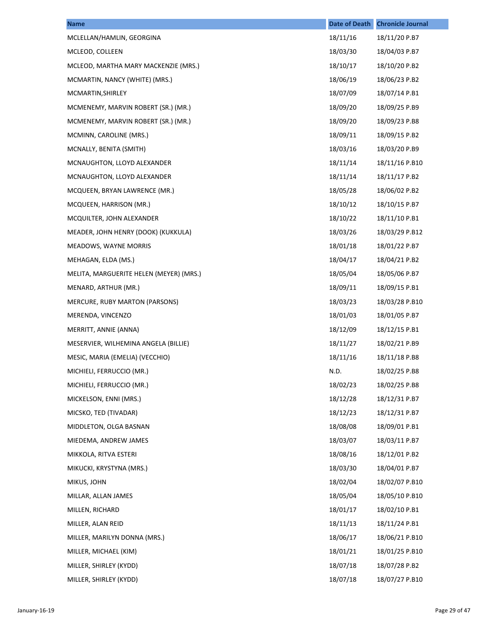| <b>Name</b>                             | <b>Date of Death</b> | <b>Chronicle Journal</b> |
|-----------------------------------------|----------------------|--------------------------|
| MCLELLAN/HAMLIN, GEORGINA               | 18/11/16             | 18/11/20 P.B7            |
| MCLEOD, COLLEEN                         | 18/03/30             | 18/04/03 P.B7            |
| MCLEOD, MARTHA MARY MACKENZIE (MRS.)    | 18/10/17             | 18/10/20 P.B2            |
| MCMARTIN, NANCY (WHITE) (MRS.)          | 18/06/19             | 18/06/23 P.B2            |
| MCMARTIN, SHIRLEY                       | 18/07/09             | 18/07/14 P.B1            |
| MCMENEMY, MARVIN ROBERT (SR.) (MR.)     | 18/09/20             | 18/09/25 P.B9            |
| MCMENEMY, MARVIN ROBERT (SR.) (MR.)     | 18/09/20             | 18/09/23 P.B8            |
| MCMINN, CAROLINE (MRS.)                 | 18/09/11             | 18/09/15 P.B2            |
| MCNALLY, BENITA (SMITH)                 | 18/03/16             | 18/03/20 P.B9            |
| MCNAUGHTON, LLOYD ALEXANDER             | 18/11/14             | 18/11/16 P.B10           |
| MCNAUGHTON, LLOYD ALEXANDER             | 18/11/14             | 18/11/17 P.B2            |
| MCQUEEN, BRYAN LAWRENCE (MR.)           | 18/05/28             | 18/06/02 P.B2            |
| MCQUEEN, HARRISON (MR.)                 | 18/10/12             | 18/10/15 P.B7            |
| MCQUILTER, JOHN ALEXANDER               | 18/10/22             | 18/11/10 P.B1            |
| MEADER, JOHN HENRY (DOOK) (KUKKULA)     | 18/03/26             | 18/03/29 P.B12           |
| MEADOWS, WAYNE MORRIS                   | 18/01/18             | 18/01/22 P.B7            |
| MEHAGAN, ELDA (MS.)                     | 18/04/17             | 18/04/21 P.B2            |
| MELITA, MARGUERITE HELEN (MEYER) (MRS.) | 18/05/04             | 18/05/06 P.B7            |
| MENARD, ARTHUR (MR.)                    | 18/09/11             | 18/09/15 P.B1            |
| MERCURE, RUBY MARTON (PARSONS)          | 18/03/23             | 18/03/28 P.B10           |
| MERENDA, VINCENZO                       | 18/01/03             | 18/01/05 P.B7            |
| MERRITT, ANNIE (ANNA)                   | 18/12/09             | 18/12/15 P.B1            |
| MESERVIER, WILHEMINA ANGELA (BILLIE)    | 18/11/27             | 18/02/21 P.B9            |
| MESIC, MARIA (EMELIA) (VECCHIO)         | 18/11/16             | 18/11/18 P.B8            |
| MICHIELI, FERRUCCIO (MR.)               | N.D.                 | 18/02/25 P.B8            |
| MICHIELI, FERRUCCIO (MR.)               | 18/02/23             | 18/02/25 P.B8            |
| MICKELSON, ENNI (MRS.)                  | 18/12/28             | 18/12/31 P.B7            |
| MICSKO, TED (TIVADAR)                   | 18/12/23             | 18/12/31 P.B7            |
| MIDDLETON, OLGA BASNAN                  | 18/08/08             | 18/09/01 P.B1            |
| MIEDEMA, ANDREW JAMES                   | 18/03/07             | 18/03/11 P.B7            |
| MIKKOLA, RITVA ESTERI                   | 18/08/16             | 18/12/01 P.B2            |
| MIKUCKI, KRYSTYNA (MRS.)                | 18/03/30             | 18/04/01 P.B7            |
| MIKUS, JOHN                             | 18/02/04             | 18/02/07 P.B10           |
| MILLAR, ALLAN JAMES                     | 18/05/04             | 18/05/10 P.B10           |
| MILLEN, RICHARD                         | 18/01/17             | 18/02/10 P.B1            |
| MILLER, ALAN REID                       | 18/11/13             | 18/11/24 P.B1            |
| MILLER, MARILYN DONNA (MRS.)            | 18/06/17             | 18/06/21 P.B10           |
| MILLER, MICHAEL (KIM)                   | 18/01/21             | 18/01/25 P.B10           |
| MILLER, SHIRLEY (KYDD)                  | 18/07/18             | 18/07/28 P.B2            |
| MILLER, SHIRLEY (KYDD)                  | 18/07/18             | 18/07/27 P.B10           |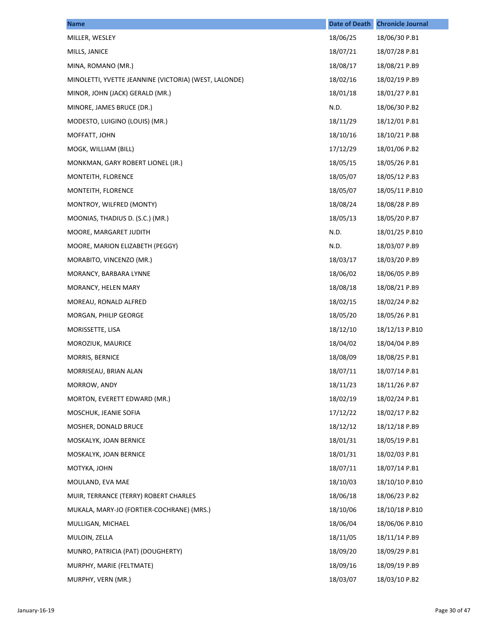| <b>Name</b>                                           | <b>Date of Death</b> | <b>Chronicle Journal</b> |
|-------------------------------------------------------|----------------------|--------------------------|
| MILLER, WESLEY                                        | 18/06/25             | 18/06/30 P.B1            |
| MILLS, JANICE                                         | 18/07/21             | 18/07/28 P.B1            |
| MINA, ROMANO (MR.)                                    | 18/08/17             | 18/08/21 P.B9            |
| MINOLETTI, YVETTE JEANNINE (VICTORIA) (WEST, LALONDE) | 18/02/16             | 18/02/19 P.B9            |
| MINOR, JOHN (JACK) GERALD (MR.)                       | 18/01/18             | 18/01/27 P.B1            |
| MINORE, JAMES BRUCE (DR.)                             | N.D.                 | 18/06/30 P.B2            |
| MODESTO, LUIGINO (LOUIS) (MR.)                        | 18/11/29             | 18/12/01 P.B1            |
| MOFFATT, JOHN                                         | 18/10/16             | 18/10/21 P.B8            |
| MOGK, WILLIAM (BILL)                                  | 17/12/29             | 18/01/06 P.B2            |
| MONKMAN, GARY ROBERT LIONEL (JR.)                     | 18/05/15             | 18/05/26 P.B1            |
| MONTEITH, FLORENCE                                    | 18/05/07             | 18/05/12 P.B3            |
| MONTEITH, FLORENCE                                    | 18/05/07             | 18/05/11 P.B10           |
| MONTROY, WILFRED (MONTY)                              | 18/08/24             | 18/08/28 P.B9            |
| MOONIAS, THADIUS D. (S.C.) (MR.)                      | 18/05/13             | 18/05/20 P.B7            |
| MOORE, MARGARET JUDITH                                | N.D.                 | 18/01/25 P.B10           |
| MOORE, MARION ELIZABETH (PEGGY)                       | N.D.                 | 18/03/07 P.B9            |
| MORABITO, VINCENZO (MR.)                              | 18/03/17             | 18/03/20 P.B9            |
| MORANCY, BARBARA LYNNE                                | 18/06/02             | 18/06/05 P.B9            |
| MORANCY, HELEN MARY                                   | 18/08/18             | 18/08/21 P.B9            |
| MOREAU, RONALD ALFRED                                 | 18/02/15             | 18/02/24 P.B2            |
| MORGAN, PHILIP GEORGE                                 | 18/05/20             | 18/05/26 P.B1            |
| MORISSETTE, LISA                                      | 18/12/10             | 18/12/13 P.B10           |
| MOROZIUK, MAURICE                                     | 18/04/02             | 18/04/04 P.B9            |
| MORRIS, BERNICE                                       | 18/08/09             | 18/08/25 P.B1            |
| MORRISEAU, BRIAN ALAN                                 | 18/07/11             | 18/07/14 P.B1            |
| MORROW, ANDY                                          | 18/11/23             | 18/11/26 P.B7            |
| MORTON, EVERETT EDWARD (MR.)                          | 18/02/19             | 18/02/24 P.B1            |
| MOSCHUK, JEANIE SOFIA                                 | 17/12/22             | 18/02/17 P.B2            |
| MOSHER, DONALD BRUCE                                  | 18/12/12             | 18/12/18 P.B9            |
| MOSKALYK, JOAN BERNICE                                | 18/01/31             | 18/05/19 P.B1            |
| MOSKALYK, JOAN BERNICE                                | 18/01/31             | 18/02/03 P.B1            |
| MOTYKA, JOHN                                          | 18/07/11             | 18/07/14 P.B1            |
| MOULAND, EVA MAE                                      | 18/10/03             | 18/10/10 P.B10           |
| MUIR, TERRANCE (TERRY) ROBERT CHARLES                 | 18/06/18             | 18/06/23 P.B2            |
| MUKALA, MARY-JO (FORTIER-COCHRANE) (MRS.)             | 18/10/06             | 18/10/18 P.B10           |
| MULLIGAN, MICHAEL                                     | 18/06/04             | 18/06/06 P.B10           |
| MULOIN, ZELLA                                         | 18/11/05             | 18/11/14 P.B9            |
| MUNRO, PATRICIA (PAT) (DOUGHERTY)                     | 18/09/20             | 18/09/29 P.B1            |
| MURPHY, MARIE (FELTMATE)                              | 18/09/16             | 18/09/19 P.B9            |
| MURPHY, VERN (MR.)                                    | 18/03/07             | 18/03/10 P.B2            |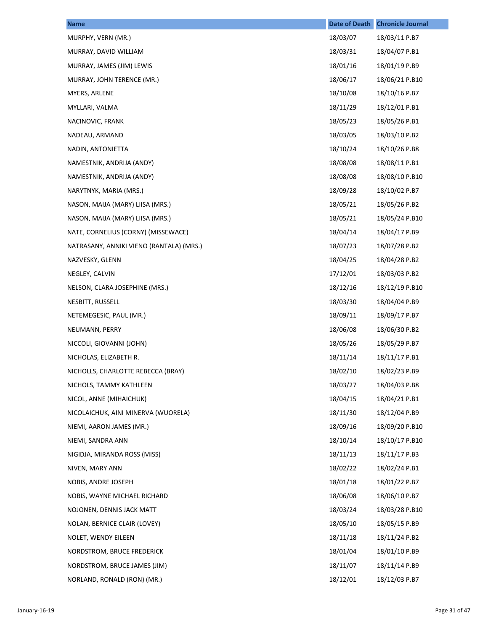| <b>Name</b>                              | <b>Date of Death</b> | <b>Chronicle Journal</b> |
|------------------------------------------|----------------------|--------------------------|
| MURPHY, VERN (MR.)                       | 18/03/07             | 18/03/11 P.B7            |
| MURRAY, DAVID WILLIAM                    | 18/03/31             | 18/04/07 P.B1            |
| MURRAY, JAMES (JIM) LEWIS                | 18/01/16             | 18/01/19 P.B9            |
| MURRAY, JOHN TERENCE (MR.)               | 18/06/17             | 18/06/21 P.B10           |
| MYERS, ARLENE                            | 18/10/08             | 18/10/16 P.B7            |
| MYLLARI, VALMA                           | 18/11/29             | 18/12/01 P.B1            |
| NACINOVIC, FRANK                         | 18/05/23             | 18/05/26 P.B1            |
| NADEAU, ARMAND                           | 18/03/05             | 18/03/10 P.B2            |
| NADIN, ANTONIETTA                        | 18/10/24             | 18/10/26 P.B8            |
| NAMESTNIK, ANDRIJA (ANDY)                | 18/08/08             | 18/08/11 P.B1            |
| NAMESTNIK, ANDRIJA (ANDY)                | 18/08/08             | 18/08/10 P.B10           |
| NARYTNYK, MARIA (MRS.)                   | 18/09/28             | 18/10/02 P.B7            |
| NASON, MAIJA (MARY) LIISA (MRS.)         | 18/05/21             | 18/05/26 P.B2            |
| NASON, MAIJA (MARY) LIISA (MRS.)         | 18/05/21             | 18/05/24 P.B10           |
| NATE, CORNELIUS (CORNY) (MISSEWACE)      | 18/04/14             | 18/04/17 P.B9            |
| NATRASANY, ANNIKI VIENO (RANTALA) (MRS.) | 18/07/23             | 18/07/28 P.B2            |
| NAZVESKY, GLENN                          | 18/04/25             | 18/04/28 P.B2            |
| NEGLEY, CALVIN                           | 17/12/01             | 18/03/03 P.B2            |
| NELSON, CLARA JOSEPHINE (MRS.)           | 18/12/16             | 18/12/19 P.B10           |
| NESBITT, RUSSELL                         | 18/03/30             | 18/04/04 P.B9            |
| NETEMEGESIC, PAUL (MR.)                  | 18/09/11             | 18/09/17 P.B7            |
| NEUMANN, PERRY                           | 18/06/08             | 18/06/30 P.B2            |
| NICCOLI, GIOVANNI (JOHN)                 | 18/05/26             | 18/05/29 P.B7            |
| NICHOLAS, ELIZABETH R.                   | 18/11/14             | 18/11/17 P.B1            |
| NICHOLLS, CHARLOTTE REBECCA (BRAY)       | 18/02/10             | 18/02/23 P.B9            |
| NICHOLS, TAMMY KATHLEEN                  | 18/03/27             | 18/04/03 P.B8            |
| NICOL, ANNE (MIHAICHUK)                  | 18/04/15             | 18/04/21 P.B1            |
| NICOLAICHUK, AINI MINERVA (WUORELA)      | 18/11/30             | 18/12/04 P.B9            |
| NIEMI, AARON JAMES (MR.)                 | 18/09/16             | 18/09/20 P.B10           |
| NIEMI, SANDRA ANN                        | 18/10/14             | 18/10/17 P.B10           |
| NIGIDJA, MIRANDA ROSS (MISS)             | 18/11/13             | 18/11/17 P.B3            |
| NIVEN, MARY ANN                          | 18/02/22             | 18/02/24 P.B1            |
| NOBIS, ANDRE JOSEPH                      | 18/01/18             | 18/01/22 P.B7            |
| NOBIS, WAYNE MICHAEL RICHARD             | 18/06/08             | 18/06/10 P.B7            |
| NOJONEN, DENNIS JACK MATT                | 18/03/24             | 18/03/28 P.B10           |
| NOLAN, BERNICE CLAIR (LOVEY)             | 18/05/10             | 18/05/15 P.B9            |
| NOLET, WENDY EILEEN                      | 18/11/18             | 18/11/24 P.B2            |
| NORDSTROM, BRUCE FREDERICK               | 18/01/04             | 18/01/10 P.B9            |
| NORDSTROM, BRUCE JAMES (JIM)             | 18/11/07             | 18/11/14 P.B9            |
| NORLAND, RONALD (RON) (MR.)              | 18/12/01             | 18/12/03 P.B7            |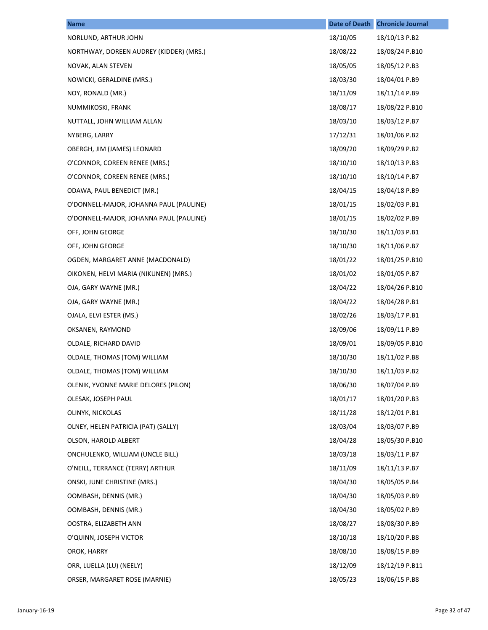| <b>Name</b>                             | <b>Date of Death</b> | <b>Chronicle Journal</b> |
|-----------------------------------------|----------------------|--------------------------|
| NORLUND, ARTHUR JOHN                    | 18/10/05             | 18/10/13 P.B2            |
| NORTHWAY, DOREEN AUDREY (KIDDER) (MRS.) | 18/08/22             | 18/08/24 P.B10           |
| NOVAK, ALAN STEVEN                      | 18/05/05             | 18/05/12 P.B3            |
| NOWICKI, GERALDINE (MRS.)               | 18/03/30             | 18/04/01 P.B9            |
| NOY, RONALD (MR.)                       | 18/11/09             | 18/11/14 P.B9            |
| NUMMIKOSKI, FRANK                       | 18/08/17             | 18/08/22 P.B10           |
| NUTTALL, JOHN WILLIAM ALLAN             | 18/03/10             | 18/03/12 P.B7            |
| NYBERG, LARRY                           | 17/12/31             | 18/01/06 P.B2            |
| OBERGH, JIM (JAMES) LEONARD             | 18/09/20             | 18/09/29 P.B2            |
| O'CONNOR, COREEN RENEE (MRS.)           | 18/10/10             | 18/10/13 P.B3            |
| O'CONNOR, COREEN RENEE (MRS.)           | 18/10/10             | 18/10/14 P.B7            |
| ODAWA, PAUL BENEDICT (MR.)              | 18/04/15             | 18/04/18 P.B9            |
| O'DONNELL-MAJOR, JOHANNA PAUL (PAULINE) | 18/01/15             | 18/02/03 P.B1            |
| O'DONNELL-MAJOR, JOHANNA PAUL (PAULINE) | 18/01/15             | 18/02/02 P.B9            |
| OFF, JOHN GEORGE                        | 18/10/30             | 18/11/03 P.B1            |
| OFF, JOHN GEORGE                        | 18/10/30             | 18/11/06 P.B7            |
| OGDEN, MARGARET ANNE (MACDONALD)        | 18/01/22             | 18/01/25 P.B10           |
| OIKONEN, HELVI MARIA (NIKUNEN) (MRS.)   | 18/01/02             | 18/01/05 P.B7            |
| OJA, GARY WAYNE (MR.)                   | 18/04/22             | 18/04/26 P.B10           |
| OJA, GARY WAYNE (MR.)                   | 18/04/22             | 18/04/28 P.B1            |
| OJALA, ELVI ESTER (MS.)                 | 18/02/26             | 18/03/17 P.B1            |
| OKSANEN, RAYMOND                        | 18/09/06             | 18/09/11 P.B9            |
| OLDALE, RICHARD DAVID                   | 18/09/01             | 18/09/05 P.B10           |
| OLDALE, THOMAS (TOM) WILLIAM            | 18/10/30             | 18/11/02 P.B8            |
| OLDALE, THOMAS (TOM) WILLIAM            | 18/10/30             | 18/11/03 P.B2            |
| OLENIK, YVONNE MARIE DELORES (PILON)    | 18/06/30             | 18/07/04 P.B9            |
| OLESAK, JOSEPH PAUL                     | 18/01/17             | 18/01/20 P.B3            |
| OLINYK, NICKOLAS                        | 18/11/28             | 18/12/01 P.B1            |
| OLNEY, HELEN PATRICIA (PAT) (SALLY)     | 18/03/04             | 18/03/07 P.B9            |
| OLSON, HAROLD ALBERT                    | 18/04/28             | 18/05/30 P.B10           |
| ONCHULENKO, WILLIAM (UNCLE BILL)        | 18/03/18             | 18/03/11 P.B7            |
| O'NEILL, TERRANCE (TERRY) ARTHUR        | 18/11/09             | 18/11/13 P.B7            |
| ONSKI, JUNE CHRISTINE (MRS.)            | 18/04/30             | 18/05/05 P.B4            |
| OOMBASH, DENNIS (MR.)                   | 18/04/30             | 18/05/03 P.B9            |
| OOMBASH, DENNIS (MR.)                   | 18/04/30             | 18/05/02 P.B9            |
| OOSTRA, ELIZABETH ANN                   | 18/08/27             | 18/08/30 P.B9            |
| O'QUINN, JOSEPH VICTOR                  | 18/10/18             | 18/10/20 P.B8            |
| OROK, HARRY                             | 18/08/10             | 18/08/15 P.B9            |
| ORR, LUELLA (LU) (NEELY)                | 18/12/09             | 18/12/19 P.B11           |
| ORSER, MARGARET ROSE (MARNIE)           | 18/05/23             | 18/06/15 P.B8            |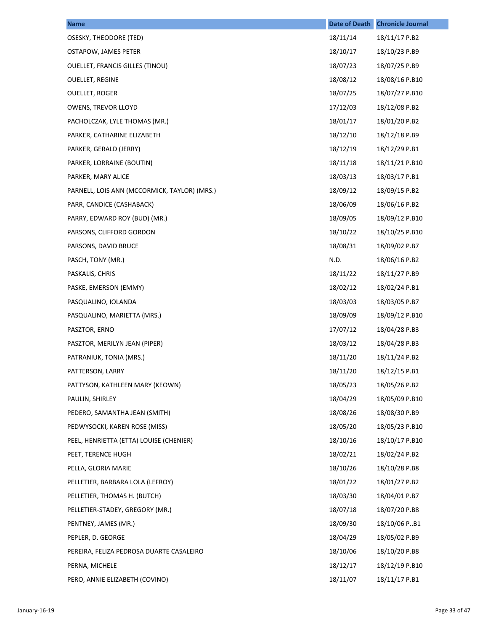| <b>Name</b>                                  | <b>Date of Death</b> | <b>Chronicle Journal</b> |
|----------------------------------------------|----------------------|--------------------------|
| OSESKY, THEODORE (TED)                       | 18/11/14             | 18/11/17 P.B2            |
| OSTAPOW, JAMES PETER                         | 18/10/17             | 18/10/23 P.B9            |
| <b>OUELLET, FRANCIS GILLES (TINOU)</b>       | 18/07/23             | 18/07/25 P.B9            |
| <b>OUELLET, REGINE</b>                       | 18/08/12             | 18/08/16 P.B10           |
| <b>OUELLET, ROGER</b>                        | 18/07/25             | 18/07/27 P.B10           |
| OWENS, TREVOR LLOYD                          | 17/12/03             | 18/12/08 P.B2            |
| PACHOLCZAK, LYLE THOMAS (MR.)                | 18/01/17             | 18/01/20 P.B2            |
| PARKER, CATHARINE ELIZABETH                  | 18/12/10             | 18/12/18 P.B9            |
| PARKER, GERALD (JERRY)                       | 18/12/19             | 18/12/29 P.B1            |
| PARKER, LORRAINE (BOUTIN)                    | 18/11/18             | 18/11/21 P.B10           |
| PARKER, MARY ALICE                           | 18/03/13             | 18/03/17 P.B1            |
| PARNELL, LOIS ANN (MCCORMICK, TAYLOR) (MRS.) | 18/09/12             | 18/09/15 P.B2            |
| PARR, CANDICE (CASHABACK)                    | 18/06/09             | 18/06/16 P.B2            |
| PARRY, EDWARD ROY (BUD) (MR.)                | 18/09/05             | 18/09/12 P.B10           |
| PARSONS, CLIFFORD GORDON                     | 18/10/22             | 18/10/25 P.B10           |
| PARSONS, DAVID BRUCE                         | 18/08/31             | 18/09/02 P.B7            |
| PASCH, TONY (MR.)                            | N.D.                 | 18/06/16 P.B2            |
| PASKALIS, CHRIS                              | 18/11/22             | 18/11/27 P.B9            |
| PASKE, EMERSON (EMMY)                        | 18/02/12             | 18/02/24 P.B1            |
| PASQUALINO, IOLANDA                          | 18/03/03             | 18/03/05 P.B7            |
| PASQUALINO, MARIETTA (MRS.)                  | 18/09/09             | 18/09/12 P.B10           |
| PASZTOR, ERNO                                | 17/07/12             | 18/04/28 P.B3            |
| PASZTOR, MERILYN JEAN (PIPER)                | 18/03/12             | 18/04/28 P.B3            |
| PATRANIUK, TONIA (MRS.)                      | 18/11/20             | 18/11/24 P.B2            |
| PATTERSON, LARRY                             | 18/11/20             | 18/12/15 P.B1            |
| PATTYSON, KATHLEEN MARY (KEOWN)              | 18/05/23             | 18/05/26 P.B2            |
| PAULIN, SHIRLEY                              | 18/04/29             | 18/05/09 P.B10           |
| PEDERO, SAMANTHA JEAN (SMITH)                | 18/08/26             | 18/08/30 P.B9            |
| PEDWYSOCKI, KAREN ROSE (MISS)                | 18/05/20             | 18/05/23 P.B10           |
| PEEL, HENRIETTA (ETTA) LOUISE (CHENIER)      | 18/10/16             | 18/10/17 P.B10           |
| PEET, TERENCE HUGH                           | 18/02/21             | 18/02/24 P.B2            |
| PELLA, GLORIA MARIE                          | 18/10/26             | 18/10/28 P.B8            |
| PELLETIER, BARBARA LOLA (LEFROY)             | 18/01/22             | 18/01/27 P.B2            |
| PELLETIER, THOMAS H. (BUTCH)                 | 18/03/30             | 18/04/01 P.B7            |
| PELLETIER-STADEY, GREGORY (MR.)              | 18/07/18             | 18/07/20 P.B8            |
| PENTNEY, JAMES (MR.)                         | 18/09/30             | 18/10/06 P.B1            |
| PEPLER, D. GEORGE                            | 18/04/29             | 18/05/02 P.B9            |
| PEREIRA, FELIZA PEDROSA DUARTE CASALEIRO     | 18/10/06             | 18/10/20 P.B8            |
| PERNA, MICHELE                               | 18/12/17             | 18/12/19 P.B10           |
| PERO, ANNIE ELIZABETH (COVINO)               | 18/11/07             | 18/11/17 P.B1            |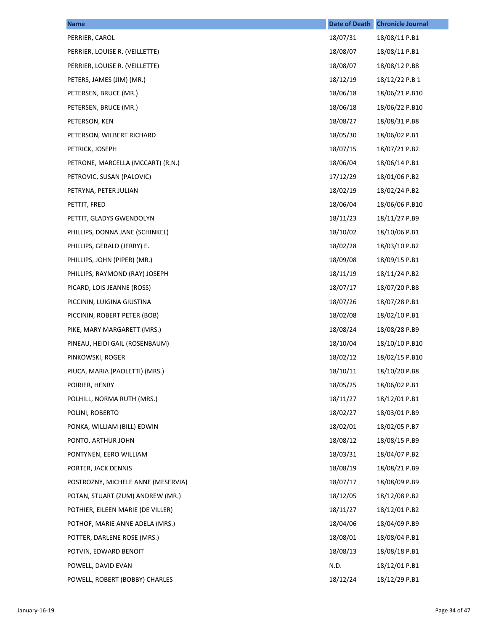| <b>Name</b>                        | <b>Date of Death</b> | <b>Chronicle Journal</b> |
|------------------------------------|----------------------|--------------------------|
| PERRIER, CAROL                     | 18/07/31             | 18/08/11 P.B1            |
| PERRIER, LOUISE R. (VEILLETTE)     | 18/08/07             | 18/08/11 P.B1            |
| PERRIER, LOUISE R. (VEILLETTE)     | 18/08/07             | 18/08/12 P.B8            |
| PETERS, JAMES (JIM) (MR.)          | 18/12/19             | 18/12/22 P.B 1           |
| PETERSEN, BRUCE (MR.)              | 18/06/18             | 18/06/21 P.B10           |
| PETERSEN, BRUCE (MR.)              | 18/06/18             | 18/06/22 P.B10           |
| PETERSON, KEN                      | 18/08/27             | 18/08/31 P.B8            |
| PETERSON, WILBERT RICHARD          | 18/05/30             | 18/06/02 P.B1            |
| PETRICK, JOSEPH                    | 18/07/15             | 18/07/21 P.B2            |
| PETRONE, MARCELLA (MCCART) (R.N.)  | 18/06/04             | 18/06/14 P.B1            |
| PETROVIC, SUSAN (PALOVIC)          | 17/12/29             | 18/01/06 P.B2            |
| PETRYNA, PETER JULIAN              | 18/02/19             | 18/02/24 P.B2            |
| PETTIT, FRED                       | 18/06/04             | 18/06/06 P.B10           |
| PETTIT, GLADYS GWENDOLYN           | 18/11/23             | 18/11/27 P.B9            |
| PHILLIPS, DONNA JANE (SCHINKEL)    | 18/10/02             | 18/10/06 P.B1            |
| PHILLIPS, GERALD (JERRY) E.        | 18/02/28             | 18/03/10 P.B2            |
| PHILLIPS, JOHN (PIPER) (MR.)       | 18/09/08             | 18/09/15 P.B1            |
| PHILLIPS, RAYMOND (RAY) JOSEPH     | 18/11/19             | 18/11/24 P.B2            |
| PICARD, LOIS JEANNE (ROSS)         | 18/07/17             | 18/07/20 P.B8            |
| PICCININ, LUIGINA GIUSTINA         | 18/07/26             | 18/07/28 P.B1            |
| PICCININ, ROBERT PETER (BOB)       | 18/02/08             | 18/02/10 P.B1            |
| PIKE, MARY MARGARETT (MRS.)        | 18/08/24             | 18/08/28 P.B9            |
| PINEAU, HEIDI GAIL (ROSENBAUM)     | 18/10/04             | 18/10/10 P.B10           |
| PINKOWSKI, ROGER                   | 18/02/12             | 18/02/15 P.B10           |
| PIUCA, MARIA (PAOLETTI) (MRS.)     | 18/10/11             | 18/10/20 P.B8            |
| POIRIER, HENRY                     | 18/05/25             | 18/06/02 P.B1            |
| POLHILL, NORMA RUTH (MRS.)         | 18/11/27             | 18/12/01 P.B1            |
| POLINI, ROBERTO                    | 18/02/27             | 18/03/01 P.B9            |
| PONKA, WILLIAM (BILL) EDWIN        | 18/02/01             | 18/02/05 P.B7            |
| PONTO, ARTHUR JOHN                 | 18/08/12             | 18/08/15 P.B9            |
| PONTYNEN, EERO WILLIAM             | 18/03/31             | 18/04/07 P.B2            |
| PORTER, JACK DENNIS                | 18/08/19             | 18/08/21 P.B9            |
| POSTROZNY, MICHELE ANNE (MESERVIA) | 18/07/17             | 18/08/09 P.B9            |
| POTAN, STUART (ZUM) ANDREW (MR.)   | 18/12/05             | 18/12/08 P.B2            |
| POTHIER, EILEEN MARIE (DE VILLER)  | 18/11/27             | 18/12/01 P.B2            |
| POTHOF, MARIE ANNE ADELA (MRS.)    | 18/04/06             | 18/04/09 P.B9            |
| POTTER, DARLENE ROSE (MRS.)        | 18/08/01             | 18/08/04 P.B1            |
| POTVIN, EDWARD BENOIT              | 18/08/13             | 18/08/18 P.B1            |
| POWELL, DAVID EVAN                 | N.D.                 | 18/12/01 P.B1            |
| POWELL, ROBERT (BOBBY) CHARLES     | 18/12/24             | 18/12/29 P.B1            |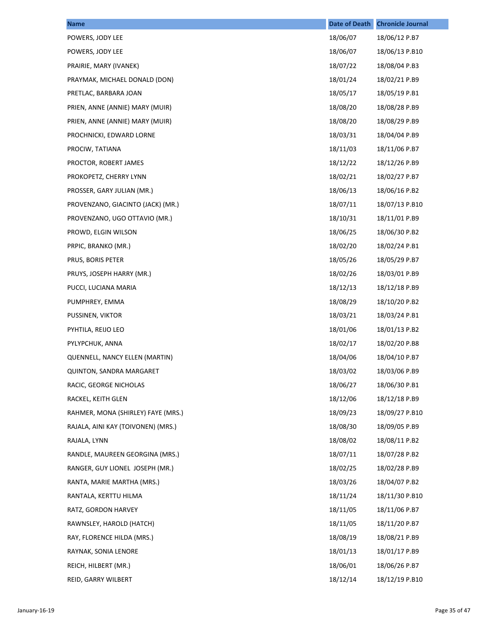| <b>Name</b>                        | <b>Date of Death</b> | <b>Chronicle Journal</b> |
|------------------------------------|----------------------|--------------------------|
| POWERS, JODY LEE                   | 18/06/07             | 18/06/12 P.B7            |
| POWERS, JODY LEE                   | 18/06/07             | 18/06/13 P.B10           |
| PRAIRIE, MARY (IVANEK)             | 18/07/22             | 18/08/04 P.B3            |
| PRAYMAK, MICHAEL DONALD (DON)      | 18/01/24             | 18/02/21 P.B9            |
| PRETLAC, BARBARA JOAN              | 18/05/17             | 18/05/19 P.B1            |
| PRIEN, ANNE (ANNIE) MARY (MUIR)    | 18/08/20             | 18/08/28 P.B9            |
| PRIEN, ANNE (ANNIE) MARY (MUIR)    | 18/08/20             | 18/08/29 P.B9            |
| PROCHNICKI, EDWARD LORNE           | 18/03/31             | 18/04/04 P.B9            |
| PROCIW, TATIANA                    | 18/11/03             | 18/11/06 P.B7            |
| PROCTOR, ROBERT JAMES              | 18/12/22             | 18/12/26 P.B9            |
| PROKOPETZ, CHERRY LYNN             | 18/02/21             | 18/02/27 P.B7            |
| PROSSER, GARY JULIAN (MR.)         | 18/06/13             | 18/06/16 P.B2            |
| PROVENZANO, GIACINTO (JACK) (MR.)  | 18/07/11             | 18/07/13 P.B10           |
| PROVENZANO, UGO OTTAVIO (MR.)      | 18/10/31             | 18/11/01 P.B9            |
| PROWD, ELGIN WILSON                | 18/06/25             | 18/06/30 P.B2            |
| PRPIC, BRANKO (MR.)                | 18/02/20             | 18/02/24 P.B1            |
| PRUS, BORIS PETER                  | 18/05/26             | 18/05/29 P.B7            |
| PRUYS, JOSEPH HARRY (MR.)          | 18/02/26             | 18/03/01 P.B9            |
| PUCCI, LUCIANA MARIA               | 18/12/13             | 18/12/18 P.B9            |
| PUMPHREY, EMMA                     | 18/08/29             | 18/10/20 P.B2            |
| PUSSINEN, VIKTOR                   | 18/03/21             | 18/03/24 P.B1            |
| PYHTILA, REIJO LEO                 | 18/01/06             | 18/01/13 P.B2            |
| PYLYPCHUK, ANNA                    | 18/02/17             | 18/02/20 P.B8            |
| QUENNELL, NANCY ELLEN (MARTIN)     | 18/04/06             | 18/04/10 P.B7            |
| <b>QUINTON, SANDRA MARGARET</b>    | 18/03/02             | 18/03/06 P.B9            |
| RACIC, GEORGE NICHOLAS             | 18/06/27             | 18/06/30 P.B1            |
| RACKEL, KEITH GLEN                 | 18/12/06             | 18/12/18 P.B9            |
| RAHMER, MONA (SHIRLEY) FAYE (MRS.) | 18/09/23             | 18/09/27 P.B10           |
| RAJALA, AINI KAY (TOIVONEN) (MRS.) | 18/08/30             | 18/09/05 P.B9            |
| RAJALA, LYNN                       | 18/08/02             | 18/08/11 P.B2            |
| RANDLE, MAUREEN GEORGINA (MRS.)    | 18/07/11             | 18/07/28 P.B2            |
| RANGER, GUY LIONEL JOSEPH (MR.)    | 18/02/25             | 18/02/28 P.B9            |
| RANTA, MARIE MARTHA (MRS.)         | 18/03/26             | 18/04/07 P.B2            |
| RANTALA, KERTTU HILMA              | 18/11/24             | 18/11/30 P.B10           |
| RATZ, GORDON HARVEY                | 18/11/05             | 18/11/06 P.B7            |
| RAWNSLEY, HAROLD (HATCH)           | 18/11/05             | 18/11/20 P.B7            |
| RAY, FLORENCE HILDA (MRS.)         | 18/08/19             | 18/08/21 P.B9            |
| RAYNAK, SONIA LENORE               | 18/01/13             | 18/01/17 P.B9            |
| REICH, HILBERT (MR.)               | 18/06/01             | 18/06/26 P.B7            |
| REID, GARRY WILBERT                | 18/12/14             | 18/12/19 P.B10           |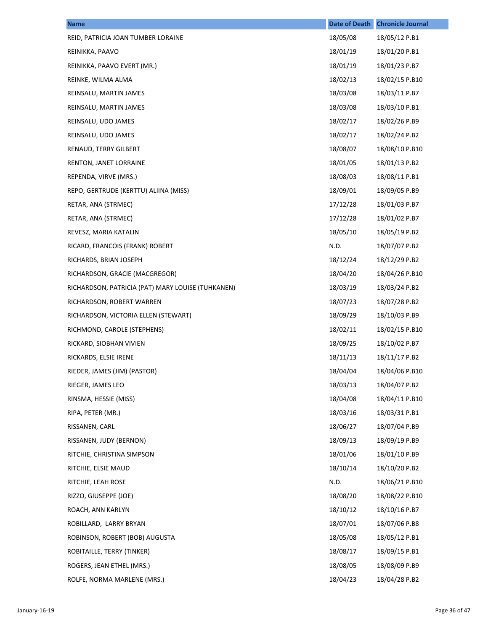| <b>Name</b>                                       | <b>Date of Death</b> | <b>Chronicle Journal</b> |
|---------------------------------------------------|----------------------|--------------------------|
| REID, PATRICIA JOAN TUMBER LORAINE                | 18/05/08             | 18/05/12 P.B1            |
| REINIKKA, PAAVO                                   | 18/01/19             | 18/01/20 P.B1            |
| REINIKKA, PAAVO EVERT (MR.)                       | 18/01/19             | 18/01/23 P.B7            |
| REINKE, WILMA ALMA                                | 18/02/13             | 18/02/15 P.B10           |
| REINSALU, MARTIN JAMES                            | 18/03/08             | 18/03/11 P.B7            |
| REINSALU, MARTIN JAMES                            | 18/03/08             | 18/03/10 P.B1            |
| REINSALU, UDO JAMES                               | 18/02/17             | 18/02/26 P.B9            |
| REINSALU, UDO JAMES                               | 18/02/17             | 18/02/24 P.B2            |
| RENAUD, TERRY GILBERT                             | 18/08/07             | 18/08/10 P.B10           |
| RENTON, JANET LORRAINE                            | 18/01/05             | 18/01/13 P.B2            |
| REPENDA, VIRVE (MRS.)                             | 18/08/03             | 18/08/11 P.B1            |
| REPO, GERTRUDE (KERTTU) ALIINA (MISS)             | 18/09/01             | 18/09/05 P.B9            |
| RETAR, ANA (STRMEC)                               | 17/12/28             | 18/01/03 P.B7            |
| RETAR, ANA (STRMEC)                               | 17/12/28             | 18/01/02 P.B7            |
| REVESZ, MARIA KATALIN                             | 18/05/10             | 18/05/19 P.B2            |
| RICARD, FRANCOIS (FRANK) ROBERT                   | N.D.                 | 18/07/07 P.B2            |
| RICHARDS, BRIAN JOSEPH                            | 18/12/24             | 18/12/29 P.B2            |
| RICHARDSON, GRACIE (MACGREGOR)                    | 18/04/20             | 18/04/26 P.B10           |
| RICHARDSON, PATRICIA (PAT) MARY LOUISE (TUHKANEN) | 18/03/19             | 18/03/24 P.B2            |
| RICHARDSON, ROBERT WARREN                         | 18/07/23             | 18/07/28 P.B2            |
| RICHARDSON, VICTORIA ELLEN (STEWART)              | 18/09/29             | 18/10/03 P.B9            |
| RICHMOND, CAROLE (STEPHENS)                       | 18/02/11             | 18/02/15 P.B10           |
| RICKARD, SIOBHAN VIVIEN                           | 18/09/25             | 18/10/02 P.B7            |
| RICKARDS, ELSIE IRENE                             | 18/11/13             | 18/11/17 P.B2            |
| RIEDER, JAMES (JIM) (PASTOR)                      | 18/04/04             | 18/04/06 P.B10           |
| RIEGER, JAMES LEO                                 | 18/03/13             | 18/04/07 P.B2            |
| RINSMA, HESSIE (MISS)                             | 18/04/08             | 18/04/11 P.B10           |
| RIPA, PETER (MR.)                                 | 18/03/16             | 18/03/31 P.B1            |
| RISSANEN, CARL                                    | 18/06/27             | 18/07/04 P.B9            |
| RISSANEN, JUDY (BERNON)                           | 18/09/13             | 18/09/19 P.B9            |
| RITCHIE, CHRISTINA SIMPSON                        | 18/01/06             | 18/01/10 P.B9            |
| RITCHIE, ELSIE MAUD                               | 18/10/14             | 18/10/20 P.B2            |
| RITCHIE, LEAH ROSE                                | N.D.                 | 18/06/21 P.B10           |
| RIZZO, GIUSEPPE (JOE)                             | 18/08/20             | 18/08/22 P.B10           |
| ROACH, ANN KARLYN                                 | 18/10/12             | 18/10/16 P.B7            |
| ROBILLARD, LARRY BRYAN                            | 18/07/01             | 18/07/06 P.B8            |
| ROBINSON, ROBERT (BOB) AUGUSTA                    | 18/05/08             | 18/05/12 P.B1            |
| ROBITAILLE, TERRY (TINKER)                        | 18/08/17             | 18/09/15 P.B1            |
| ROGERS, JEAN ETHEL (MRS.)                         | 18/08/05             | 18/08/09 P.B9            |
| ROLFE, NORMA MARLENE (MRS.)                       | 18/04/23             | 18/04/28 P.B2            |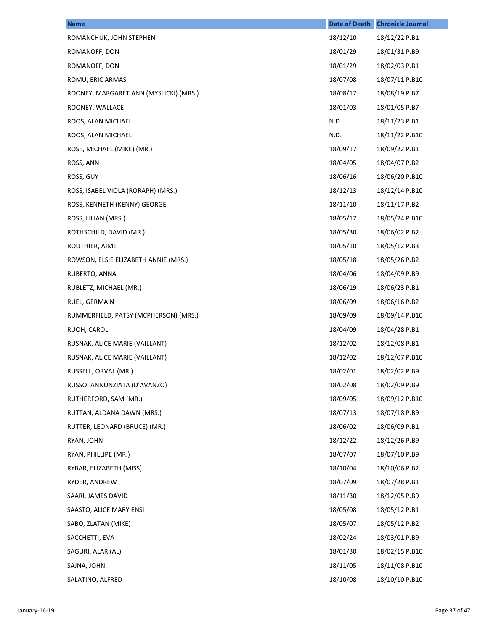| <b>Name</b>                            | <b>Date of Death</b> | <b>Chronicle Journal</b> |
|----------------------------------------|----------------------|--------------------------|
| ROMANCHUK, JOHN STEPHEN                | 18/12/10             | 18/12/22 P.B1            |
| ROMANOFF, DON                          | 18/01/29             | 18/01/31 P.B9            |
| ROMANOFF, DON                          | 18/01/29             | 18/02/03 P.B1            |
| ROMU, ERIC ARMAS                       | 18/07/08             | 18/07/11 P.B10           |
| ROONEY, MARGARET ANN (MYSLICKI) (MRS.) | 18/08/17             | 18/08/19 P.B7            |
| ROONEY, WALLACE                        | 18/01/03             | 18/01/05 P.B7            |
| ROOS, ALAN MICHAEL                     | N.D.                 | 18/11/23 P.B1            |
| ROOS, ALAN MICHAEL                     | N.D.                 | 18/11/22 P.B10           |
| ROSE, MICHAEL (MIKE) (MR.)             | 18/09/17             | 18/09/22 P.B1            |
| ROSS, ANN                              | 18/04/05             | 18/04/07 P.B2            |
| ROSS, GUY                              | 18/06/16             | 18/06/20 P.B10           |
| ROSS, ISABEL VIOLA (RORAPH) (MRS.)     | 18/12/13             | 18/12/14 P.B10           |
| ROSS, KENNETH (KENNY) GEORGE           | 18/11/10             | 18/11/17 P.B2            |
| ROSS, LILIAN (MRS.)                    | 18/05/17             | 18/05/24 P.B10           |
| ROTHSCHILD, DAVID (MR.)                | 18/05/30             | 18/06/02 P.B2            |
| ROUTHIER, AIME                         | 18/05/10             | 18/05/12 P.B3            |
| ROWSON, ELSIE ELIZABETH ANNIE (MRS.)   | 18/05/18             | 18/05/26 P.B2            |
| RUBERTO, ANNA                          | 18/04/06             | 18/04/09 P.B9            |
| RUBLETZ, MICHAEL (MR.)                 | 18/06/19             | 18/06/23 P.B1            |
| RUEL, GERMAIN                          | 18/06/09             | 18/06/16 P.B2            |
| RUMMERFIELD, PATSY (MCPHERSON) (MRS.)  | 18/09/09             | 18/09/14 P.B10           |
| RUOH, CAROL                            | 18/04/09             | 18/04/28 P.B1            |
| RUSNAK, ALICE MARIE (VAILLANT)         | 18/12/02             | 18/12/08 P.B1            |
| RUSNAK, ALICE MARIE (VAILLANT)         | 18/12/02             | 18/12/07 P.B10           |
| RUSSELL, ORVAL (MR.)                   | 18/02/01             | 18/02/02 P.B9            |
| RUSSO, ANNUNZIATA (D'AVANZO)           | 18/02/08             | 18/02/09 P.B9            |
| RUTHERFORD, SAM (MR.)                  | 18/09/05             | 18/09/12 P.B10           |
| RUTTAN, ALDANA DAWN (MRS.)             | 18/07/13             | 18/07/18 P.B9            |
| RUTTER, LEONARD (BRUCE) (MR.)          | 18/06/02             | 18/06/09 P.B1            |
| RYAN, JOHN                             | 18/12/22             | 18/12/26 P.B9            |
| RYAN, PHILLIPE (MR.)                   | 18/07/07             | 18/07/10 P.B9            |
| RYBAR, ELIZABETH (MISS)                | 18/10/04             | 18/10/06 P.B2            |
| RYDER, ANDREW                          | 18/07/09             | 18/07/28 P.B1            |
| SAARI, JAMES DAVID                     | 18/11/30             | 18/12/05 P.B9            |
| SAASTO, ALICE MARY ENSI                | 18/05/08             | 18/05/12 P.B1            |
| SABO, ZLATAN (MIKE)                    | 18/05/07             | 18/05/12 P.B2            |
| SACCHETTI, EVA                         | 18/02/24             | 18/03/01 P.B9            |
| SAGURI, ALAR (AL)                      | 18/01/30             | 18/02/15 P.B10           |
| SAJNA, JOHN                            | 18/11/05             | 18/11/08 P.B10           |
| SALATINO, ALFRED                       | 18/10/08             | 18/10/10 P.B10           |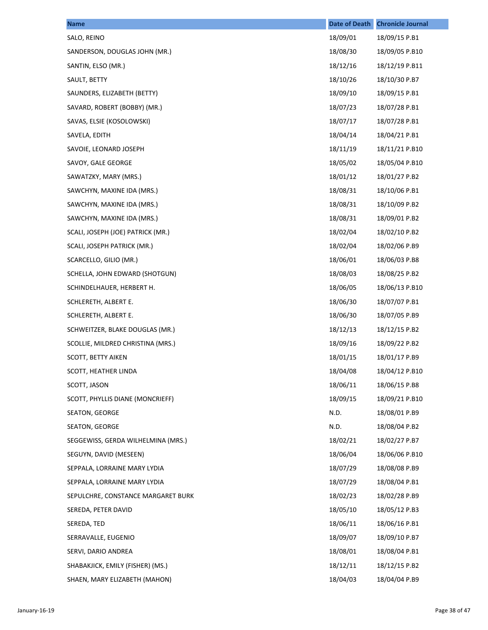| <b>Name</b>                        | <b>Date of Death</b> | <b>Chronicle Journal</b> |
|------------------------------------|----------------------|--------------------------|
| SALO, REINO                        | 18/09/01             | 18/09/15 P.B1            |
| SANDERSON, DOUGLAS JOHN (MR.)      | 18/08/30             | 18/09/05 P.B10           |
| SANTIN, ELSO (MR.)                 | 18/12/16             | 18/12/19 P.B11           |
| SAULT, BETTY                       | 18/10/26             | 18/10/30 P.B7            |
| SAUNDERS, ELIZABETH (BETTY)        | 18/09/10             | 18/09/15 P.B1            |
| SAVARD, ROBERT (BOBBY) (MR.)       | 18/07/23             | 18/07/28 P.B1            |
| SAVAS, ELSIE (KOSOLOWSKI)          | 18/07/17             | 18/07/28 P.B1            |
| SAVELA, EDITH                      | 18/04/14             | 18/04/21 P.B1            |
| SAVOIE, LEONARD JOSEPH             | 18/11/19             | 18/11/21 P.B10           |
| SAVOY, GALE GEORGE                 | 18/05/02             | 18/05/04 P.B10           |
| SAWATZKY, MARY (MRS.)              | 18/01/12             | 18/01/27 P.B2            |
| SAWCHYN, MAXINE IDA (MRS.)         | 18/08/31             | 18/10/06 P.B1            |
| SAWCHYN, MAXINE IDA (MRS.)         | 18/08/31             | 18/10/09 P.B2            |
| SAWCHYN, MAXINE IDA (MRS.)         | 18/08/31             | 18/09/01 P.B2            |
| SCALI, JOSEPH (JOE) PATRICK (MR.)  | 18/02/04             | 18/02/10 P.B2            |
| SCALI, JOSEPH PATRICK (MR.)        | 18/02/04             | 18/02/06 P.B9            |
| SCARCELLO, GILIO (MR.)             | 18/06/01             | 18/06/03 P.B8            |
| SCHELLA, JOHN EDWARD (SHOTGUN)     | 18/08/03             | 18/08/25 P.B2            |
| SCHINDELHAUER, HERBERT H.          | 18/06/05             | 18/06/13 P.B10           |
| SCHLERETH, ALBERT E.               | 18/06/30             | 18/07/07 P.B1            |
| SCHLERETH, ALBERT E.               | 18/06/30             | 18/07/05 P.B9            |
| SCHWEITZER, BLAKE DOUGLAS (MR.)    | 18/12/13             | 18/12/15 P.B2            |
| SCOLLIE, MILDRED CHRISTINA (MRS.)  | 18/09/16             | 18/09/22 P.B2            |
| <b>SCOTT, BETTY AIKEN</b>          | 18/01/15             | 18/01/17 P.B9            |
| SCOTT, HEATHER LINDA               | 18/04/08             | 18/04/12 P.B10           |
| SCOTT, JASON                       | 18/06/11             | 18/06/15 P.B8            |
| SCOTT, PHYLLIS DIANE (MONCRIEFF)   | 18/09/15             | 18/09/21 P.B10           |
| SEATON, GEORGE                     | N.D.                 | 18/08/01 P.B9            |
| SEATON, GEORGE                     | N.D.                 | 18/08/04 P.B2            |
| SEGGEWISS, GERDA WILHELMINA (MRS.) | 18/02/21             | 18/02/27 P.B7            |
| SEGUYN, DAVID (MESEEN)             | 18/06/04             | 18/06/06 P.B10           |
| SEPPALA, LORRAINE MARY LYDIA       | 18/07/29             | 18/08/08 P.B9            |
| SEPPALA, LORRAINE MARY LYDIA       | 18/07/29             | 18/08/04 P.B1            |
| SEPULCHRE, CONSTANCE MARGARET BURK | 18/02/23             | 18/02/28 P.B9            |
| SEREDA, PETER DAVID                | 18/05/10             | 18/05/12 P.B3            |
| SEREDA, TED                        | 18/06/11             | 18/06/16 P.B1            |
| SERRAVALLE, EUGENIO                | 18/09/07             | 18/09/10 P.B7            |
| SERVI, DARIO ANDREA                | 18/08/01             | 18/08/04 P.B1            |
| SHABAKJICK, EMILY (FISHER) (MS.)   | 18/12/11             | 18/12/15 P.B2            |
| SHAEN, MARY ELIZABETH (MAHON)      | 18/04/03             | 18/04/04 P.B9            |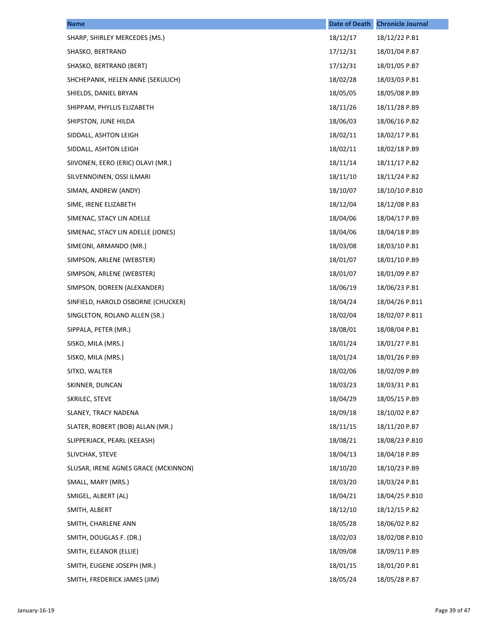| <b>Name</b>                          | <b>Date of Death</b> | <b>Chronicle Journal</b> |
|--------------------------------------|----------------------|--------------------------|
| SHARP, SHIRLEY MERCEDES (MS.)        | 18/12/17             | 18/12/22 P.B1            |
| SHASKO, BERTRAND                     | 17/12/31             | 18/01/04 P.B7            |
| SHASKO, BERTRAND (BERT)              | 17/12/31             | 18/01/05 P.B7            |
| SHCHEPANIK, HELEN ANNE (SEKULICH)    | 18/02/28             | 18/03/03 P.B1            |
| SHIELDS, DANIEL BRYAN                | 18/05/05             | 18/05/08 P.B9            |
| SHIPPAM, PHYLLIS ELIZABETH           | 18/11/26             | 18/11/28 P.B9            |
| SHIPSTON, JUNE HILDA                 | 18/06/03             | 18/06/16 P.B2            |
| SIDDALL, ASHTON LEIGH                | 18/02/11             | 18/02/17 P.B1            |
| SIDDALL, ASHTON LEIGH                | 18/02/11             | 18/02/18 P.B9            |
| SIIVONEN, EERO (ERIC) OLAVI (MR.)    | 18/11/14             | 18/11/17 P.B2            |
| SILVENNOINEN, OSSI ILMARI            | 18/11/10             | 18/11/24 P.B2            |
| SIMAN, ANDREW (ANDY)                 | 18/10/07             | 18/10/10 P.B10           |
| SIME, IRENE ELIZABETH                | 18/12/04             | 18/12/08 P.B3            |
| SIMENAC, STACY LIN ADELLE            | 18/04/06             | 18/04/17 P.B9            |
| SIMENAC, STACY LIN ADELLE (JONES)    | 18/04/06             | 18/04/18 P.B9            |
| SIMEONI, ARMANDO (MR.)               | 18/03/08             | 18/03/10 P.B1            |
| SIMPSON, ARLENE (WEBSTER)            | 18/01/07             | 18/01/10 P.B9            |
| SIMPSON, ARLENE (WEBSTER)            | 18/01/07             | 18/01/09 P.B7            |
| SIMPSON, DOREEN (ALEXANDER)          | 18/06/19             | 18/06/23 P.B1            |
| SINFIELD, HAROLD OSBORNE (CHUCKER)   | 18/04/24             | 18/04/26 P.B11           |
| SINGLETON, ROLAND ALLEN (SR.)        | 18/02/04             | 18/02/07 P.B11           |
| SIPPALA, PETER (MR.)                 | 18/08/01             | 18/08/04 P.B1            |
| SISKO, MILA (MRS.)                   | 18/01/24             | 18/01/27 P.B1            |
| SISKO, MILA (MRS.)                   | 18/01/24             | 18/01/26 P.B9            |
| SITKO, WALTER                        | 18/02/06             | 18/02/09 P.B9            |
| SKINNER, DUNCAN                      | 18/03/23             | 18/03/31 P.B1            |
| SKRILEC, STEVE                       | 18/04/29             | 18/05/15 P.B9            |
| SLANEY, TRACY NADENA                 | 18/09/18             | 18/10/02 P.B7            |
| SLATER, ROBERT (BOB) ALLAN (MR.)     | 18/11/15             | 18/11/20 P.B7            |
| SLIPPERJACK, PEARL (KEEASH)          | 18/08/21             | 18/08/23 P.B10           |
| SLIVCHAK, STEVE                      | 18/04/13             | 18/04/18 P.B9            |
| SLUSAR, IRENE AGNES GRACE (MCKINNON) | 18/10/20             | 18/10/23 P.B9            |
| SMALL, MARY (MRS.)                   | 18/03/20             | 18/03/24 P.B1            |
| SMIGEL, ALBERT (AL)                  | 18/04/21             | 18/04/25 P.B10           |
| SMITH, ALBERT                        | 18/12/10             | 18/12/15 P.B2            |
| SMITH, CHARLENE ANN                  | 18/05/28             | 18/06/02 P.B2            |
| SMITH, DOUGLAS F. (DR.)              | 18/02/03             | 18/02/08 P.B10           |
| SMITH, ELEANOR (ELLIE)               | 18/09/08             | 18/09/11 P.B9            |
| SMITH, EUGENE JOSEPH (MR.)           | 18/01/15             | 18/01/20 P.B1            |
| SMITH, FREDERICK JAMES (JIM)         | 18/05/24             | 18/05/28 P.B7            |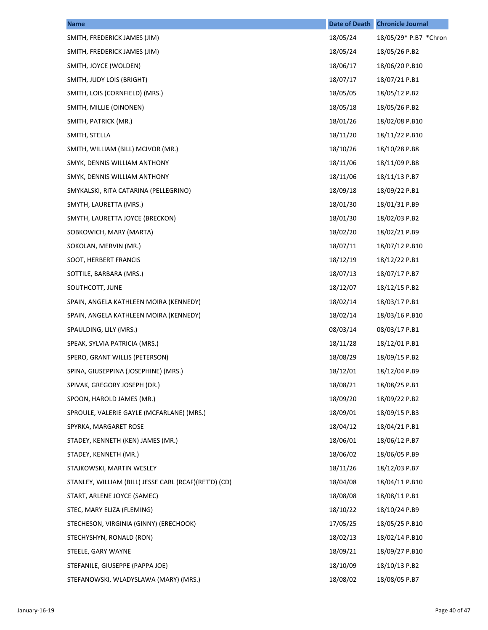| <b>Name</b>                                           | <b>Date of Death</b> | <b>Chronicle Journal</b> |
|-------------------------------------------------------|----------------------|--------------------------|
| SMITH, FREDERICK JAMES (JIM)                          | 18/05/24             | 18/05/29* P.B7 *Chron    |
| SMITH, FREDERICK JAMES (JIM)                          | 18/05/24             | 18/05/26 P.B2            |
| SMITH, JOYCE (WOLDEN)                                 | 18/06/17             | 18/06/20 P.B10           |
| SMITH, JUDY LOIS (BRIGHT)                             | 18/07/17             | 18/07/21 P.B1            |
| SMITH, LOIS (CORNFIELD) (MRS.)                        | 18/05/05             | 18/05/12 P.B2            |
| SMITH, MILLIE (OINONEN)                               | 18/05/18             | 18/05/26 P.B2            |
| SMITH, PATRICK (MR.)                                  | 18/01/26             | 18/02/08 P.B10           |
| SMITH, STELLA                                         | 18/11/20             | 18/11/22 P.B10           |
| SMITH, WILLIAM (BILL) MCIVOR (MR.)                    | 18/10/26             | 18/10/28 P.B8            |
| SMYK, DENNIS WILLIAM ANTHONY                          | 18/11/06             | 18/11/09 P.B8            |
| SMYK, DENNIS WILLIAM ANTHONY                          | 18/11/06             | 18/11/13 P.B7            |
| SMYKALSKI, RITA CATARINA (PELLEGRINO)                 | 18/09/18             | 18/09/22 P.B1            |
| SMYTH, LAURETTA (MRS.)                                | 18/01/30             | 18/01/31 P.B9            |
| SMYTH, LAURETTA JOYCE (BRECKON)                       | 18/01/30             | 18/02/03 P.B2            |
| SOBKOWICH, MARY (MARTA)                               | 18/02/20             | 18/02/21 P.B9            |
| SOKOLAN, MERVIN (MR.)                                 | 18/07/11             | 18/07/12 P.B10           |
| SOOT, HERBERT FRANCIS                                 | 18/12/19             | 18/12/22 P.B1            |
| SOTTILE, BARBARA (MRS.)                               | 18/07/13             | 18/07/17 P.B7            |
| SOUTHCOTT, JUNE                                       | 18/12/07             | 18/12/15 P.B2            |
| SPAIN, ANGELA KATHLEEN MOIRA (KENNEDY)                | 18/02/14             | 18/03/17 P.B1            |
| SPAIN, ANGELA KATHLEEN MOIRA (KENNEDY)                | 18/02/14             | 18/03/16 P.B10           |
| SPAULDING, LILY (MRS.)                                | 08/03/14             | 08/03/17 P.B1            |
| SPEAK, SYLVIA PATRICIA (MRS.)                         | 18/11/28             | 18/12/01 P.B1            |
| SPERO, GRANT WILLIS (PETERSON)                        | 18/08/29             | 18/09/15 P.B2            |
| SPINA, GIUSEPPINA (JOSEPHINE) (MRS.)                  | 18/12/01             | 18/12/04 P.B9            |
| SPIVAK, GREGORY JOSEPH (DR.)                          | 18/08/21             | 18/08/25 P.B1            |
| SPOON, HAROLD JAMES (MR.)                             | 18/09/20             | 18/09/22 P.B2            |
| SPROULE, VALERIE GAYLE (MCFARLANE) (MRS.)             | 18/09/01             | 18/09/15 P.B3            |
| SPYRKA, MARGARET ROSE                                 | 18/04/12             | 18/04/21 P.B1            |
| STADEY, KENNETH (KEN) JAMES (MR.)                     | 18/06/01             | 18/06/12 P.B7            |
| STADEY, KENNETH (MR.)                                 | 18/06/02             | 18/06/05 P.B9            |
| STAJKOWSKI, MARTIN WESLEY                             | 18/11/26             | 18/12/03 P.B7            |
| STANLEY, WILLIAM (BILL) JESSE CARL (RCAF)(RET'D) (CD) | 18/04/08             | 18/04/11 P.B10           |
| START, ARLENE JOYCE (SAMEC)                           | 18/08/08             | 18/08/11 P.B1            |
| STEC, MARY ELIZA (FLEMING)                            | 18/10/22             | 18/10/24 P.B9            |
| STECHESON, VIRGINIA (GINNY) (ERECHOOK)                | 17/05/25             | 18/05/25 P.B10           |
| STECHYSHYN, RONALD (RON)                              | 18/02/13             | 18/02/14 P.B10           |
| STEELE, GARY WAYNE                                    | 18/09/21             | 18/09/27 P.B10           |
| STEFANILE, GIUSEPPE (PAPPA JOE)                       | 18/10/09             | 18/10/13 P.B2            |
| STEFANOWSKI, WLADYSLAWA (MARY) (MRS.)                 | 18/08/02             | 18/08/05 P.B7            |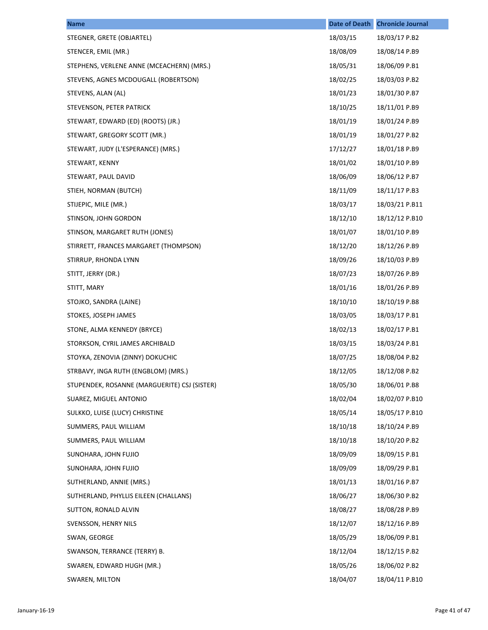| <b>Name</b>                                  | <b>Date of Death</b> | <b>Chronicle Journal</b> |
|----------------------------------------------|----------------------|--------------------------|
| STEGNER, GRETE (OBJARTEL)                    | 18/03/15             | 18/03/17 P.B2            |
| STENCER, EMIL (MR.)                          | 18/08/09             | 18/08/14 P.B9            |
| STEPHENS, VERLENE ANNE (MCEACHERN) (MRS.)    | 18/05/31             | 18/06/09 P.B1            |
| STEVENS, AGNES MCDOUGALL (ROBERTSON)         | 18/02/25             | 18/03/03 P.B2            |
| STEVENS, ALAN (AL)                           | 18/01/23             | 18/01/30 P.B7            |
| STEVENSON, PETER PATRICK                     | 18/10/25             | 18/11/01 P.B9            |
| STEWART, EDWARD (ED) (ROOTS) (JR.)           | 18/01/19             | 18/01/24 P.B9            |
| STEWART, GREGORY SCOTT (MR.)                 | 18/01/19             | 18/01/27 P.B2            |
| STEWART, JUDY (L'ESPERANCE) (MRS.)           | 17/12/27             | 18/01/18 P.B9            |
| STEWART, KENNY                               | 18/01/02             | 18/01/10 P.B9            |
| STEWART, PAUL DAVID                          | 18/06/09             | 18/06/12 P.B7            |
| STIEH, NORMAN (BUTCH)                        | 18/11/09             | 18/11/17 P.B3            |
| STIJEPIC, MILE (MR.)                         | 18/03/17             | 18/03/21 P.B11           |
| STINSON, JOHN GORDON                         | 18/12/10             | 18/12/12 P.B10           |
| STINSON, MARGARET RUTH (JONES)               | 18/01/07             | 18/01/10 P.B9            |
| STIRRETT, FRANCES MARGARET (THOMPSON)        | 18/12/20             | 18/12/26 P.B9            |
| STIRRUP, RHONDA LYNN                         | 18/09/26             | 18/10/03 P.B9            |
| STITT, JERRY (DR.)                           | 18/07/23             | 18/07/26 P.B9            |
| STITT, MARY                                  | 18/01/16             | 18/01/26 P.B9            |
| STOJKO, SANDRA (LAINE)                       | 18/10/10             | 18/10/19 P.B8            |
| STOKES, JOSEPH JAMES                         | 18/03/05             | 18/03/17 P.B1            |
| STONE, ALMA KENNEDY (BRYCE)                  | 18/02/13             | 18/02/17 P.B1            |
| STORKSON, CYRIL JAMES ARCHIBALD              | 18/03/15             | 18/03/24 P.B1            |
| STOYKA, ZENOVIA (ZINNY) DOKUCHIC             | 18/07/25             | 18/08/04 P.B2            |
| STRBAVY, INGA RUTH (ENGBLOM) (MRS.)          | 18/12/05             | 18/12/08 P.B2            |
| STUPENDEK, ROSANNE (MARGUERITE) CSJ (SISTER) | 18/05/30             | 18/06/01 P.B8            |
| SUAREZ, MIGUEL ANTONIO                       | 18/02/04             | 18/02/07 P.B10           |
| SULKKO, LUISE (LUCY) CHRISTINE               | 18/05/14             | 18/05/17 P.B10           |
| SUMMERS, PAUL WILLIAM                        | 18/10/18             | 18/10/24 P.B9            |
| SUMMERS, PAUL WILLIAM                        | 18/10/18             | 18/10/20 P.B2            |
| SUNOHARA, JOHN FUJIO                         | 18/09/09             | 18/09/15 P.B1            |
| SUNOHARA, JOHN FUJIO                         | 18/09/09             | 18/09/29 P.B1            |
| SUTHERLAND, ANNIE (MRS.)                     | 18/01/13             | 18/01/16 P.B7            |
| SUTHERLAND, PHYLLIS EILEEN (CHALLANS)        | 18/06/27             | 18/06/30 P.B2            |
| SUTTON, RONALD ALVIN                         | 18/08/27             | 18/08/28 P.B9            |
| SVENSSON, HENRY NILS                         | 18/12/07             | 18/12/16 P.B9            |
| SWAN, GEORGE                                 | 18/05/29             | 18/06/09 P.B1            |
| SWANSON, TERRANCE (TERRY) B.                 | 18/12/04             | 18/12/15 P.B2            |
| SWAREN, EDWARD HUGH (MR.)                    | 18/05/26             | 18/06/02 P.B2            |
| SWAREN, MILTON                               | 18/04/07             | 18/04/11 P.B10           |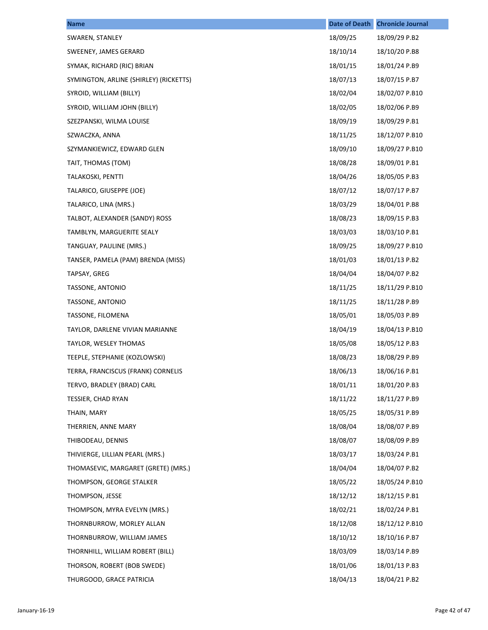| <b>Name</b>                            | <b>Date of Death</b> | <b>Chronicle Journal</b> |
|----------------------------------------|----------------------|--------------------------|
| SWAREN, STANLEY                        | 18/09/25             | 18/09/29 P.B2            |
| SWEENEY, JAMES GERARD                  | 18/10/14             | 18/10/20 P.B8            |
| SYMAK, RICHARD (RIC) BRIAN             | 18/01/15             | 18/01/24 P.B9            |
| SYMINGTON, ARLINE (SHIRLEY) (RICKETTS) | 18/07/13             | 18/07/15 P.B7            |
| SYROID, WILLIAM (BILLY)                | 18/02/04             | 18/02/07 P.B10           |
| SYROID, WILLIAM JOHN (BILLY)           | 18/02/05             | 18/02/06 P.B9            |
| SZEZPANSKI, WILMA LOUISE               | 18/09/19             | 18/09/29 P.B1            |
| SZWACZKA, ANNA                         | 18/11/25             | 18/12/07 P.B10           |
| SZYMANKIEWICZ, EDWARD GLEN             | 18/09/10             | 18/09/27 P.B10           |
| TAIT, THOMAS (TOM)                     | 18/08/28             | 18/09/01 P.B1            |
| TALAKOSKI, PENTTI                      | 18/04/26             | 18/05/05 P.B3            |
| TALARICO, GIUSEPPE (JOE)               | 18/07/12             | 18/07/17 P.B7            |
| TALARICO, LINA (MRS.)                  | 18/03/29             | 18/04/01 P.B8            |
| TALBOT, ALEXANDER (SANDY) ROSS         | 18/08/23             | 18/09/15 P.B3            |
| TAMBLYN, MARGUERITE SEALY              | 18/03/03             | 18/03/10 P.B1            |
| TANGUAY, PAULINE (MRS.)                | 18/09/25             | 18/09/27 P.B10           |
| TANSER, PAMELA (PAM) BRENDA (MISS)     | 18/01/03             | 18/01/13 P.B2            |
| TAPSAY, GREG                           | 18/04/04             | 18/04/07 P.B2            |
| TASSONE, ANTONIO                       | 18/11/25             | 18/11/29 P.B10           |
| TASSONE, ANTONIO                       | 18/11/25             | 18/11/28 P.B9            |
| TASSONE, FILOMENA                      | 18/05/01             | 18/05/03 P.B9            |
| TAYLOR, DARLENE VIVIAN MARIANNE        | 18/04/19             | 18/04/13 P.B10           |
| TAYLOR, WESLEY THOMAS                  | 18/05/08             | 18/05/12 P.B3            |
| TEEPLE, STEPHANIE (KOZLOWSKI)          | 18/08/23             | 18/08/29 P.B9            |
| TERRA, FRANCISCUS (FRANK) CORNELIS     | 18/06/13             | 18/06/16 P.B1            |
| TERVO, BRADLEY (BRAD) CARL             | 18/01/11             | 18/01/20 P.B3            |
| TESSIER, CHAD RYAN                     | 18/11/22             | 18/11/27 P.B9            |
| THAIN, MARY                            | 18/05/25             | 18/05/31 P.B9            |
| THERRIEN, ANNE MARY                    | 18/08/04             | 18/08/07 P.B9            |
| THIBODEAU, DENNIS                      | 18/08/07             | 18/08/09 P.B9            |
| THIVIERGE, LILLIAN PEARL (MRS.)        | 18/03/17             | 18/03/24 P.B1            |
| THOMASEVIC, MARGARET (GRETE) (MRS.)    | 18/04/04             | 18/04/07 P.B2            |
| THOMPSON, GEORGE STALKER               | 18/05/22             | 18/05/24 P.B10           |
| THOMPSON, JESSE                        | 18/12/12             | 18/12/15 P.B1            |
| THOMPSON, MYRA EVELYN (MRS.)           | 18/02/21             | 18/02/24 P.B1            |
| THORNBURROW, MORLEY ALLAN              | 18/12/08             | 18/12/12 P.B10           |
| THORNBURROW, WILLIAM JAMES             | 18/10/12             | 18/10/16 P.B7            |
| THORNHILL, WILLIAM ROBERT (BILL)       | 18/03/09             | 18/03/14 P.B9            |
| THORSON, ROBERT (BOB SWEDE)            | 18/01/06             | 18/01/13 P.B3            |
| THURGOOD, GRACE PATRICIA               | 18/04/13             | 18/04/21 P.B2            |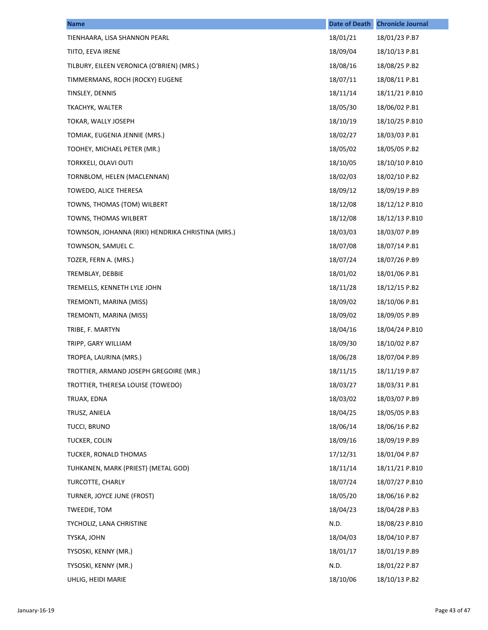| <b>Name</b>                                       | <b>Date of Death</b> | <b>Chronicle Journal</b> |
|---------------------------------------------------|----------------------|--------------------------|
| TIENHAARA, LISA SHANNON PEARL                     | 18/01/21             | 18/01/23 P.B7            |
| TIITO, EEVA IRENE                                 | 18/09/04             | 18/10/13 P.B1            |
| TILBURY, EILEEN VERONICA (O'BRIEN) (MRS.)         | 18/08/16             | 18/08/25 P.B2            |
| TIMMERMANS, ROCH (ROCKY) EUGENE                   | 18/07/11             | 18/08/11 P.B1            |
| TINSLEY, DENNIS                                   | 18/11/14             | 18/11/21 P.B10           |
| TKACHYK, WALTER                                   | 18/05/30             | 18/06/02 P.B1            |
| TOKAR, WALLY JOSEPH                               | 18/10/19             | 18/10/25 P.B10           |
| TOMIAK, EUGENIA JENNIE (MRS.)                     | 18/02/27             | 18/03/03 P.B1            |
| TOOHEY, MICHAEL PETER (MR.)                       | 18/05/02             | 18/05/05 P.B2            |
| <b>TORKKELI, OLAVI OUTI</b>                       | 18/10/05             | 18/10/10 P.B10           |
| TORNBLOM, HELEN (MACLENNAN)                       | 18/02/03             | 18/02/10 P.B2            |
| TOWEDO, ALICE THERESA                             | 18/09/12             | 18/09/19 P.B9            |
| TOWNS, THOMAS (TOM) WILBERT                       | 18/12/08             | 18/12/12 P.B10           |
| TOWNS, THOMAS WILBERT                             | 18/12/08             | 18/12/13 P.B10           |
| TOWNSON, JOHANNA (RIKI) HENDRIKA CHRISTINA (MRS.) | 18/03/03             | 18/03/07 P.B9            |
| TOWNSON, SAMUEL C.                                | 18/07/08             | 18/07/14 P.B1            |
| TOZER, FERN A. (MRS.)                             | 18/07/24             | 18/07/26 P.B9            |
| TREMBLAY, DEBBIE                                  | 18/01/02             | 18/01/06 P.B1            |
| TREMELLS, KENNETH LYLE JOHN                       | 18/11/28             | 18/12/15 P.B2            |
| TREMONTI, MARINA (MISS)                           | 18/09/02             | 18/10/06 P.B1            |
| TREMONTI, MARINA (MISS)                           | 18/09/02             | 18/09/05 P.B9            |
| TRIBE, F. MARTYN                                  | 18/04/16             | 18/04/24 P.B10           |
| TRIPP, GARY WILLIAM                               | 18/09/30             | 18/10/02 P.B7            |
| TROPEA, LAURINA (MRS.)                            | 18/06/28             | 18/07/04 P.B9            |
| TROTTIER, ARMAND JOSEPH GREGOIRE (MR.)            | 18/11/15             | 18/11/19 P.B7            |
| TROTTIER, THERESA LOUISE (TOWEDO)                 | 18/03/27             | 18/03/31 P.B1            |
| TRUAX, EDNA                                       | 18/03/02             | 18/03/07 P.B9            |
| TRUSZ, ANIELA                                     | 18/04/25             | 18/05/05 P.B3            |
| TUCCI, BRUNO                                      | 18/06/14             | 18/06/16 P.B2            |
| TUCKER, COLIN                                     | 18/09/16             | 18/09/19 P.B9            |
| TUCKER, RONALD THOMAS                             | 17/12/31             | 18/01/04 P.B7            |
| TUHKANEN, MARK (PRIEST) (METAL GOD)               | 18/11/14             | 18/11/21 P.B10           |
| TURCOTTE, CHARLY                                  | 18/07/24             | 18/07/27 P.B10           |
| TURNER, JOYCE JUNE (FROST)                        | 18/05/20             | 18/06/16 P.B2            |
| TWEEDIE, TOM                                      | 18/04/23             | 18/04/28 P.B3            |
| TYCHOLIZ, LANA CHRISTINE                          | N.D.                 | 18/08/23 P.B10           |
| TYSKA, JOHN                                       | 18/04/03             | 18/04/10 P.B7            |
| TYSOSKI, KENNY (MR.)                              | 18/01/17             | 18/01/19 P.B9            |
| TYSOSKI, KENNY (MR.)                              | N.D.                 | 18/01/22 P.B7            |
| UHLIG, HEIDI MARIE                                | 18/10/06             | 18/10/13 P.B2            |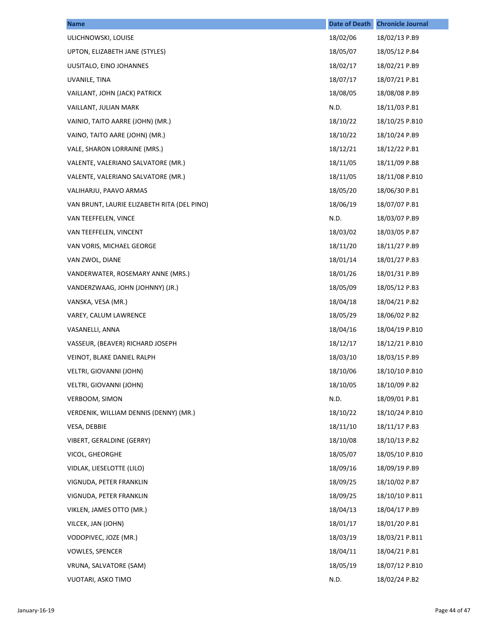| <b>Name</b>                                 | <b>Date of Death</b> | <b>Chronicle Journal</b> |
|---------------------------------------------|----------------------|--------------------------|
| ULICHNOWSKI, LOUISE                         | 18/02/06             | 18/02/13 P.B9            |
| UPTON, ELIZABETH JANE (STYLES)              | 18/05/07             | 18/05/12 P.B4            |
| UUSITALO, EINO JOHANNES                     | 18/02/17             | 18/02/21 P.B9            |
| UVANILE, TINA                               | 18/07/17             | 18/07/21 P.B1            |
| VAILLANT, JOHN (JACK) PATRICK               | 18/08/05             | 18/08/08 P.B9            |
| VAILLANT, JULIAN MARK                       | N.D.                 | 18/11/03 P.B1            |
| VAINIO, TAITO AARRE (JOHN) (MR.)            | 18/10/22             | 18/10/25 P.B10           |
| VAINO, TAITO AARE (JOHN) (MR.)              | 18/10/22             | 18/10/24 P.B9            |
| VALE, SHARON LORRAINE (MRS.)                | 18/12/21             | 18/12/22 P.B1            |
| VALENTE, VALERIANO SALVATORE (MR.)          | 18/11/05             | 18/11/09 P.B8            |
| VALENTE, VALERIANO SALVATORE (MR.)          | 18/11/05             | 18/11/08 P.B10           |
| VALIHARJU, PAAVO ARMAS                      | 18/05/20             | 18/06/30 P.B1            |
| VAN BRUNT, LAURIE ELIZABETH RITA (DEL PINO) | 18/06/19             | 18/07/07 P.B1            |
| VAN TEEFFELEN, VINCE                        | N.D.                 | 18/03/07 P.B9            |
| VAN TEEFFELEN, VINCENT                      | 18/03/02             | 18/03/05 P.B7            |
| VAN VORIS, MICHAEL GEORGE                   | 18/11/20             | 18/11/27 P.B9            |
| VAN ZWOL, DIANE                             | 18/01/14             | 18/01/27 P.B3            |
| VANDERWATER, ROSEMARY ANNE (MRS.)           | 18/01/26             | 18/01/31 P.B9            |
| VANDERZWAAG, JOHN (JOHNNY) (JR.)            | 18/05/09             | 18/05/12 P.B3            |
| VANSKA, VESA (MR.)                          | 18/04/18             | 18/04/21 P.B2            |
| VAREY, CALUM LAWRENCE                       | 18/05/29             | 18/06/02 P.B2            |
| VASANELLI, ANNA                             | 18/04/16             | 18/04/19 P.B10           |
| VASSEUR, (BEAVER) RICHARD JOSEPH            | 18/12/17             | 18/12/21 P.B10           |
| VEINOT, BLAKE DANIEL RALPH                  | 18/03/10             | 18/03/15 P.B9            |
| VELTRI, GIOVANNI (JOHN)                     | 18/10/06             | 18/10/10 P.B10           |
| VELTRI, GIOVANNI (JOHN)                     | 18/10/05             | 18/10/09 P.B2            |
| VERBOOM, SIMON                              | N.D.                 | 18/09/01 P.B1            |
| VERDENIK, WILLIAM DENNIS (DENNY) (MR.)      | 18/10/22             | 18/10/24 P.B10           |
| VESA, DEBBIE                                | 18/11/10             | 18/11/17 P.B3            |
| VIBERT, GERALDINE (GERRY)                   | 18/10/08             | 18/10/13 P.B2            |
| VICOL, GHEORGHE                             | 18/05/07             | 18/05/10 P.B10           |
| VIDLAK, LIESELOTTE (LILO)                   | 18/09/16             | 18/09/19 P.B9            |
| VIGNUDA, PETER FRANKLIN                     | 18/09/25             | 18/10/02 P.B7            |
| VIGNUDA, PETER FRANKLIN                     | 18/09/25             | 18/10/10 P.B11           |
| VIKLEN, JAMES OTTO (MR.)                    | 18/04/13             | 18/04/17 P.B9            |
| VILCEK, JAN (JOHN)                          | 18/01/17             | 18/01/20 P.B1            |
| VODOPIVEC, JOZE (MR.)                       | 18/03/19             | 18/03/21 P.B11           |
| VOWLES, SPENCER                             | 18/04/11             | 18/04/21 P.B1            |
| VRUNA, SALVATORE (SAM)                      | 18/05/19             | 18/07/12 P.B10           |
| VUOTARI, ASKO TIMO                          | N.D.                 | 18/02/24 P.B2            |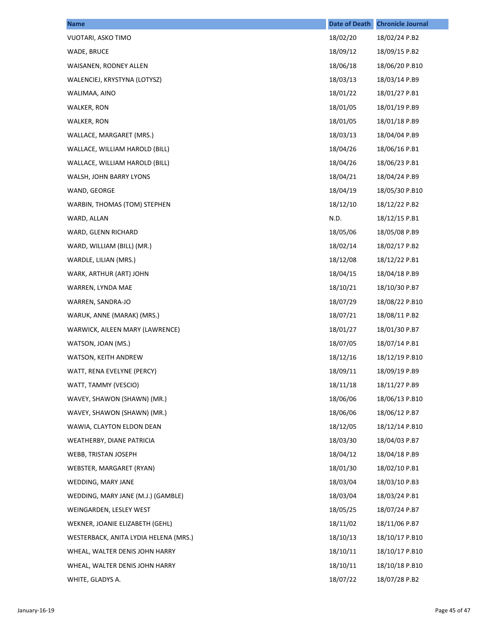| <b>Name</b>                           | <b>Date of Death</b> | <b>Chronicle Journal</b> |
|---------------------------------------|----------------------|--------------------------|
| VUOTARI, ASKO TIMO                    | 18/02/20             | 18/02/24 P.B2            |
| WADE, BRUCE                           | 18/09/12             | 18/09/15 P.B2            |
| WAISANEN, RODNEY ALLEN                | 18/06/18             | 18/06/20 P.B10           |
| WALENCIEJ, KRYSTYNA (LOTYSZ)          | 18/03/13             | 18/03/14 P.B9            |
| WALIMAA, AINO                         | 18/01/22             | 18/01/27 P.B1            |
| WALKER, RON                           | 18/01/05             | 18/01/19 P.B9            |
| WALKER, RON                           | 18/01/05             | 18/01/18 P.B9            |
| WALLACE, MARGARET (MRS.)              | 18/03/13             | 18/04/04 P.B9            |
| WALLACE, WILLIAM HAROLD (BILL)        | 18/04/26             | 18/06/16 P.B1            |
| WALLACE, WILLIAM HAROLD (BILL)        | 18/04/26             | 18/06/23 P.B1            |
| WALSH, JOHN BARRY LYONS               | 18/04/21             | 18/04/24 P.B9            |
| WAND, GEORGE                          | 18/04/19             | 18/05/30 P.B10           |
| WARBIN, THOMAS (TOM) STEPHEN          | 18/12/10             | 18/12/22 P.B2            |
| WARD, ALLAN                           | N.D.                 | 18/12/15 P.B1            |
| WARD, GLENN RICHARD                   | 18/05/06             | 18/05/08 P.B9            |
| WARD, WILLIAM (BILL) (MR.)            | 18/02/14             | 18/02/17 P.B2            |
| WARDLE, LILIAN (MRS.)                 | 18/12/08             | 18/12/22 P.B1            |
| WARK, ARTHUR (ART) JOHN               | 18/04/15             | 18/04/18 P.B9            |
| WARREN, LYNDA MAE                     | 18/10/21             | 18/10/30 P.B7            |
| WARREN, SANDRA-JO                     | 18/07/29             | 18/08/22 P.B10           |
| WARUK, ANNE (MARAK) (MRS.)            | 18/07/21             | 18/08/11 P.B2            |
| WARWICK, AILEEN MARY (LAWRENCE)       | 18/01/27             | 18/01/30 P.B7            |
| WATSON, JOAN (MS.)                    | 18/07/05             | 18/07/14 P.B1            |
| WATSON, KEITH ANDREW                  | 18/12/16             | 18/12/19 P.B10           |
| WATT, RENA EVELYNE (PERCY)            | 18/09/11             | 18/09/19 P.B9            |
| WATT, TAMMY (VESCIO)                  | 18/11/18             | 18/11/27 P.B9            |
| WAVEY, SHAWON (SHAWN) (MR.)           | 18/06/06             | 18/06/13 P.B10           |
| WAVEY, SHAWON (SHAWN) (MR.)           | 18/06/06             | 18/06/12 P.B7            |
| WAWIA, CLAYTON ELDON DEAN             | 18/12/05             | 18/12/14 P.B10           |
| WEATHERBY, DIANE PATRICIA             | 18/03/30             | 18/04/03 P.B7            |
| WEBB, TRISTAN JOSEPH                  | 18/04/12             | 18/04/18 P.B9            |
| WEBSTER, MARGARET (RYAN)              | 18/01/30             | 18/02/10 P.B1            |
| WEDDING, MARY JANE                    | 18/03/04             | 18/03/10 P.B3            |
| WEDDING, MARY JANE (M.J.) (GAMBLE)    | 18/03/04             | 18/03/24 P.B1            |
| WEINGARDEN, LESLEY WEST               | 18/05/25             | 18/07/24 P.B7            |
| WEKNER, JOANIE ELIZABETH (GEHL)       | 18/11/02             | 18/11/06 P.B7            |
| WESTERBACK, ANITA LYDIA HELENA (MRS.) | 18/10/13             | 18/10/17 P.B10           |
| WHEAL, WALTER DENIS JOHN HARRY        | 18/10/11             | 18/10/17 P.B10           |
| WHEAL, WALTER DENIS JOHN HARRY        | 18/10/11             | 18/10/18 P.B10           |
| WHITE, GLADYS A.                      | 18/07/22             | 18/07/28 P.B2            |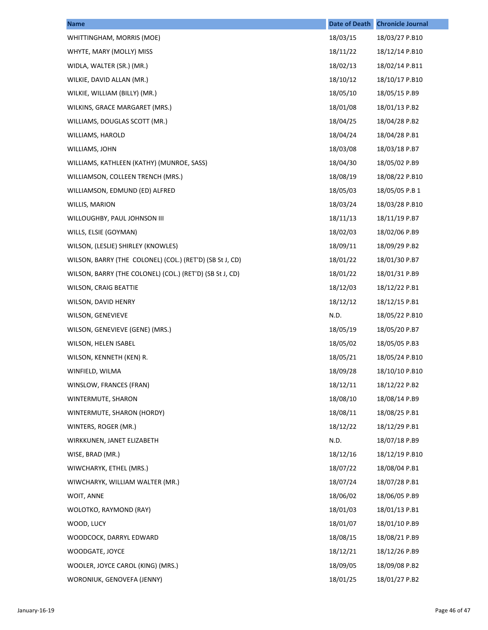| <b>Name</b>                                              | <b>Date of Death</b> | <b>Chronicle Journal</b> |
|----------------------------------------------------------|----------------------|--------------------------|
| WHITTINGHAM, MORRIS (MOE)                                | 18/03/15             | 18/03/27 P.B10           |
| WHYTE, MARY (MOLLY) MISS                                 | 18/11/22             | 18/12/14 P.B10           |
| WIDLA, WALTER (SR.) (MR.)                                | 18/02/13             | 18/02/14 P.B11           |
| WILKIE, DAVID ALLAN (MR.)                                | 18/10/12             | 18/10/17 P.B10           |
| WILKIE, WILLIAM (BILLY) (MR.)                            | 18/05/10             | 18/05/15 P.B9            |
| WILKINS, GRACE MARGARET (MRS.)                           | 18/01/08             | 18/01/13 P.B2            |
| WILLIAMS, DOUGLAS SCOTT (MR.)                            | 18/04/25             | 18/04/28 P.B2            |
| WILLIAMS, HAROLD                                         | 18/04/24             | 18/04/28 P.B1            |
| WILLIAMS, JOHN                                           | 18/03/08             | 18/03/18 P.B7            |
| WILLIAMS, KATHLEEN (KATHY) (MUNROE, SASS)                | 18/04/30             | 18/05/02 P.B9            |
| WILLIAMSON, COLLEEN TRENCH (MRS.)                        | 18/08/19             | 18/08/22 P.B10           |
| WILLIAMSON, EDMUND (ED) ALFRED                           | 18/05/03             | 18/05/05 P.B 1           |
| WILLIS, MARION                                           | 18/03/24             | 18/03/28 P.B10           |
| WILLOUGHBY, PAUL JOHNSON III                             | 18/11/13             | 18/11/19 P.B7            |
| WILLS, ELSIE (GOYMAN)                                    | 18/02/03             | 18/02/06 P.B9            |
| WILSON, (LESLIE) SHIRLEY (KNOWLES)                       | 18/09/11             | 18/09/29 P.B2            |
| WILSON, BARRY (THE COLONEL) (COL.) (RET'D) (SB St J, CD) | 18/01/22             | 18/01/30 P.B7            |
| WILSON, BARRY (THE COLONEL) (COL.) (RET'D) (SB St J, CD) | 18/01/22             | 18/01/31 P.B9            |
| <b>WILSON, CRAIG BEATTIE</b>                             | 18/12/03             | 18/12/22 P.B1            |
| WILSON, DAVID HENRY                                      | 18/12/12             | 18/12/15 P.B1            |
| <b>WILSON, GENEVIEVE</b>                                 | N.D.                 | 18/05/22 P.B10           |
| WILSON, GENEVIEVE (GENE) (MRS.)                          | 18/05/19             | 18/05/20 P.B7            |
| WILSON, HELEN ISABEL                                     | 18/05/02             | 18/05/05 P.B3            |
| WILSON, KENNETH (KEN) R.                                 | 18/05/21             | 18/05/24 P.B10           |
| WINFIELD, WILMA                                          | 18/09/28             | 18/10/10 P.B10           |
| WINSLOW, FRANCES (FRAN)                                  | 18/12/11             | 18/12/22 P.B2            |
| WINTERMUTE, SHARON                                       | 18/08/10             | 18/08/14 P.B9            |
| WINTERMUTE, SHARON (HORDY)                               | 18/08/11             | 18/08/25 P.B1            |
| WINTERS, ROGER (MR.)                                     | 18/12/22             | 18/12/29 P.B1            |
| WIRKKUNEN, JANET ELIZABETH                               | N.D.                 | 18/07/18 P.B9            |
| WISE, BRAD (MR.)                                         | 18/12/16             | 18/12/19 P.B10           |
| WIWCHARYK, ETHEL (MRS.)                                  | 18/07/22             | 18/08/04 P.B1            |
| WIWCHARYK, WILLIAM WALTER (MR.)                          | 18/07/24             | 18/07/28 P.B1            |
| WOIT, ANNE                                               | 18/06/02             | 18/06/05 P.B9            |
| WOLOTKO, RAYMOND (RAY)                                   | 18/01/03             | 18/01/13 P.B1            |
| WOOD, LUCY                                               | 18/01/07             | 18/01/10 P.B9            |
| WOODCOCK, DARRYL EDWARD                                  | 18/08/15             | 18/08/21 P.B9            |
| WOODGATE, JOYCE                                          | 18/12/21             | 18/12/26 P.B9            |
| WOOLER, JOYCE CAROL (KING) (MRS.)                        | 18/09/05             | 18/09/08 P.B2            |
| WORONIUK, GENOVEFA (JENNY)                               | 18/01/25             | 18/01/27 P.B2            |